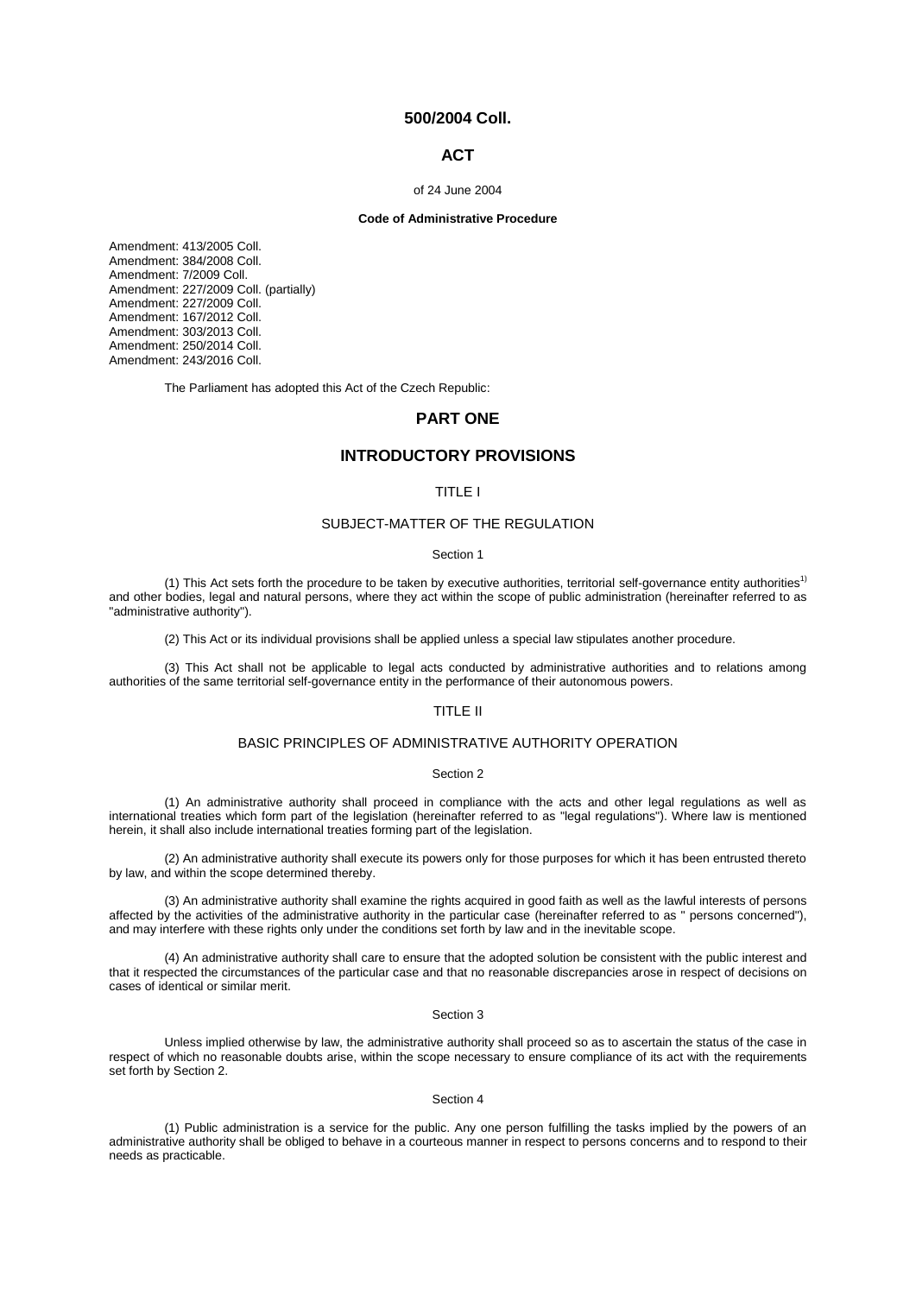# **500/2004 Coll.**

# **ACT**

## of 24 June 2004

# **Code of Administrative Procedure**

Amendment: [413/2005 Coll.](aspi://module=) Amendment: [384/2008 Coll.](aspi://module=) Amendment: [7/2009 Coll.](aspi://module=) Amendment: [227/2009 Coll.](aspi://module=) (partially) Amendment: [227/2009 Coll.](aspi://module=) Amendment: [167/2012 Coll.](aspi://module=) Amendment: [303/2013 Coll.](aspi://module=) Amendment: [250/2014 Coll.](aspi://module=) Amendment: [243/2016 Coll.](aspi://module=)

The Parliament has adopted this Act of the Czech Republic:

# **PART ONE**

# **INTRODUCTORY PROVISIONS**

# TITLE I

# SUBJECT-MATTER OF THE REGULATION

#### Section 1

(1) This Act sets forth the procedure to be taken by executive authorities, territorial self-governance entity authorities<sup>1)</sup> and other bodies, legal and natural persons, where they act within the scope of public administration (hereinafter referred to as "administrative authority").

(2) This Act or its individual provisions shall be applied unless a special law stipulates another procedure.

(3) This Act shall not be applicable to legal acts conducted by administrative authorities and to relations among authorities of the same territorial self-governance entity in the performance of their autonomous powers.

# TITLE II

# BASIC PRINCIPLES OF ADMINISTRATIVE AUTHORITY OPERATION

# Section 2

(1) An administrative authority shall proceed in compliance with the acts and other legal regulations as well as international treaties which form part of the legislation (hereinafter referred to as "legal regulations"). Where law is mentioned herein, it shall also include international treaties forming part of the legislation.

(2) An administrative authority shall execute its powers only for those purposes for which it has been entrusted thereto by law, and within the scope determined thereby.

(3) An administrative authority shall examine the rights acquired in good faith as well as the lawful interests of persons affected by the activities of the administrative authority in the particular case (hereinafter referred to as " persons concerned"), and may interfere with these rights only under the conditions set forth by law and in the inevitable scope.

(4) An administrative authority shall care to ensure that the adopted solution be consistent with the public interest and that it respected the circumstances of the particular case and that no reasonable discrepancies arose in respect of decisions on cases of identical or similar merit.

### Section 3

Unless implied otherwise by law, the administrative authority shall proceed so as to ascertain the status of the case in respect of which no reasonable doubts arise, within the scope necessary to ensure compliance of its act with the requirements set forth by Section 2.

### Section 4

(1) Public administration is a service for the public. Any one person fulfilling the tasks implied by the powers of an administrative authority shall be obliged to behave in a courteous manner in respect to persons concerns and to respond to their needs as practicable.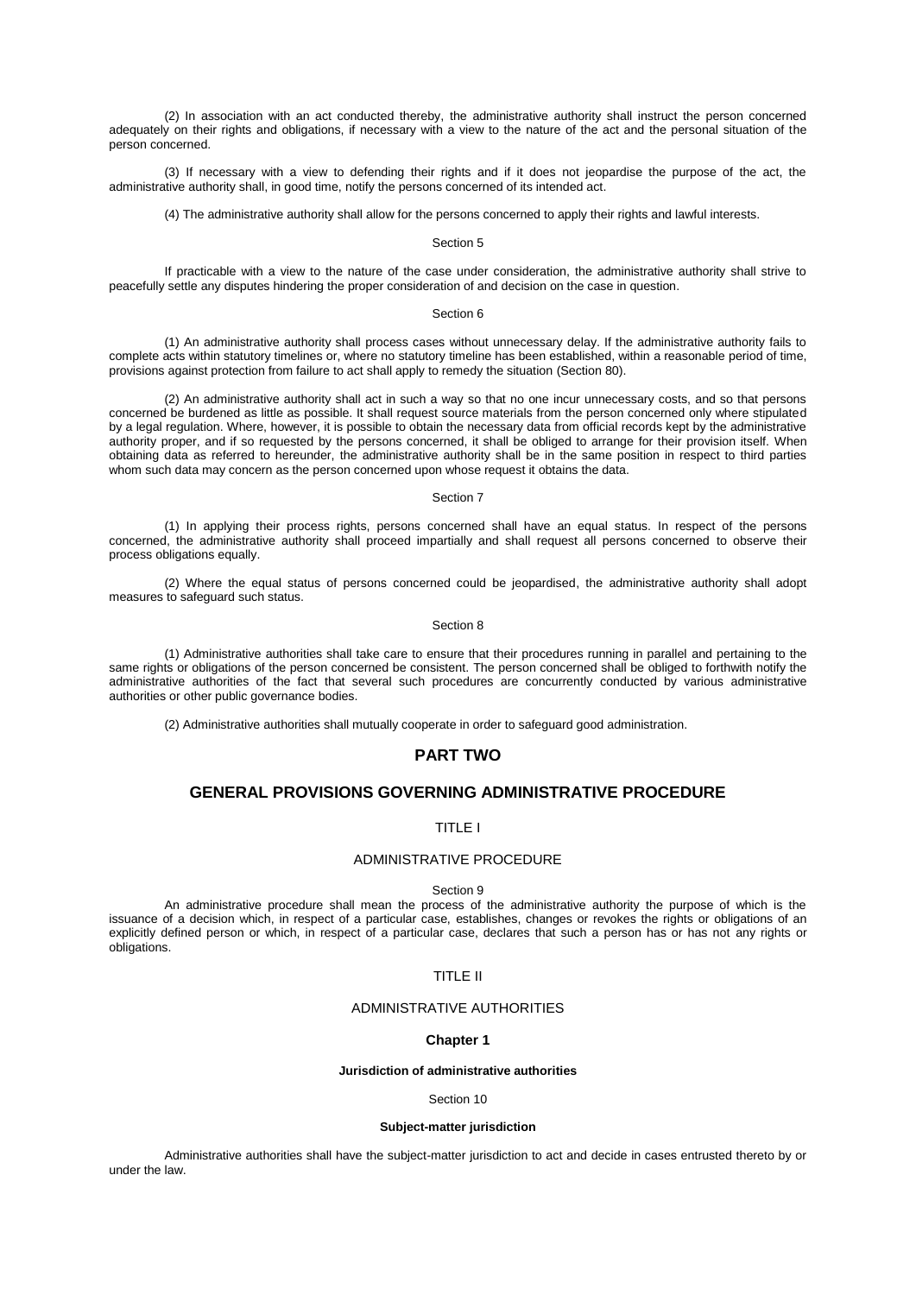(2) In association with an act conducted thereby, the administrative authority shall instruct the person concerned adequately on their rights and obligations, if necessary with a view to the nature of the act and the personal situation of the person concerned.

(3) If necessary with a view to defending their rights and if it does not jeopardise the purpose of the act, the administrative authority shall, in good time, notify the persons concerned of its intended act.

(4) The administrative authority shall allow for the persons concerned to apply their rights and lawful interests.

# Section 5

If practicable with a view to the nature of the case under consideration, the administrative authority shall strive to peacefully settle any disputes hindering the proper consideration of and decision on the case in question.

### Section 6

(1) An administrative authority shall process cases without unnecessary delay. If the administrative authority fails to complete acts within statutory timelines or, where no statutory timeline has been established, within a reasonable period of time, provisions against protection from failure to act shall apply to remedy the situation (Section 80).

(2) An administrative authority shall act in such a way so that no one incur unnecessary costs, and so that persons concerned be burdened as little as possible. It shall request source materials from the person concerned only where stipulated by a legal regulation. Where, however, it is possible to obtain the necessary data from official records kept by the administrative authority proper, and if so requested by the persons concerned, it shall be obliged to arrange for their provision itself. When obtaining data as referred to hereunder, the administrative authority shall be in the same position in respect to third parties whom such data may concern as the person concerned upon whose request it obtains the data.

#### Section 7

(1) In applying their process rights, persons concerned shall have an equal status. In respect of the persons concerned, the administrative authority shall proceed impartially and shall request all persons concerned to observe their process obligations equally.

(2) Where the equal status of persons concerned could be jeopardised, the administrative authority shall adopt measures to safeguard such status.

### Section 8

(1) Administrative authorities shall take care to ensure that their procedures running in parallel and pertaining to the same rights or obligations of the person concerned be consistent. The person concerned shall be obliged to forthwith notify the administrative authorities of the fact that several such procedures are concurrently conducted by various administrative authorities or other public governance bodies.

(2) Administrative authorities shall mutually cooperate in order to safeguard good administration.

# **PART TWO**

# **GENERAL PROVISIONS GOVERNING ADMINISTRATIVE PROCEDURE**

# TITLE I

# ADMINISTRATIVE PROCEDURE

Section 9

An administrative procedure shall mean the process of the administrative authority the purpose of which is the issuance of a decision which, in respect of a particular case, establishes, changes or revokes the rights or obligations of an explicitly defined person or which, in respect of a particular case, declares that such a person has or has not any rights or obligations.

# TITLE II

# ADMINISTRATIVE AUTHORITIES

# **Chapter 1**

## **Jurisdiction of administrative authorities**

### Section 10

## **Subject-matter jurisdiction**

Administrative authorities shall have the subject-matter jurisdiction to act and decide in cases entrusted thereto by or under the law.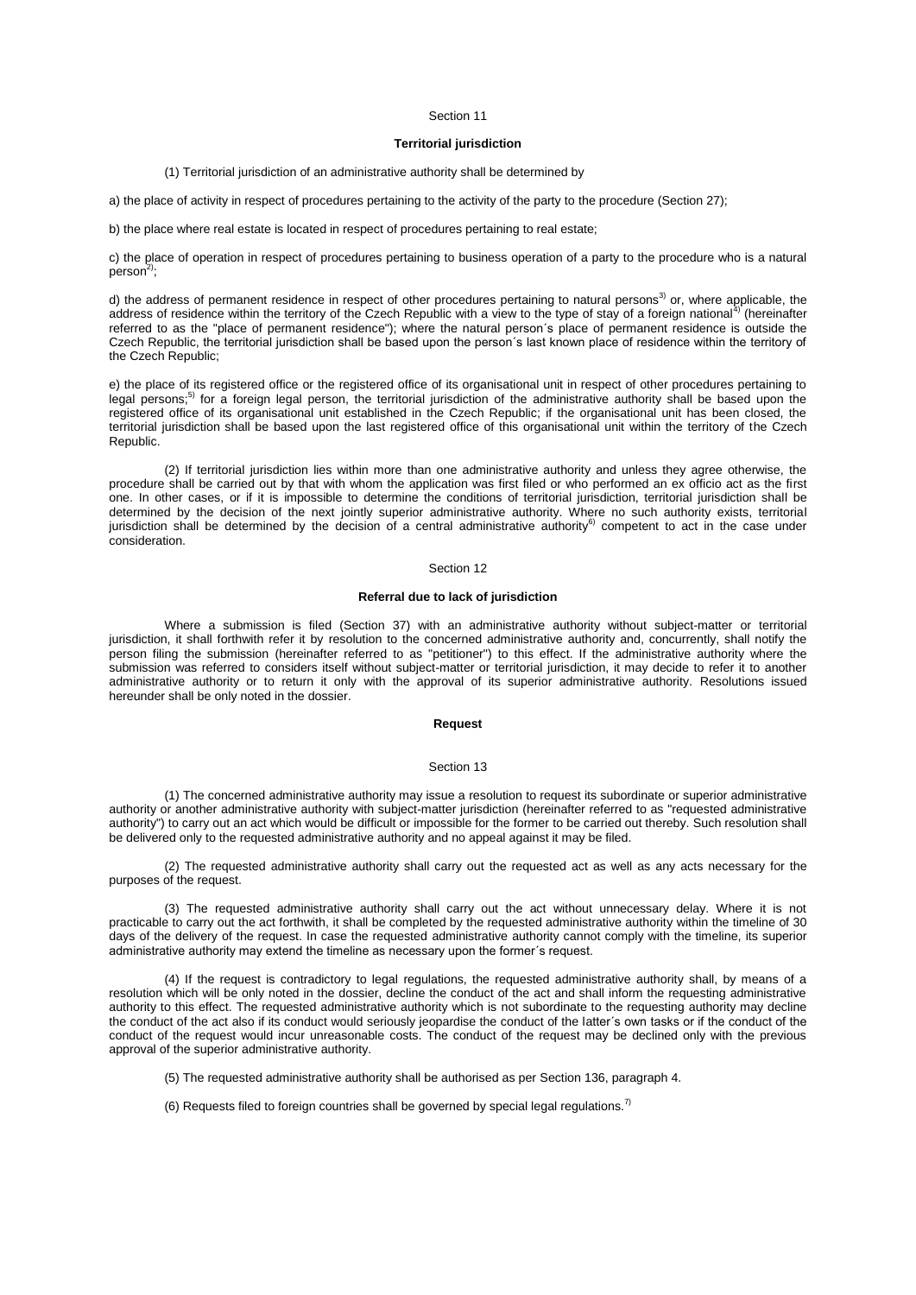# **Territorial jurisdiction**

### (1) Territorial jurisdiction of an administrative authority shall be determined by

a) the place of activity in respect of procedures pertaining to the activity of the party to the procedure (Section 27);

b) the place where real estate is located in respect of procedures pertaining to real estate;

c) the place of operation in respect of procedures pertaining to business operation of a party to the procedure who is a natural person $^{2)}$ ;

d) the address of permanent residence in respect of other procedures pertaining to natural persons<sup>3)</sup> or, where applicable, the address of residence within the territory of the Czech Republic with a view to the type of stay of a foreign national<sup>4)</sup> (hereinafter referred to as the "place of permanent residence"); where the natural person´s place of permanent residence is outside the Czech Republic, the territorial jurisdiction shall be based upon the person´s last known place of residence within the territory of the Czech Republic;

e) the place of its registered office or the registered office of its organisational unit in respect of other procedures pertaining to legal persons;<sup>5)</sup> for a foreign legal person, the territorial jurisdiction of the administrative authority shall be based upon the registered office of its organisational unit established in the Czech Republic; if the organisational unit has been closed, the territorial jurisdiction shall be based upon the last registered office of this organisational unit within the territory of the Czech Republic.

(2) If territorial jurisdiction lies within more than one administrative authority and unless they agree otherwise, the procedure shall be carried out by that with whom the application was first filed or who performed an ex officio act as the first one. In other cases, or if it is impossible to determine the conditions of territorial jurisdiction, territorial jurisdiction shall be determined by the decision of the next jointly superior administrative authority. Where no such authority exists, territorial jurisdiction shall be determined by the decision of a central administrative authority<sup>6)</sup> competent to act in the case under consideration.

### Section 12

# **Referral due to lack of jurisdiction**

Where a submission is filed (Section 37) with an administrative authority without subject-matter or territorial jurisdiction, it shall forthwith refer it by resolution to the concerned administrative authority and, concurrently, shall notify the person filing the submission (hereinafter referred to as "petitioner") to this effect. If the administrative authority where the submission was referred to considers itself without subject-matter or territorial jurisdiction, it may decide to refer it to another administrative authority or to return it only with the approval of its superior administrative authority. Resolutions issued hereunder shall be only noted in the dossier.

### **Request**

## Section 13

(1) The concerned administrative authority may issue a resolution to request its subordinate or superior administrative authority or another administrative authority with subject-matter jurisdiction (hereinafter referred to as "requested administrative authority") to carry out an act which would be difficult or impossible for the former to be carried out thereby. Such resolution shall be delivered only to the requested administrative authority and no appeal against it may be filed.

(2) The requested administrative authority shall carry out the requested act as well as any acts necessary for the purposes of the request.

(3) The requested administrative authority shall carry out the act without unnecessary delay. Where it is not practicable to carry out the act forthwith, it shall be completed by the requested administrative authority within the timeline of 30 days of the delivery of the request. In case the requested administrative authority cannot comply with the timeline, its superior administrative authority may extend the timeline as necessary upon the former´s request.

(4) If the request is contradictory to legal regulations, the requested administrative authority shall, by means of a resolution which will be only noted in the dossier, decline the conduct of the act and shall inform the requesting administrative authority to this effect. The requested administrative authority which is not subordinate to the requesting authority may decline the conduct of the act also if its conduct would seriously jeopardise the conduct of the latter´s own tasks or if the conduct of the conduct of the request would incur unreasonable costs. The conduct of the request may be declined only with the previous approval of the superior administrative authority.

(5) The requested administrative authority shall be authorised as per Section 136, paragraph 4.

(6) Requests filed to foreign countries shall be governed by special legal regulations.<sup>7)</sup>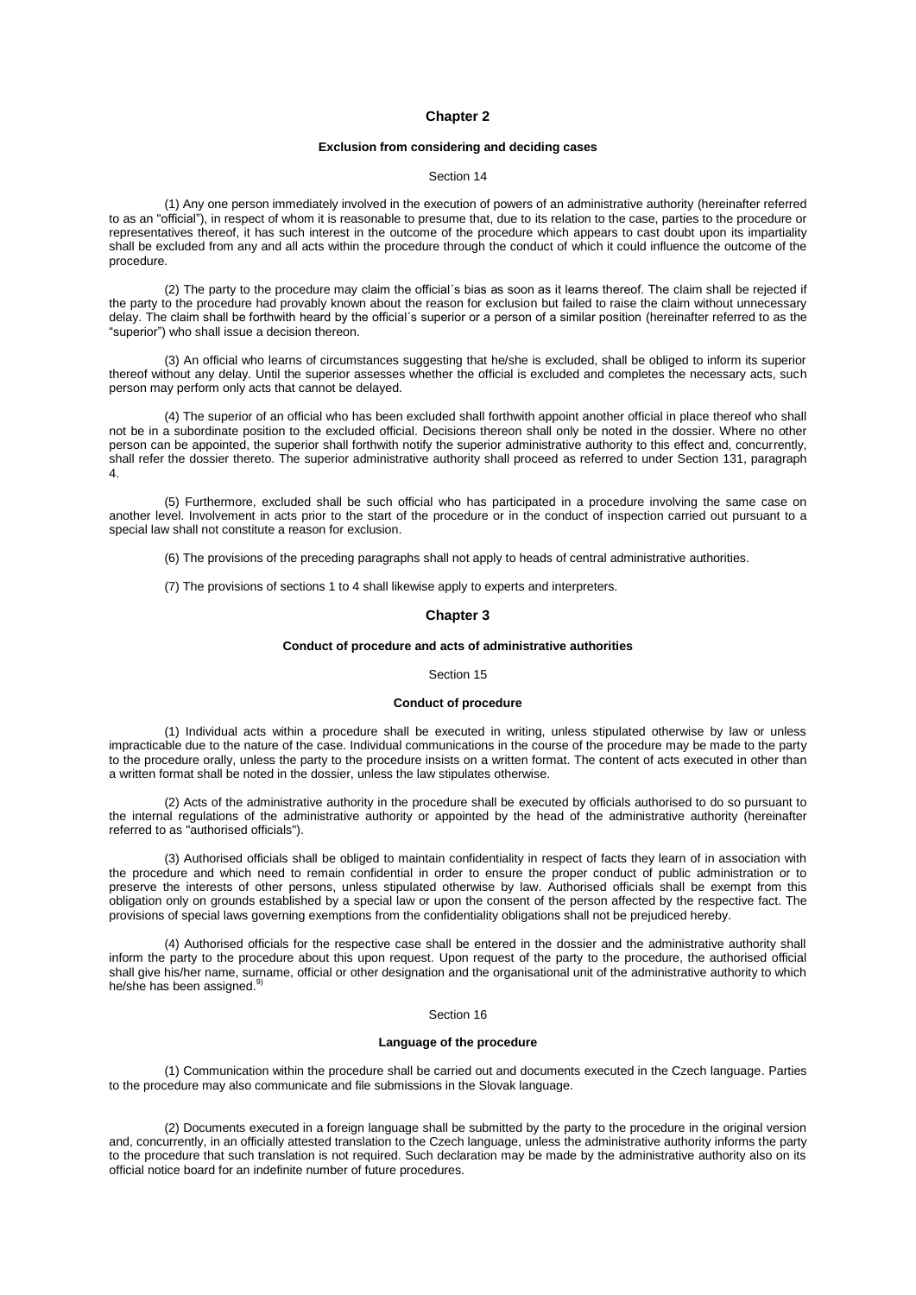# **Chapter 2**

# **Exclusion from considering and deciding cases**

### Section 14

(1) Any one person immediately involved in the execution of powers of an administrative authority (hereinafter referred to as an "official"), in respect of whom it is reasonable to presume that, due to its relation to the case, parties to the procedure or representatives thereof, it has such interest in the outcome of the procedure which appears to cast doubt upon its impartiality shall be excluded from any and all acts within the procedure through the conduct of which it could influence the outcome of the procedure.

(2) The party to the procedure may claim the official´s bias as soon as it learns thereof. The claim shall be rejected if the party to the procedure had provably known about the reason for exclusion but failed to raise the claim without unnecessary delay. The claim shall be forthwith heard by the official´s superior or a person of a similar position (hereinafter referred to as the "superior") who shall issue a decision thereon.

(3) An official who learns of circumstances suggesting that he/she is excluded, shall be obliged to inform its superior thereof without any delay. Until the superior assesses whether the official is excluded and completes the necessary acts, such person may perform only acts that cannot be delayed.

(4) The superior of an official who has been excluded shall forthwith appoint another official in place thereof who shall not be in a subordinate position to the excluded official. Decisions thereon shall only be noted in the dossier. Where no other person can be appointed, the superior shall forthwith notify the superior administrative authority to this effect and, concurrently, shall refer the dossier thereto. The superior administrative authority shall proceed as referred to under Section 131, paragraph 4.

(5) Furthermore, excluded shall be such official who has participated in a procedure involving the same case on another level. Involvement in acts prior to the start of the procedure or in the conduct of inspection carried out pursuant to a special law shall not constitute a reason for exclusion.

(6) The provisions of the preceding paragraphs shall not apply to heads of central administrative authorities.

(7) The provisions of [sections 1 to 4](aspi://module=) shall likewise apply to experts and interpreters.

### **Chapter 3**

# **Conduct of procedure and acts of administrative authorities**

#### Section 15

### **Conduct of procedure**

(1) Individual acts within a procedure shall be executed in writing, unless stipulated otherwise by law or unless impracticable due to the nature of the case. Individual communications in the course of the procedure may be made to the party to the procedure orally, unless the party to the procedure insists on a written format. The content of acts executed in other than a written format shall be noted in the dossier, unless the law stipulates otherwise.

(2) Acts of the administrative authority in the procedure shall be executed by officials authorised to do so pursuant to the internal regulations of the administrative authority or appointed by the head of the administrative authority (hereinafter referred to as "authorised officials").

(3) Authorised officials shall be obliged to maintain confidentiality in respect of facts they learn of in association with the procedure and which need to remain confidential in order to ensure the proper conduct of public administration or to preserve the interests of other persons, unless stipulated otherwise by law. Authorised officials shall be exempt from this obligation only on grounds established by a special law or upon the consent of the person affected by the respective fact. The provisions of special laws governing exemptions from the confidentiality obligations shall not be prejudiced hereby.

(4) Authorised officials for the respective case shall be entered in the dossier and the administrative authority shall inform the party to the procedure about this upon request. Upon request of the party to the procedure, the authorised official shall give his/her name, surname, official or other designation and the organisational unit of the administrative authority to which he/she has been assigned.<sup>9)</sup>

### Section 16

### **Language of the procedure**

(1) Communication within the procedure shall be carried out and documents executed in the Czech language. Parties to the procedure may also communicate and file submissions in the Slovak language.

(2) Documents executed in a foreign language shall be submitted by the party to the procedure in the original version and, concurrently, in an officially attested translation to the Czech language, unless the administrative authority informs the party to the procedure that such translation is not required. Such declaration may be made by the administrative authority also on its official notice board for an indefinite number of future procedures.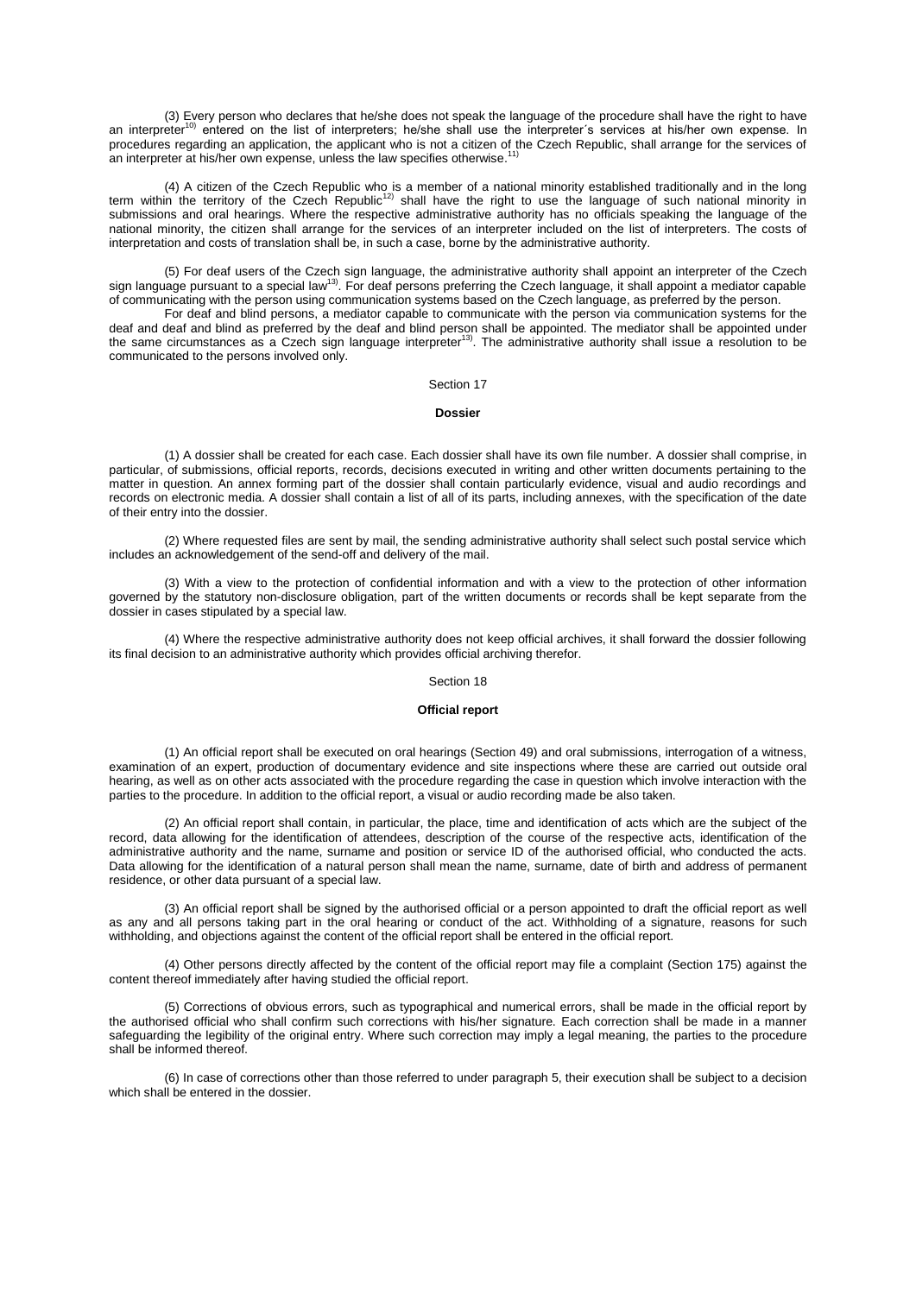(3) Every person who declares that he/she does not speak the language of the procedure shall have the right to have an interpreter<sup>10)</sup> entered on the list of interpreters; he/she shall use the interpreter´s services at his/her own expense. In procedures regarding an application, the applicant who is not a citizen of the Czech Republic, shall arrange for the services of an interpreter at his/her own expense, unless the law specifies otherwise.<sup>11)</sup>

4) A citizen of the Czech Republic who is a member of a national minority established traditionally and in the long)<br>term within the territory of the Czech Republic<sup>12)</sup> shall have the right to use the language of such nat submissions and oral hearings. Where the respective administrative authority has no officials speaking the language of the national minority, the citizen shall arrange for the services of an interpreter included on the list of interpreters. The costs of interpretation and costs of translation shall be, in such a case, borne by the administrative authority.

(5) For deaf users of the Czech sign language, the administrative authority shall appoint an interpreter of the Czech sign language pursuant to a special law<sup>13)</sup>. For deaf persons preferring the Czech language, it shall appoint a mediator capable of communicating with the person using communication systems based on the Czech language, as preferred by the person.

For deaf and blind persons, a mediator capable to communicate with the person via communication systems for the deaf and deaf and blind as preferred by the deaf and blind person shall be appointed. The mediator shall be appointed under<br>the same circumstances as a Czech sign language interpreter<sup>13)</sup>. The administrative authority sha communicated to the persons involved only.

# Section 17

### **Dossier**

(1) A dossier shall be created for each case. Each dossier shall have its own file number. A dossier shall comprise, in particular, of submissions, official reports, records, decisions executed in writing and other written documents pertaining to the matter in question. An annex forming part of the dossier shall contain particularly evidence, visual and audio recordings and records on electronic media. A dossier shall contain a list of all of its parts, including annexes, with the specification of the date of their entry into the dossier.

(2) Where requested files are sent by mail, the sending administrative authority shall select such postal service which includes an acknowledgement of the send-off and delivery of the mail.

(3) With a view to the protection of confidential information and with a view to the protection of other information governed by the statutory non-disclosure obligation, part of the written documents or records shall be kept separate from the dossier in cases stipulated by a special law.

(4) Where the respective administrative authority does not keep official archives, it shall forward the dossier following its final decision to an administrative authority which provides official archiving therefor.

# Section 18

### **Official report**

(1) An official report shall be executed on oral hearings (Section 49) and oral submissions, interrogation of a witness, examination of an expert, production of documentary evidence and site inspections where these are carried out outside oral hearing, as well as on other acts associated with the procedure regarding the case in question which involve interaction with the parties to the procedure. In addition to the official report, a visual or audio recording made be also taken.

(2) An official report shall contain, in particular, the place, time and identification of acts which are the subject of the record, data allowing for the identification of attendees, description of the course of the respective acts, identification of the administrative authority and the name, surname and position or service ID of the authorised official, who conducted the acts. Data allowing for the identification of a natural person shall mean the name, surname, date of birth and address of permanent residence, or other data pursuant of a special law.

(3) An official report shall be signed by the authorised official or a person appointed to draft the official report as well as any and all persons taking part in the oral hearing or conduct of the act. Withholding of a signature, reasons for such withholding, and objections against the content of the official report shall be entered in the official report.

(4) Other persons directly affected by the content of the official report may file a complaint (Section 175) against the content thereof immediately after having studied the official report.

(5) Corrections of obvious errors, such as typographical and numerical errors, shall be made in the official report by the authorised official who shall confirm such corrections with his/her signature. Each correction shall be made in a manner safeguarding the legibility of the original entry. Where such correction may imply a legal meaning, the parties to the procedure shall be informed thereof.

(6) In case of corrections other than those referred to unde[r paragraph 5,](aspi://module=) their execution shall be subject to a decision which shall be entered in the dossier.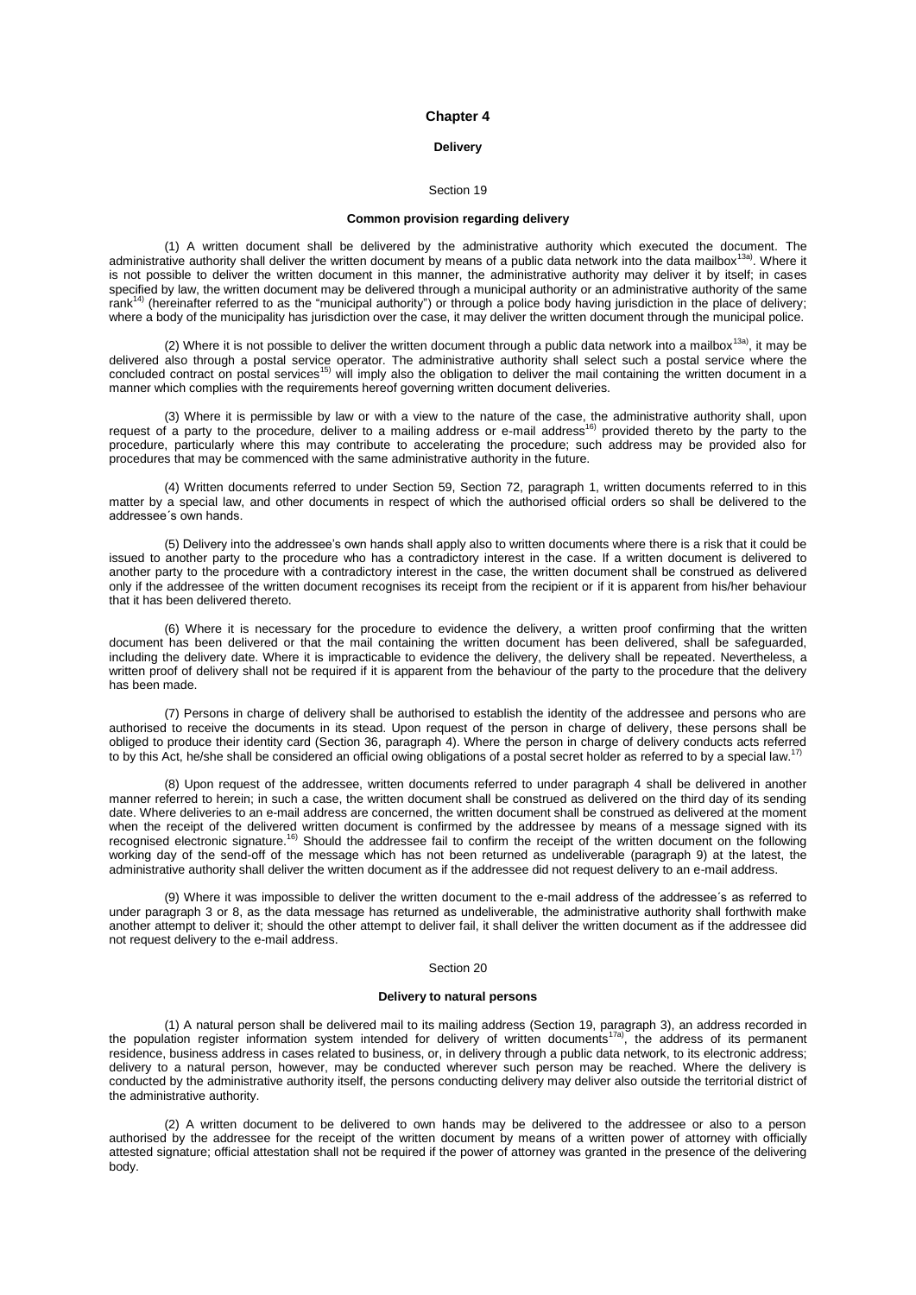## **Chapter 4**

# **Delivery**

### Section 19

## **Common provision regarding delivery**

(1) A written document shall be delivered by the administrative authority which executed the document. The administrative authority shall deliver the written document by means of a public data network into the data mailbox<sup>13a)</sup>. Where it is not possible to deliver the written document in this manner, the administrative authority may deliver it by itself; in cases specified by law, the written document may be delivered through a municipal authority or an administrative authority of the same  $rank<sup>14</sup>$  (hereinafter referred to as the "municipal authority") or through a police body having jurisdiction in the place of delivery; where a body of the municipality has jurisdiction over the case, it may deliver the written document through the municipal police.

(2) Where it is not possible to deliver the written document through a public data network into a mailbox<sup>13a)</sup>, it may be delivered also through a postal service operator. The administrative authority shall select such a postal service where the<br>concluded contract on postal services<sup>15)</sup> will imply also the obligation to deliver the mail cont manner which complies with the requirements hereof governing written document deliveries.

(3) Where it is permissible by law or with a view to the nature of the case, the administrative authority shall, upon<br>request of a party to the procedure, deliver to a mailing address or e-mail address<sup>16)</sup> provided theret procedure, particularly where this may contribute to accelerating the procedure; such address may be provided also for procedures that may be commenced with the same administrative authority in the future.

(4) Written documents referred to under Section 59, Section 72, paragraph 1, written documents referred to in this matter by a special law, and other documents in respect of which the authorised official orders so shall be delivered to the addressee´s own hands.

(5) Delivery into the addressee's own hands shall apply also to written documents where there is a risk that it could be issued to another party to the procedure who has a contradictory interest in the case. If a written document is delivered to another party to the procedure with a contradictory interest in the case, the written document shall be construed as delivered only if the addressee of the written document recognises its receipt from the recipient or if it is apparent from his/her behaviour that it has been delivered thereto.

(6) Where it is necessary for the procedure to evidence the delivery, a written proof confirming that the written document has been delivered or that the mail containing the written document has been delivered, shall be safeguarded, including the delivery date. Where it is impracticable to evidence the delivery, the delivery shall be repeated. Nevertheless, a written proof of delivery shall not be required if it is apparent from the behaviour of the party to the procedure that the delivery has been made.

(7) Persons in charge of delivery shall be authorised to establish the identity of the addressee and persons who are authorised to receive the documents in its stead. Upon request of the person in charge of delivery, these persons shall be obliged to produce their identity card (Section 36, paragraph 4). Where the person in charge of delivery conducts acts referred to by this Act, he/she shall be considered an official owing obligations of a postal secret holder as referred to by a special law.<sup>17</sup>

(8) Upon request of the addressee, written documents referred to under paragraph 4 shall be delivered in another manner referred to herein; in such a case, the written document shall be construed as delivered on the third day of its sending date. Where deliveries to an e-mail address are concerned, the written document shall be construed as delivered at the moment when the receipt of the delivered written document is confirmed by the addressee by means of a message signed with its recognised electronic signature.<sup>16)</sup> Should the addressee fail to confirm the receipt of the written document on the following working day of the send-off of the message which has not been returned as undeliverable (paragraph 9) at the latest, the administrative authority shall deliver the written document as if the addressee did not request delivery to an e-mail address.

(9) Where it was impossible to deliver the written document to the e-mail address of the addressee´s as referred to under paragraph 3 or 8, as the data message has returned as undeliverable, the administrative authority shall forthwith make another attempt to deliver it; should the other attempt to deliver fail, it shall deliver the written document as if the addressee did not request delivery to the e-mail address.

## Section 20

### **Delivery to natural persons**

(1) A natural person shall be delivered mail to its mailing address (Section 19, paragraph 3), an address recorded in the population register information system intended for delivery of written documents<sup>17a)</sup>, the address of its permanent residence, business address in cases related to business, or, in delivery through a public data network, to its electronic address; delivery to a natural person, however, may be conducted wherever such person may be reached. Where the delivery is conducted by the administrative authority itself, the persons conducting delivery may deliver also outside the territorial district of the administrative authority.

(2) A written document to be delivered to own hands may be delivered to the addressee or also to a person authorised by the addressee for the receipt of the written document by means of a written power of attorney with officially attested signature; official attestation shall not be required if the power of attorney was granted in the presence of the delivering body.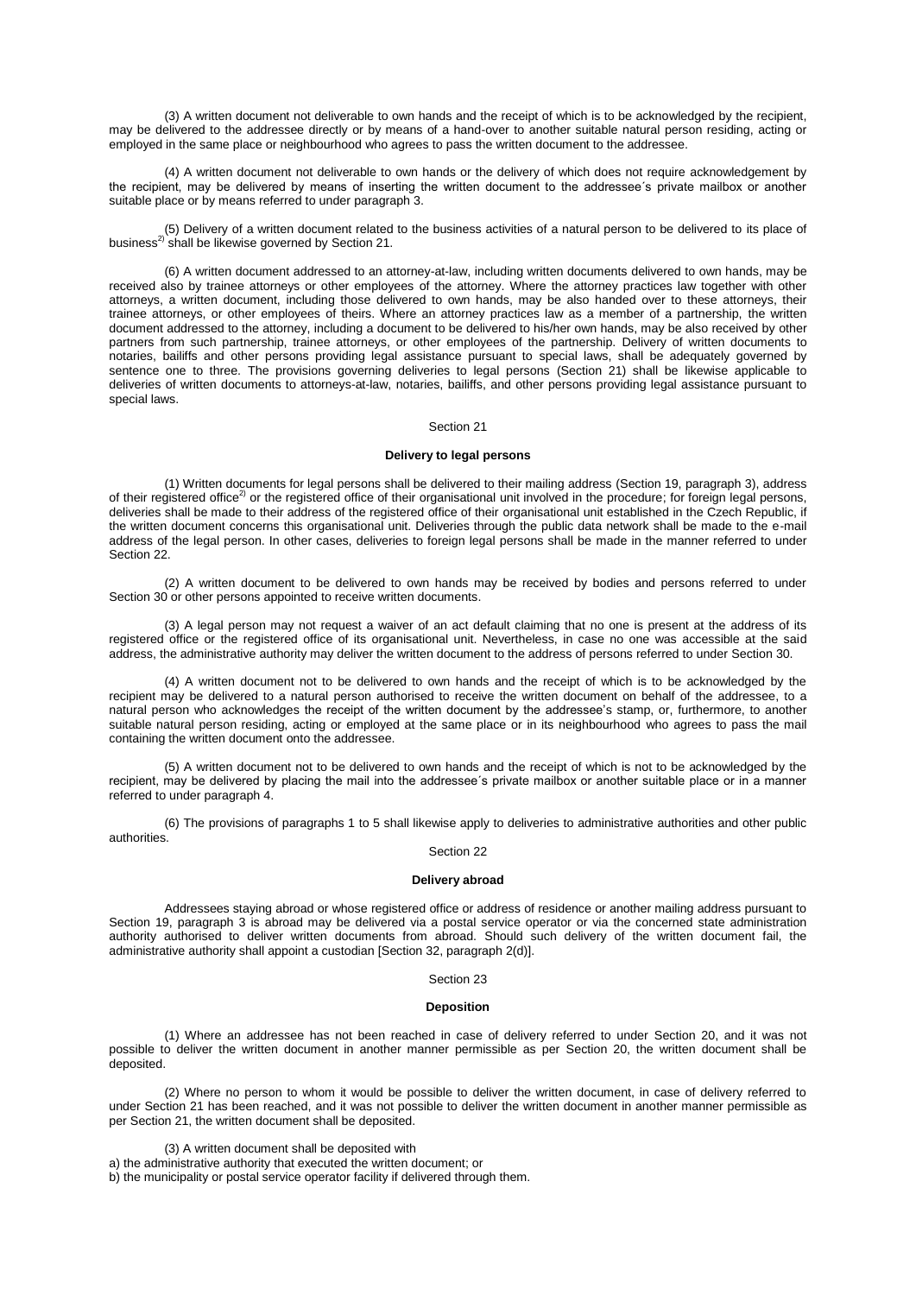(3) A written document not deliverable to own hands and the receipt of which is to be acknowledged by the recipient, may be delivered to the addressee directly or by means of a hand-over to another suitable natural person residing, acting or employed in the same place or neighbourhood who agrees to pass the written document to the addressee.

(4) A written document not deliverable to own hands or the delivery of which does not require acknowledgement by the recipient, may be delivered by means of inserting the written document to the addressee´s private mailbox or another suitable place or by means referred to under paragraph 3.

(5) Delivery of a written document related to the business activities of a natural person to be delivered to its place of business<sup>2)</sup> shall be likewise governed by Section 21.

(6) A written document addressed to an attorney-at-law, including written documents delivered to own hands, may be received also by trainee attorneys or other employees of the attorney. Where the attorney practices law together with other attorneys, a written document, including those delivered to own hands, may be also handed over to these attorneys, their trainee attorneys, or other employees of theirs. Where an attorney practices law as a member of a partnership, the written document addressed to the attorney, including a document to be delivered to his/her own hands, may be also received by other partners from such partnership, trainee attorneys, or other employees of the partnership. Delivery of written documents to notaries, bailiffs and other persons providing legal assistance pursuant to special laws, shall be adequately governed by sentence one to three. The provisions governing deliveries to legal persons (Section 21) shall be likewise applicable to deliveries of written documents to attorneys-at-law, notaries, bailiffs, and other persons providing legal assistance pursuant to special laws.

### Section 21

### **Delivery to legal persons**

(1) Written documents for legal persons shall be delivered to their mailing address (Section 19, paragraph 3), address of their registered office<sup>2)</sup> or the registered office of their organisational unit involved in the procedure; for foreign legal persons, deliveries shall be made to their address of the registered office of their organisational unit established in the Czech Republic, if the written document concerns this organisational unit. Deliveries through the public data network shall be made to the e-mail address of the legal person. In other cases, deliveries to foreign legal persons shall be made in the manner referred to under Section 22.

(2) A written document to be delivered to own hands may be received by bodies and persons referred to under Section 30 or other persons appointed to receive written documents.

(3) A legal person may not request a waiver of an act default claiming that no one is present at the address of its registered office or the registered office of its organisational unit. Nevertheless, in case no one was accessible at the said address, the administrative authority may deliver the written document to the address of persons referred to under Section 30.

(4) A written document not to be delivered to own hands and the receipt of which is to be acknowledged by the recipient may be delivered to a natural person authorised to receive the written document on behalf of the addressee, to a natural person who acknowledges the receipt of the written document by the addressee's stamp, or, furthermore, to another suitable natural person residing, acting or employed at the same place or in its neighbourhood who agrees to pass the mail containing the written document onto the addressee.

(5) A written document not to be delivered to own hands and the receipt of which is not to be acknowledged by the recipient, may be delivered by placing the mail into the addressee´s private mailbox or another suitable place or in a manner referred to under paragraph 4.

(6) The provisions of paragraphs 1 to 5 shall likewise apply to deliveries to administrative authorities and other public authorities.

# Section 22

### **Delivery abroad**

Addressees staying abroad or whose registered office or address of residence or another mailing address pursuant to Section 19, paragraph 3 is abroad may be delivered via a postal service operator or via the concerned state administration authority authorised to deliver written documents from abroad. Should such delivery of the written document fail, the administrative authority shall appoint a custodian [Section 32, paragraph 2(d)].

### Section 23

# **Deposition**

(1) Where an addressee has not been reached in case of delivery referred to under Section 20, and it was not possible to deliver the written document in another manner permissible as per Section 20, the written document shall be deposited.

(2) Where no person to whom it would be possible to deliver the written document, in case of delivery referred to under Section 21 has been reached, and it was not possible to deliver the written document in another manner permissible as per Section 21, the written document shall be deposited.

(3) A written document shall be deposited with

a) the administrative authority that executed the written document; or

b) the municipality or postal service operator facility if delivered through them.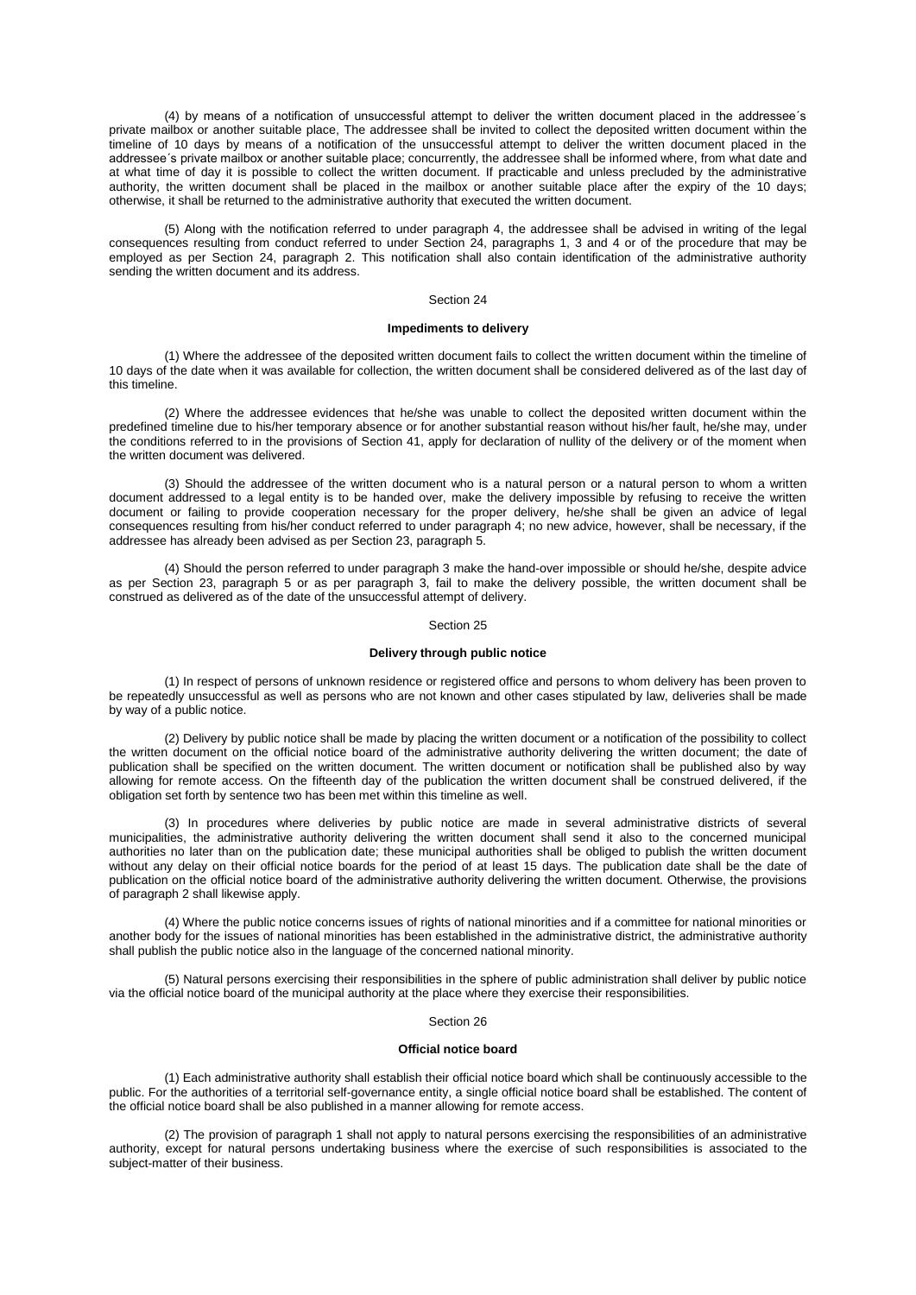(4) by means of a notification of unsuccessful attempt to deliver the written document placed in the addressee´s private mailbox or another suitable place, The addressee shall be invited to collect the deposited written document within the timeline of 10 days by means of a notification of the unsuccessful attempt to deliver the written document placed in the addressee´s private mailbox or another suitable place; concurrently, the addressee shall be informed where, from what date and at what time of day it is possible to collect the written document. If practicable and unless precluded by the administrative authority, the written document shall be placed in the mailbox or another suitable place after the expiry of the 10 days; otherwise, it shall be returned to the administrative authority that executed the written document.

(5) Along with the notification referred to under paragraph 4, the addressee shall be advised in writing of the legal consequences resulting from conduct referred to under Section 24, paragraphs 1, [3](aspi://module=) and [4](aspi://module=) or of the procedure that may be employed as per Section 24, paragraph 2. This notification shall also contain identification of the administrative authority sending the written document and its address.

# Section 24

# **Impediments to delivery**

(1) Where the addressee of the deposited written document fails to collect the written document within the timeline of 10 days of the date when it was available for collection, the written document shall be considered delivered as of the last day of this timeline.

(2) Where the addressee evidences that he/she was unable to collect the deposited written document within the predefined timeline due to his/her temporary absence or for another substantial reason without his/her fault, he/she may, under the conditions referred to in the provisions of Section 41, apply for declaration of nullity of the delivery or of the moment when the written document was delivered.

(3) Should the addressee of the written document who is a natural person or a natural person to whom a written document addressed to a legal entity is to be handed over, make the delivery impossible by refusing to receive the written document or failing to provide cooperation necessary for the proper delivery, he/she shall be given an advice of legal consequences resulting from his/her conduct referred to under paragraph 4; no new advice, however, shall be necessary, if the addressee has already been advised as per Section 23, paragraph 5.

(4) Should the person referred to under paragraph 3 make the hand-over impossible or should he/she, despite advice as per Section 23, paragraph 5 or as per paragraph 3, fail to make the delivery possible, the written document shall be construed as delivered as of the date of the unsuccessful attempt of delivery.

#### Section 25

# **Delivery through public notice**

(1) In respect of persons of unknown residence or registered office and persons to whom delivery has been proven to be repeatedly unsuccessful as well as persons who are not known and other cases stipulated by law, deliveries shall be made by way of a public notice.

(2) Delivery by public notice shall be made by placing the written document or a notification of the possibility to collect the written document on the official notice board of the administrative authority delivering the written document; the date of publication shall be specified on the written document. The written document or notification shall be published also by way allowing for remote access. On the fifteenth day of the publication the written document shall be construed delivered, if the obligation set forth by sentence two has been met within this timeline as well.

(3) In procedures where deliveries by public notice are made in several administrative districts of several municipalities, the administrative authority delivering the written document shall send it also to the concerned municipal authorities no later than on the publication date; these municipal authorities shall be obliged to publish the written document without any delay on their official notice boards for the period of at least 15 days. The publication date shall be the date of publication on the official notice board of the administrative authority delivering the written document. Otherwise, the provisions of paragraph 2 shall likewise apply.

(4) Where the public notice concerns issues of rights of national minorities and if a committee for national minorities or another body for the issues of national minorities has been established in the administrative district, the administrative authority shall publish the public notice also in the language of the concerned national minority.

(5) Natural persons exercising their responsibilities in the sphere of public administration shall deliver by public notice via the official notice board of the municipal authority at the place where they exercise their responsibilities.

### Section 26

### **Official notice board**

(1) Each administrative authority shall establish their official notice board which shall be continuously accessible to the public. For the authorities of a territorial self-governance entity, a single official notice board shall be established. The content of the official notice board shall be also published in a manner allowing for remote access.

(2) The provision of paragraph 1 shall not apply to natural persons exercising the responsibilities of an administrative authority, except for natural persons undertaking business where the exercise of such responsibilities is associated to the subject-matter of their business.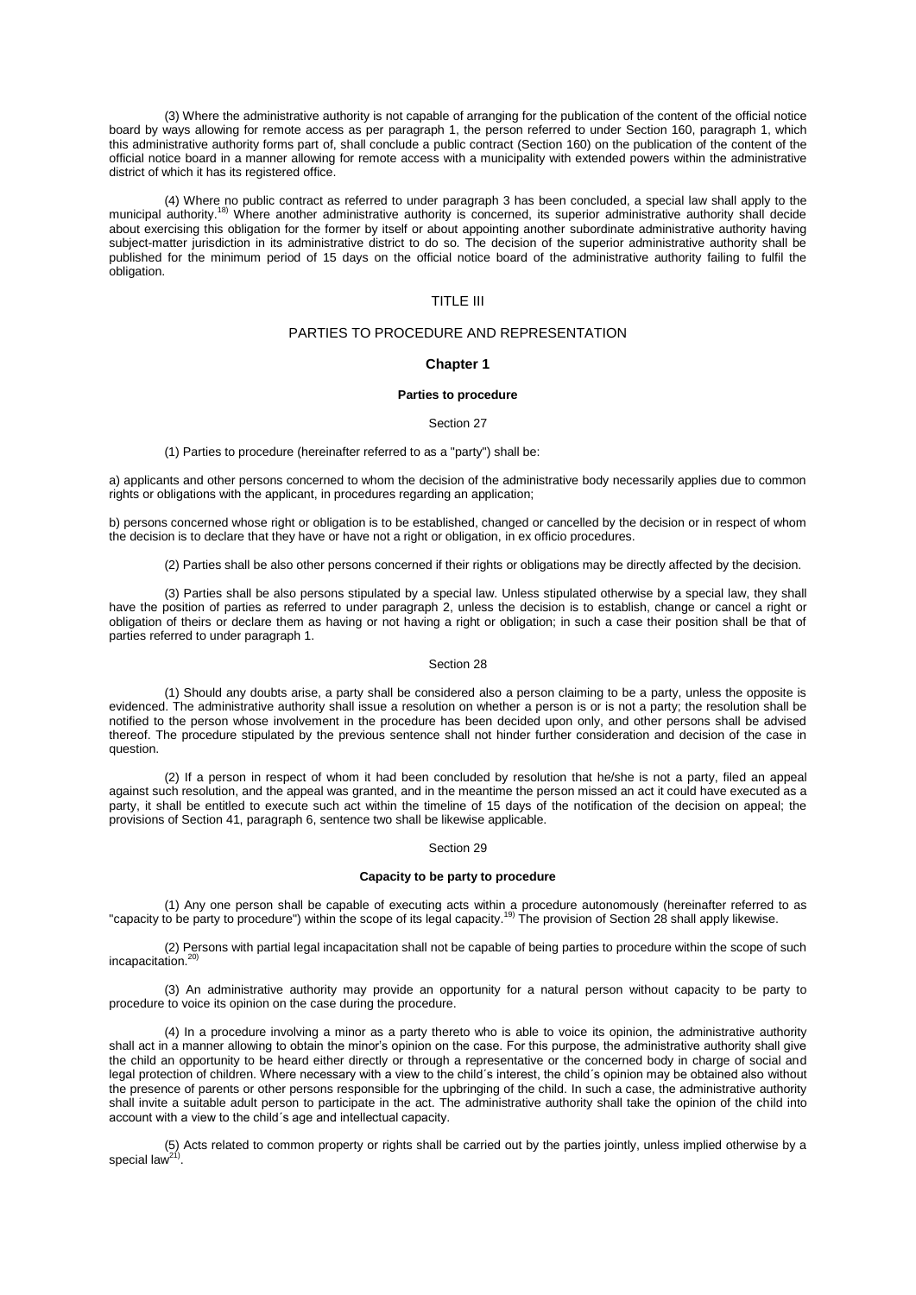(3) Where the administrative authority is not capable of arranging for the publication of the content of the official notice board by ways allowing for remote access as per paragraph 1, the person referred to under Section 160, paragraph 1, which this administrative authority forms part of, shall conclude a public contract (Section 160) on the publication of the content of the official notice board in a manner allowing for remote access with a municipality with extended powers within the administrative district of which it has its registered office.

(4) Where no public contract as referred to under paragraph 3 has been concluded, a special law shall apply to the municipal authority.<sup>18)</sup> Where another administrative authority is concerned, its superior administrative authority shall decide about exercising this obligation for the former by itself or about appointing another subordinate administrative authority having subject-matter jurisdiction in its administrative district to do so. The decision of the superior administrative authority shall be published for the minimum period of 15 days on the official notice board of the administrative authority failing to fulfil the obligation.

# TITLE III

# PARTIES TO PROCEDURE AND REPRESENTATION

# **Chapter 1**

### **Parties to procedure**

### Section 27

### (1) Parties to procedure (hereinafter referred to as a "party") shall be:

a) applicants and other persons concerned to whom the decision of the administrative body necessarily applies due to common rights or obligations with the applicant, in procedures regarding an application;

b) persons concerned whose right or obligation is to be established, changed or cancelled by the decision or in respect of whom the decision is to declare that they have or have not a right or obligation, in ex officio procedures.

(2) Parties shall be also other persons concerned if their rights or obligations may be directly affected by the decision.

(3) Parties shall be also persons stipulated by a special law. Unless stipulated otherwise by a special law, they shall have the position of parties as referred to under [paragraph 2,](aspi://module=) unless the decision is to establish, change or cancel a right or obligation of theirs or declare them as having or not having a right or obligation; in such a case their position shall be that of parties referred to under [paragraph 1.](aspi://module=)

## Section 28

(1) Should any doubts arise, a party shall be considered also a person claiming to be a party, unless the opposite is evidenced. The administrative authority shall issue a resolution on whether a person is or is not a party; the resolution shall be notified to the person whose involvement in the procedure has been decided upon only, and other persons shall be advised thereof. The procedure stipulated by the previous sentence shall not hinder further consideration and decision of the case in question.

(2) If a person in respect of whom it had been concluded by resolution that he/she is not a party, filed an appeal against such resolution, and the appeal was granted, and in the meantime the person missed an act it could have executed as a party, it shall be entitled to execute such act within the timeline of 15 days of the notification of the decision on appeal; the provisions of Section 41, paragraph 6, sentence two shall be likewise applicable.

### Section 29

#### **Capacity to be party to procedure**

(1) Any one person shall be capable of executing acts within a procedure autonomously (hereinafter referred to as "capacity to be party to procedure") within the scope of its legal capacity.<sup>19)</sup> The provision of [Section](aspi://module=) 28 shall apply likewise.

(2) Persons with partial legal incapacitation shall not be capable of being parties to procedure within the scope of such incapacitation. 20)

(3) An administrative authority may provide an opportunity for a natural person without capacity to be party to procedure to voice its opinion on the case during the procedure.

(4) In a procedure involving a minor as a party thereto who is able to voice its opinion, the administrative authority shall act in a manner allowing to obtain the minor's opinion on the case. For this purpose, the administrative authority shall give the child an opportunity to be heard either directly or through a representative or the concerned body in charge of social and legal protection of children. Where necessary with a view to the child´s interest, the child´s opinion may be obtained also without the presence of parents or other persons responsible for the upbringing of the child. In such a case, the administrative authority shall invite a suitable adult person to participate in the act. The administrative authority shall take the opinion of the child into account with a view to the child´s age and intellectual capacity.

(5) Acts related to common property or rights shall be carried out by the parties jointly, unless implied otherwise by a special law<sup>21)</sup>.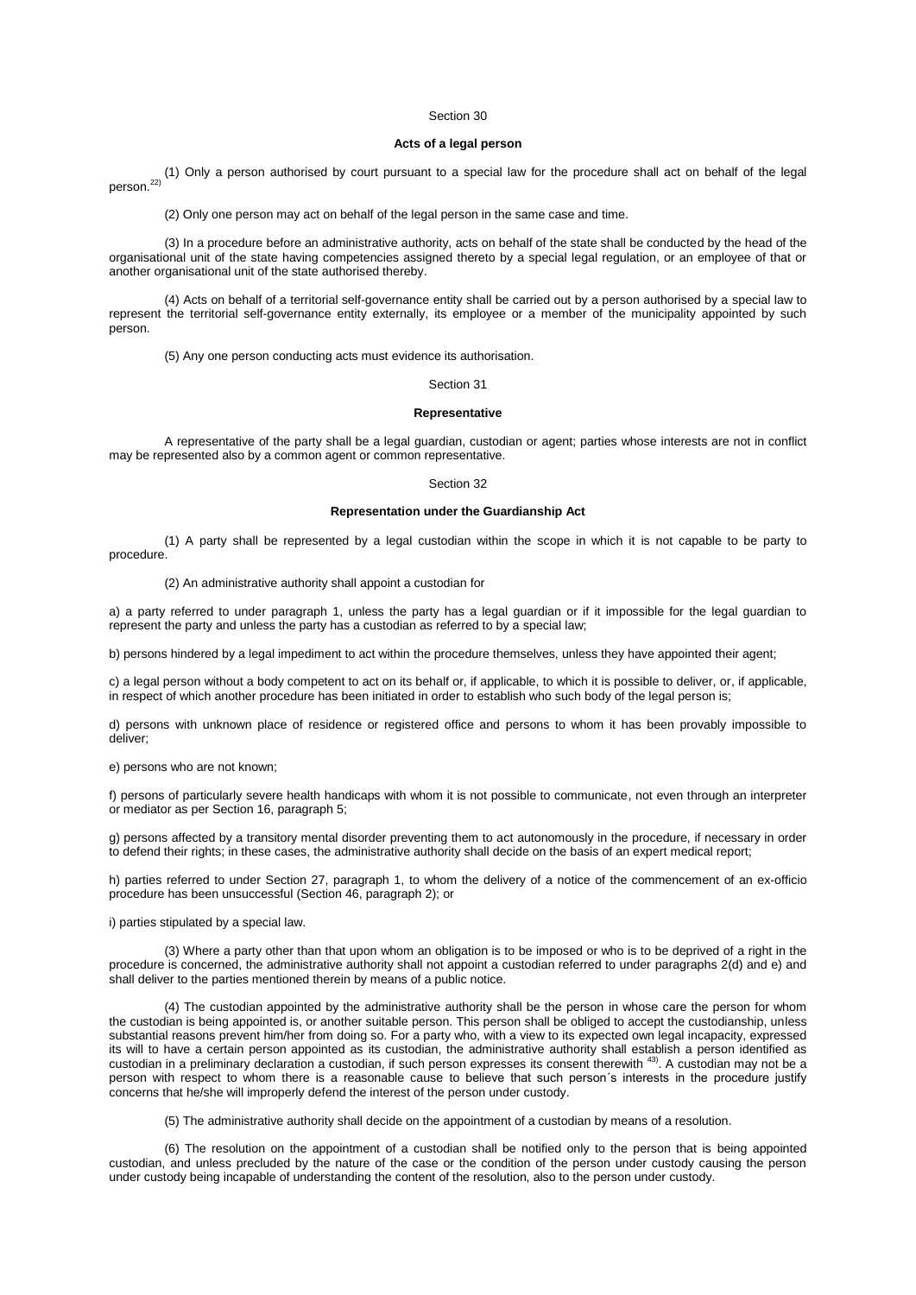# **Acts of a legal person**

(1) Only a person authorised by court pursuant to a special law for the procedure shall act on behalf of the legal person. 22)

(2) Only one person may act on behalf of the legal person in the same case and time.

(3) In a procedure before an administrative authority, acts on behalf of the state shall be conducted by the head of the organisational unit of the state having competencies assigned thereto by a special legal regulation, or an employee of that or another organisational unit of the state authorised thereby.

(4) Acts on behalf of a territorial self-governance entity shall be carried out by a person authorised by a special law to represent the territorial self-governance entity externally, its employee or a member of the municipality appointed by such person.

(5) Any one person conducting acts must evidence its authorisation.

### Section 31

### **Representative**

A representative of the party shall be a legal guardian, custodian or agent; parties whose interests are not in conflict may be represented also by a common agent or common representative.

### Section 32

# **Representation under the Guardianship Act**

(1) A party shall be represented by a legal custodian within the scope in which it is not capable to be party to procedure.

### (2) An administrative authority shall appoint a custodian for

a) a party referred to under [paragraph 1,](aspi://module=) unless the party has a legal guardian or if it impossible for the legal guardian to represent the party and unless the party has a custodian as referred to by a special law;

b) persons hindered by a legal impediment to act within the procedure themselves, unless they have appointed their agent;

c) a legal person without a body competent to act on its behalf or, if applicable, to which it is possible to deliver, or, if applicable, in respect of which another procedure has been initiated in order to establish who such body of the legal person is;

d) persons with unknown place of residence or registered office and persons to whom it has been provably impossible to deliver;

e) persons who are not known;

f) persons of particularly severe health handicaps with whom it is not possible to communicate, not even through an interpreter or mediator as per Section [16, paragraph](aspi://module=) 5;

g) persons affected by a transitory mental disorder preventing them to act autonomously in the procedure, if necessary in order to defend their rights; in these cases, the administrative authority shall decide on the basis of an expert medical report;

h) parties referred to under Section [27, paragraph](aspi://module=) 1, to whom the delivery of a notice of the commencement of an ex-officio procedure has been unsuccessful (Section [46, paragraph](aspi://module=) 2); or

i) parties stipulated by a special law.

(3) Where a party other than that upon whom an obligation is to be imposed or who is to be deprived of a right in the procedure is concerned, the administrative authority shall not appoint a custodian referred to under [paragraphs](aspi://module=) 2(d) and [e\)](aspi://module=) and shall deliver to the parties mentioned therein by means of a public notice.

(4) The custodian appointed by the administrative authority shall be the person in whose care the person for whom the custodian is being appointed is, or another suitable person. This person shall be obliged to accept the custodianship, unless substantial reasons prevent him/her from doing so. For a party who, with a view to its expected own legal incapacity, expressed its will to have a certain person appointed as its custodian, the administrative authority shall establish a person identified as custodian in a preliminary declaration a custodian, if such person expresses its consent therewith  $^{43}$ . A custodian may not be a person with respect to whom there is a reasonable cause to believe that such person´s interests in the procedure justify concerns that he/she will improperly defend the interest of the person under custody.

(5) The administrative authority shall decide on the appointment of a custodian by means of a resolution.

(6) The resolution on the appointment of a custodian shall be notified only to the person that is being appointed custodian, and unless precluded by the nature of the case or the condition of the person under custody causing the person under custody being incapable of understanding the content of the resolution, also to the person under custody.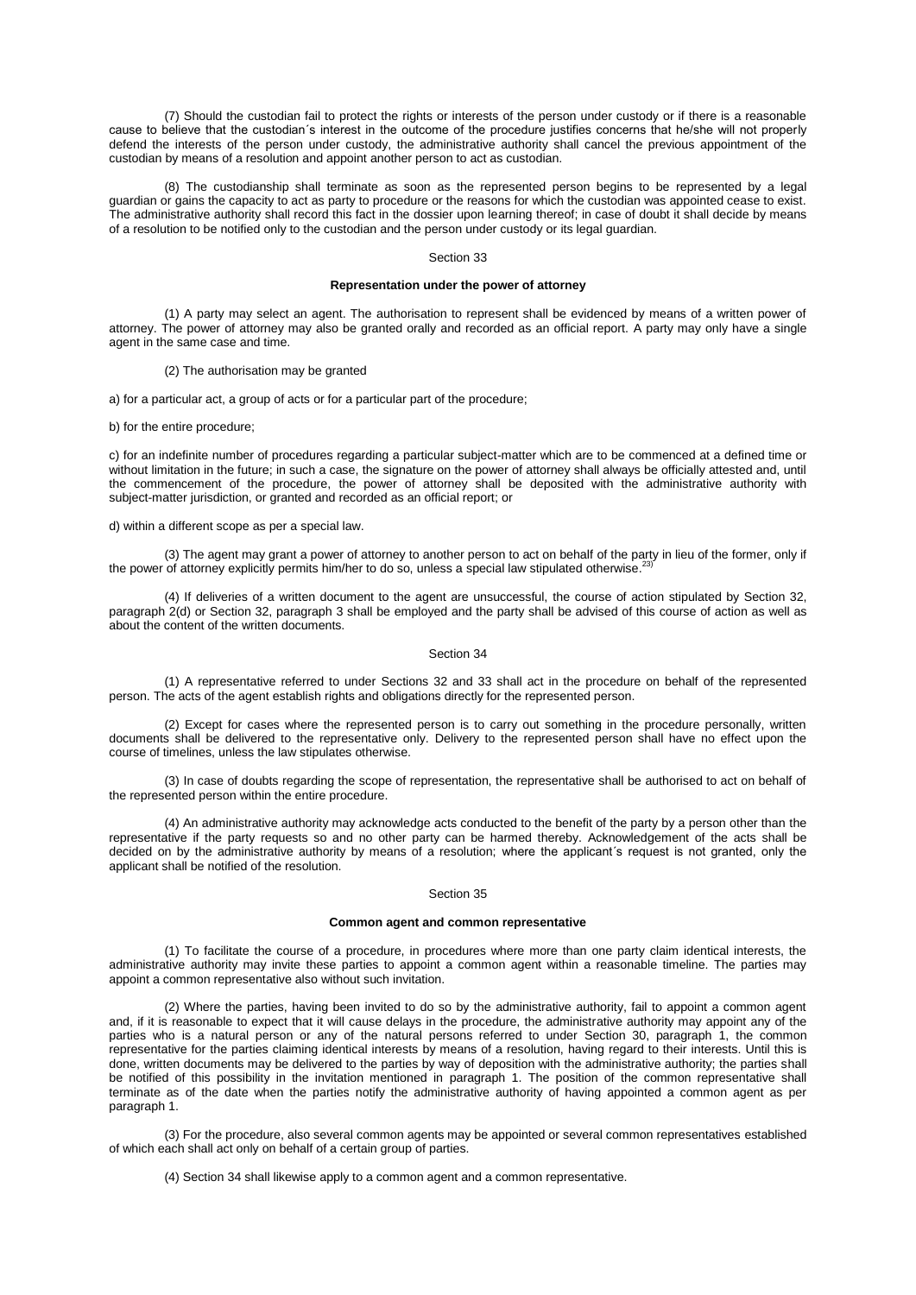(7) Should the custodian fail to protect the rights or interests of the person under custody or if there is a reasonable cause to believe that the custodian´s interest in the outcome of the procedure justifies concerns that he/she will not properly defend the interests of the person under custody, the administrative authority shall cancel the previous appointment of the custodian by means of a resolution and appoint another person to act as custodian.

(8) The custodianship shall terminate as soon as the represented person begins to be represented by a legal guardian or gains the capacity to act as party to procedure or the reasons for which the custodian was appointed cease to exist. The administrative authority shall record this fact in the dossier upon learning thereof; in case of doubt it shall decide by means of a resolution to be notified only to the custodian and the person under custody or its legal guardian.

### Section 33

## **Representation under the power of attorney**

(1) A party may select an agent. The authorisation to represent shall be evidenced by means of a written power of attorney. The power of attorney may also be granted orally and recorded as an official report. A party may only have a single agent in the same case and time.

### (2) The authorisation may be granted

a) for a particular act, a group of acts or for a particular part of the procedure;

b) for the entire procedure;

c) for an indefinite number of procedures regarding a particular subject-matter which are to be commenced at a defined time or without limitation in the future; in such a case, the signature on the power of attorney shall always be officially attested and, until the commencement of the procedure, the power of attorney shall be deposited with the administrative authority with subject-matter jurisdiction, or granted and recorded as an official report; or

d) within a different scope as per a special law.

(3) The agent may grant a power of attorney to another person to act on behalf of the party in lieu of the former, only if the power of attorney explicitly permits him/her to do so, unless a special law stipulated otherwise.<sup>23)</sup>

(4) If deliveries of a written document to the agent are unsuccessful, the course of action stipulated by [Section](aspi://module=) 32, [paragraph](aspi://module=) 2(d) or Section [32, paragraph](aspi://module=) 3 shall be employed and the party shall be advised of this course of action as well as about the content of the written documents.

# Section 34

(1) A representative referred to under [Sections](aspi://module=) 32 and [33](aspi://module=) shall act in the procedure on behalf of the represented person. The acts of the agent establish rights and obligations directly for the represented person.

(2) Except for cases where the represented person is to carry out something in the procedure personally, written documents shall be delivered to the representative only. Delivery to the represented person shall have no effect upon the course of timelines, unless the law stipulates otherwise.

(3) In case of doubts regarding the scope of representation, the representative shall be authorised to act on behalf of the represented person within the entire procedure.

(4) An administrative authority may acknowledge acts conducted to the benefit of the party by a person other than the representative if the party requests so and no other party can be harmed thereby. Acknowledgement of the acts shall be decided on by the administrative authority by means of a resolution; where the applicant´s request is not granted, only the applicant shall be notified of the resolution.

### Section 35

# **Common agent and common representative**

(1) To facilitate the course of a procedure, in procedures where more than one party claim identical interests, the administrative authority may invite these parties to appoint a common agent within a reasonable timeline. The parties may appoint a common representative also without such invitation.

(2) Where the parties, having been invited to do so by the administrative authority, fail to appoint a common agent and, if it is reasonable to expect that it will cause delays in the procedure, the administrative authority may appoint any of the parties who is a natural person or any of the natural persons referred to under Section [30, paragraph](aspi://module=) 1, the common representative for the parties claiming identical interests by means of a resolution, having regard to their interests. Until this is done, written documents may be delivered to the parties by way of deposition with the administrative authority; the parties shall be notified of this possibility in the invitation mentioned in [paragraph 1.](aspi://module=) The position of the common representative shall terminate as of the date when the parties notify the administrative authority of having appointed a common agent as per [paragraph 1.](aspi://module=)

(3) For the procedure, also several common agents may be appointed or several common representatives established of which each shall act only on behalf of a certain group of parties.

(4) [Section](aspi://module=) 34 shall likewise apply to a common agent and a common representative.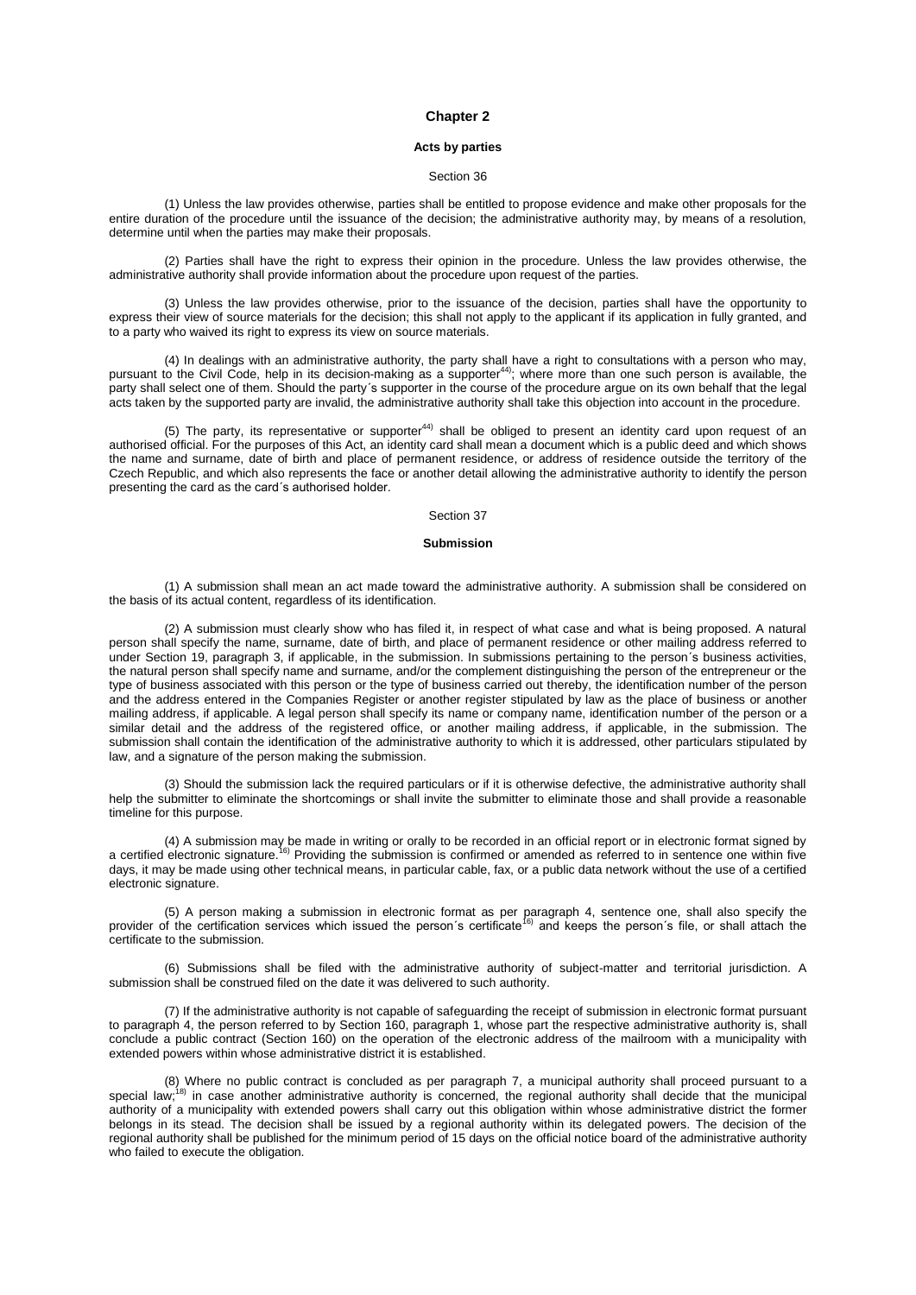## **Chapter 2**

# **Acts by parties**

### Section 36

(1) Unless the law provides otherwise, parties shall be entitled to propose evidence and make other proposals for the entire duration of the procedure until the issuance of the decision; the administrative authority may, by means of a resolution, determine until when the parties may make their proposals.

(2) Parties shall have the right to express their opinion in the procedure. Unless the law provides otherwise, the administrative authority shall provide information about the procedure upon request of the parties.

(3) Unless the law provides otherwise, prior to the issuance of the decision, parties shall have the opportunity to express their view of source materials for the decision; this shall not apply to the applicant if its application in fully granted, and to a party who waived its right to express its view on source materials.

(4) In dealings with an administrative authority, the party shall have a right to consultations with a person who may, pursuant to the Civil Code, help in its decision-making as a supporter44); where more than one such person is available, the party shall select one of them. Should the party´s supporter in the course of the procedure argue on its own behalf that the legal acts taken by the supported party are invalid, the administrative authority shall take this objection into account in the procedure.

(5) The party, its representative or supporter<sup>44)</sup> shall be obliged to present an identity card upon request of an authorised official. For the purposes of this Act, an identity card shall mean a document which is a public deed and which shows the name and surname, date of birth and place of permanent residence, or address of residence outside the territory of the Czech Republic, and which also represents the face or another detail allowing the administrative authority to identify the person presenting the card as the card´s authorised holder.

# Section 37

### **Submission**

(1) A submission shall mean an act made toward the administrative authority. A submission shall be considered on the basis of its actual content, regardless of its identification.

(2) A submission must clearly show who has filed it, in respect of what case and what is being proposed. A natural person shall specify the name, surname, date of birth, and place of permanent residence or other mailing address referred to under Section [19, paragraph](aspi://module=) 3, if applicable, in the submission. In submissions pertaining to the person´s business activities, the natural person shall specify name and surname, and/or the complement distinguishing the person of the entrepreneur or the type of business associated with this person or the type of business carried out thereby, the identification number of the person and the address entered in the Companies Register or another register stipulated by law as the place of business or another mailing address, if applicable. A legal person shall specify its name or company name, identification number of the person or a similar detail and the address of the registered office, or another mailing address, if applicable, in the submission. The submission shall contain the identification of the administrative authority to which it is addressed, other particulars stipulated by law, and a signature of the person making the submission.

(3) Should the submission lack the required particulars or if it is otherwise defective, the administrative authority shall help the submitter to eliminate the shortcomings or shall invite the submitter to eliminate those and shall provide a reasonable timeline for this purpose.

(4) A submission may be made in writing or orally to be recorded in an official report or in electronic format signed by a certified electronic signature.<sup>16)</sup> Providing the submission is confirmed or amended as referred to in sentence one within five days, it may be made using other technical means, in particular cable, fax, or a public data network without the use of a certified electronic signature.

(5) (5) (5) (5) (5) A person making a submission in electronic format as per [paragraph 4,](aspi://module=) sentence one, shall also specify the<br>provider of the certification services which issued the person's certificate<sup>16)</sup> and keeps the certificate to the submission.

(6) Submissions shall be filed with the administrative authority of subject-matter and territorial jurisdiction. A submission shall be construed filed on the date it was delivered to such authority.

(7) If the administrative authority is not capable of safeguarding the receipt of submission in electronic format pursuant to [paragraph 4,](aspi://module=) the person referred to by Section [160, paragraph](aspi://module=) 1, whose part the respective administrative authority is, shall conclude a public contract [\(Section](aspi://module=) 160) on the operation of the electronic address of the mailroom with a municipality with extended powers within whose administrative district it is established.

(8) Where no public contract is concluded as per [paragraph 7,](aspi://module=) a municipal authority shall proceed pursuant to a special law;<sup>18)</sup> in case another administrative authority is concerned, the regional authority shall decide that the municipal authority of a municipality with extended powers shall carry out this obligation within whose administrative district the former belongs in its stead. The decision shall be issued by a regional authority within its delegated powers. The decision of the regional authority shall be published for the minimum period of 15 days on the official notice board of the administrative authority who failed to execute the obligation.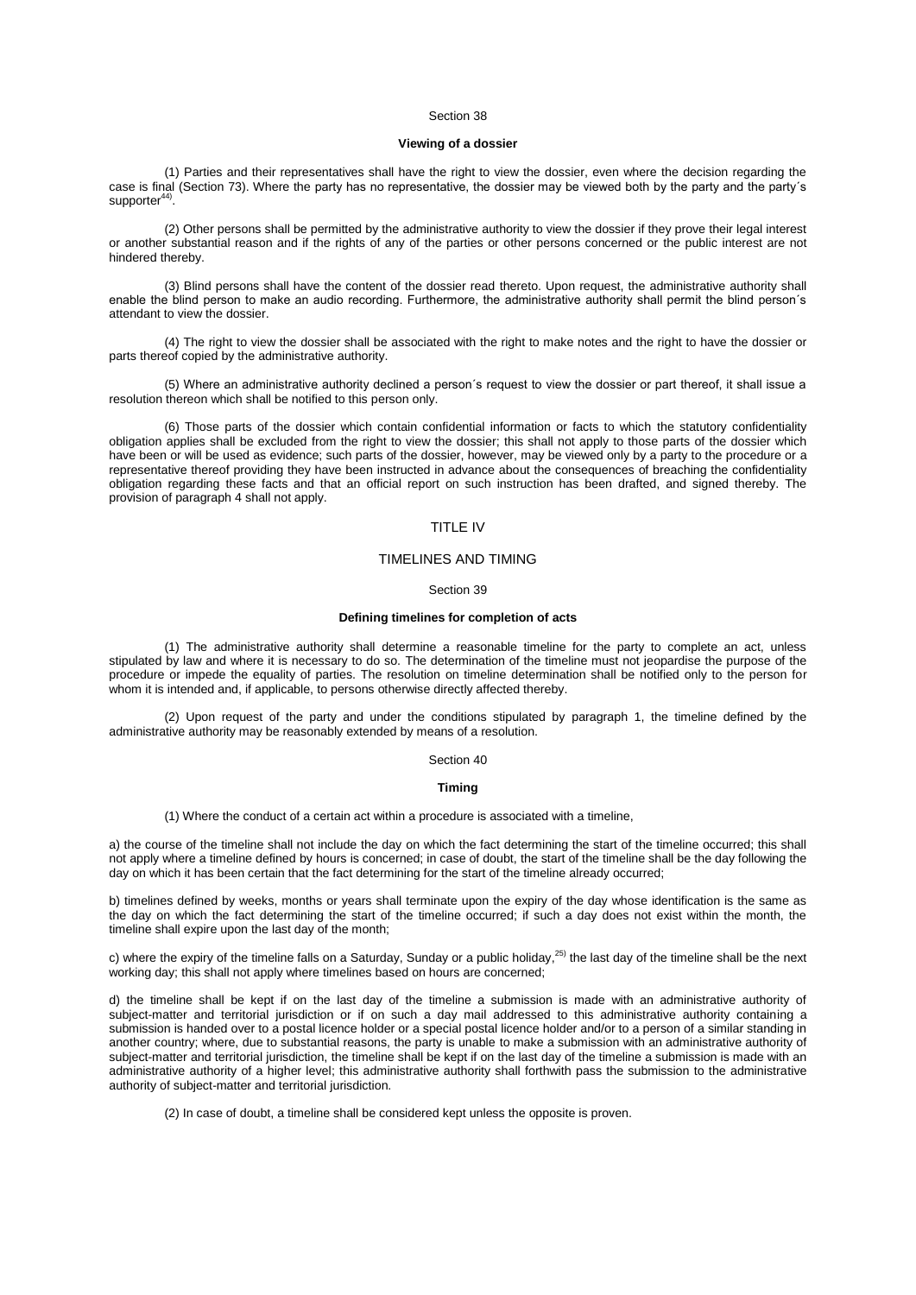## **Viewing of a dossier**

(1) Parties and their representatives shall have the right to view the dossier, even where the decision regarding the case is final [\(Section](aspi://module=) 73). Where the party has no representative, the dossier may be viewed both by the party and the party´s supporter $44$ .

(2) Other persons shall be permitted by the administrative authority to view the dossier if they prove their legal interest or another substantial reason and if the rights of any of the parties or other persons concerned or the public interest are not hindered thereby.

(3) Blind persons shall have the content of the dossier read thereto. Upon request, the administrative authority shall enable the blind person to make an audio recording. Furthermore, the administrative authority shall permit the blind person´s attendant to view the dossier.

(4) The right to view the dossier shall be associated with the right to make notes and the right to have the dossier or parts thereof copied by the administrative authority.

(5) Where an administrative authority declined a person´s request to view the dossier or part thereof, it shall issue a resolution thereon which shall be notified to this person only.

(6) Those parts of the dossier which contain confidential information or facts to which the statutory confidentiality obligation applies shall be excluded from the right to view the dossier; this shall not apply to those parts of the dossier which have been or will be used as evidence; such parts of the dossier, however, may be viewed only by a party to the procedure or a representative thereof providing they have been instructed in advance about the consequences of breaching the confidentiality obligation regarding these facts and that an official report on such instruction has been drafted, and signed thereby. The provision of [paragraph 4](aspi://module=) shall not apply.

# TITLE IV

### TIMELINES AND TIMING

### Section 39

# **Defining timelines for completion of acts**

(1) The administrative authority shall determine a reasonable timeline for the party to complete an act, unless stipulated by law and where it is necessary to do so. The determination of the timeline must not jeopardise the purpose of the procedure or impede the equality of parties. The resolution on timeline determination shall be notified only to the person for whom it is intended and, if applicable, to persons otherwise directly affected thereby.

(2) Upon request of the party and under the conditions stipulated by [paragraph 1,](aspi://module=) the timeline defined by the administrative authority may be reasonably extended by means of a resolution.

Section 40

### **Timing**

(1) Where the conduct of a certain act within a procedure is associated with a timeline,

a) the course of the timeline shall not include the day on which the fact determining the start of the timeline occurred; this shall not apply where a timeline defined by hours is concerned; in case of doubt, the start of the timeline shall be the day following the day on which it has been certain that the fact determining for the start of the timeline already occurred;

b) timelines defined by weeks, months or years shall terminate upon the expiry of the day whose identification is the same as the day on which the fact determining the start of the timeline occurred; if such a day does not exist within the month, the timeline shall expire upon the last day of the month;

c) where the expiry of the timeline falls on a Saturday, Sunday or a public holiday,<sup>25)</sup> the last day of the timeline shall be the next working day; this shall not apply where timelines based on hours are concerned;

d) the timeline shall be kept if on the last day of the timeline a submission is made with an administrative authority of subject-matter and territorial jurisdiction or if on such a day mail addressed to this administrative authority containing a submission is handed over to a postal licence holder or a special postal licence holder and/or to a person of a similar standing in another country; where, due to substantial reasons, the party is unable to make a submission with an administrative authority of subject-matter and territorial jurisdiction, the timeline shall be kept if on the last day of the timeline a submission is made with an administrative authority of a higher level; this administrative authority shall forthwith pass the submission to the administrative authority of subject-matter and territorial jurisdiction.

(2) In case of doubt, a timeline shall be considered kept unless the opposite is proven.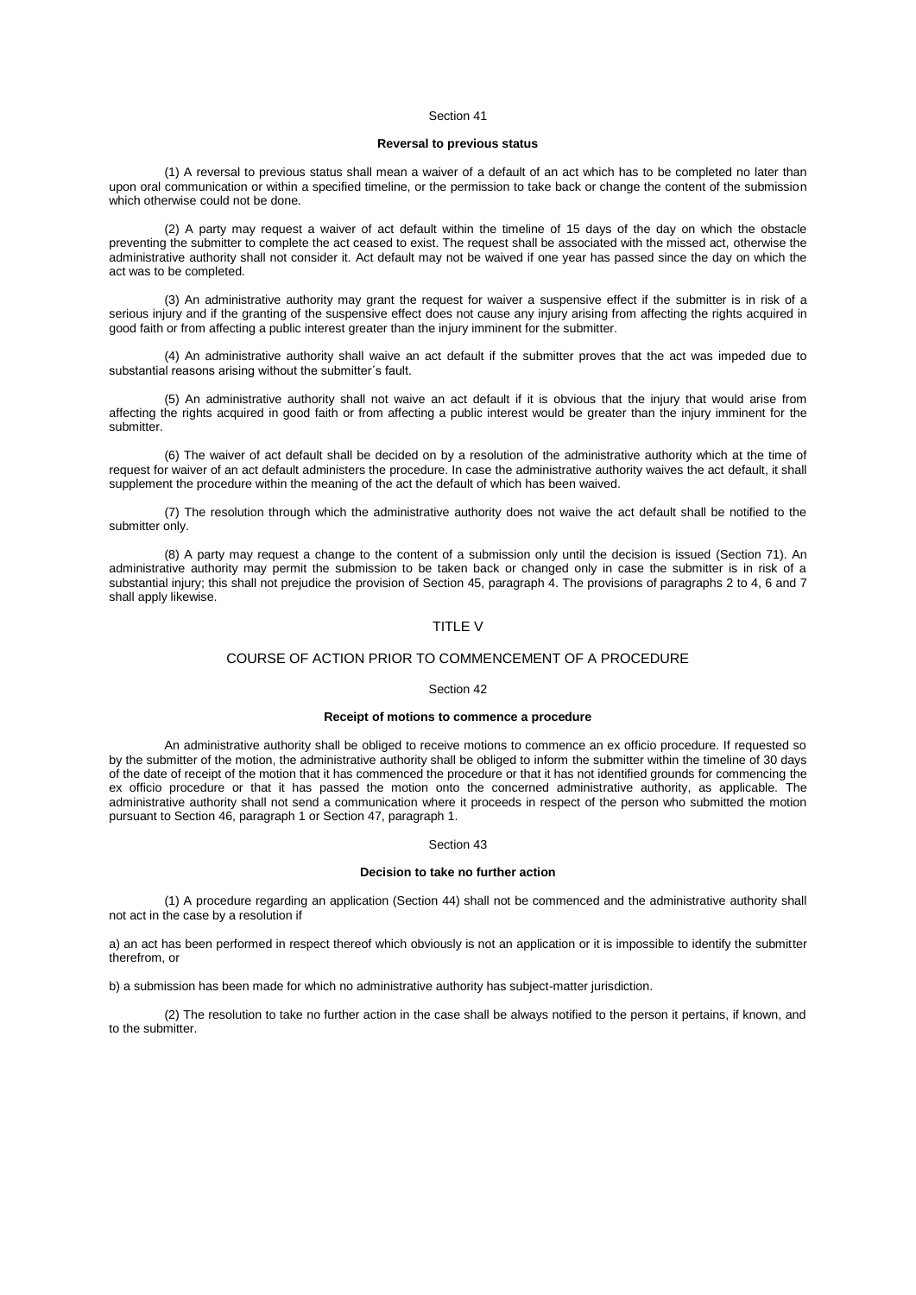# **Reversal to previous status**

(1) A reversal to previous status shall mean a waiver of a default of an act which has to be completed no later than upon oral communication or within a specified timeline, or the permission to take back or change the content of the submission which otherwise could not be done.

(2) A party may request a waiver of act default within the timeline of 15 days of the day on which the obstacle preventing the submitter to complete the act ceased to exist. The request shall be associated with the missed act, otherwise the administrative authority shall not consider it. Act default may not be waived if one year has passed since the day on which the act was to be completed.

(3) An administrative authority may grant the request for waiver a suspensive effect if the submitter is in risk of a serious injury and if the granting of the suspensive effect does not cause any injury arising from affecting the rights acquired in good faith or from affecting a public interest greater than the injury imminent for the submitter.

(4) An administrative authority shall waive an act default if the submitter proves that the act was impeded due to substantial reasons arising without the submitter´s fault.

(5) An administrative authority shall not waive an act default if it is obvious that the injury that would arise from affecting the rights acquired in good faith or from affecting a public interest would be greater than the injury imminent for the submitter.

(6) The waiver of act default shall be decided on by a resolution of the administrative authority which at the time of request for waiver of an act default administers the procedure. In case the administrative authority waives the act default, it shall supplement the procedure within the meaning of the act the default of which has been waived.

(7) The resolution through which the administrative authority does not waive the act default shall be notified to the submitter only.

(8) A party may request a change to the content of a submission only until the decision is issued [\(Section](aspi://module=) 71). An administrative authority may permit the submission to be taken back or changed only in case the submitter is in risk of a substantial injury; this shall not prejudice the provision of Section [45, paragraph](aspi://module=) 4. The provisions o[f paragraphs 2 to 4, 6](aspi://module=) and [7](aspi://module=) shall apply likewise.

# TITLE V

# COURSE OF ACTION PRIOR TO COMMENCEMENT OF A PROCEDURE

#### Section 42

# **Receipt of motions to commence a procedure**

An administrative authority shall be obliged to receive motions to commence an ex officio procedure. If requested so by the submitter of the motion, the administrative authority shall be obliged to inform the submitter within the timeline of 30 days of the date of receipt of the motion that it has commenced the procedure or that it has not identified grounds for commencing the ex officio procedure or that it has passed the motion onto the concerned administrative authority, as applicable. The administrative authority shall not send a communication where it proceeds in respect of the person who submitted the motion pursuant to Section [46, paragraph](aspi://module=) 1 or Section [47, paragraph](aspi://module=) 1.

#### Section 43

## **Decision to take no further action**

(1) A procedure regarding an application [\(Section](aspi://module=) 44) shall not be commenced and the administrative authority shall not act in the case by a resolution if

a) an act has been performed in respect thereof which obviously is not an application or it is impossible to identify the submitter therefrom, or

b) a submission has been made for which no administrative authority has subject-matter jurisdiction.

(2) The resolution to take no further action in the case shall be always notified to the person it pertains, if known, and to the submitter.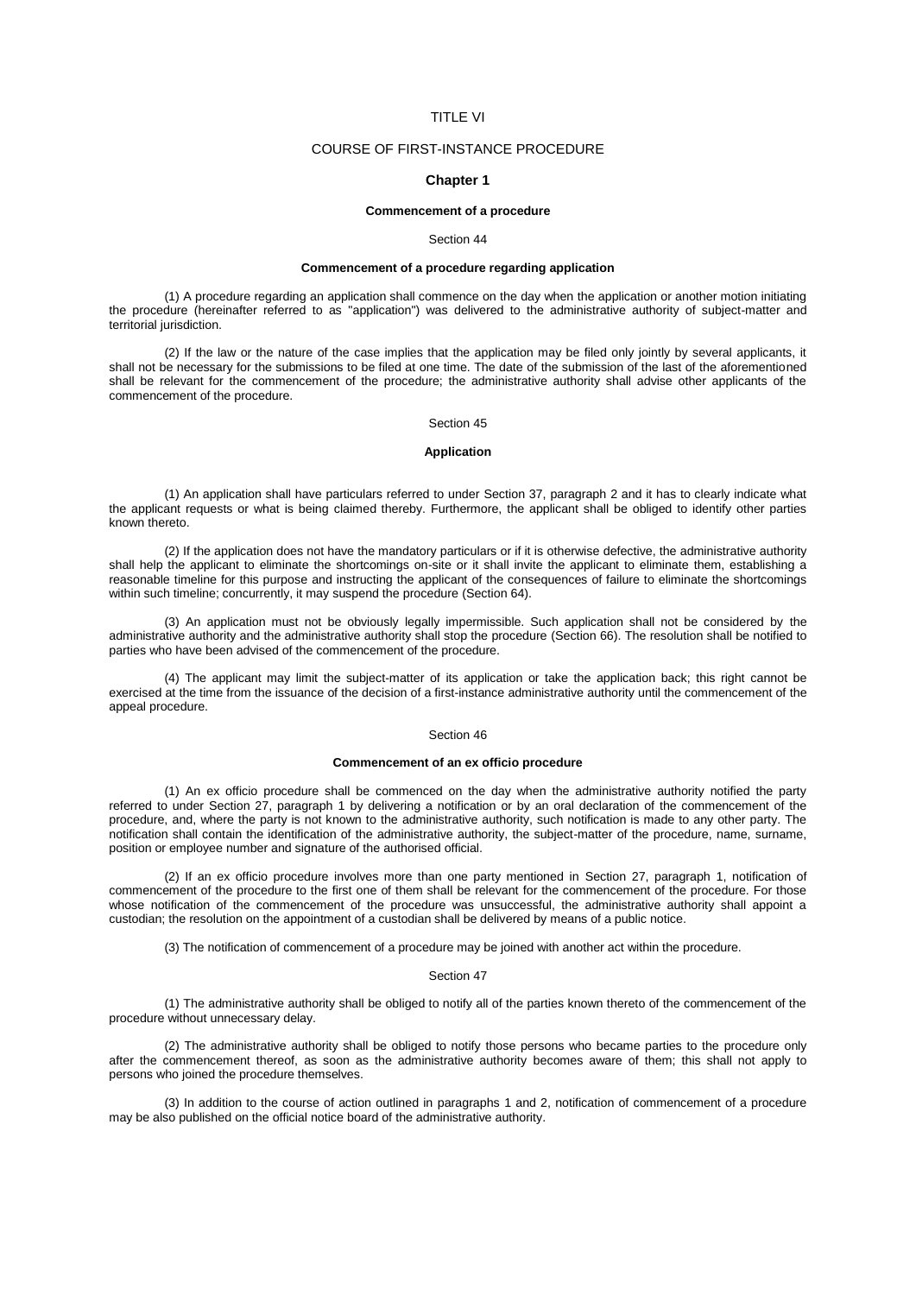# TITLE VI

# COURSE OF FIRST-INSTANCE PROCEDURE

## **Chapter 1**

# **Commencement of a procedure**

#### Section 44

# **Commencement of a procedure regarding application**

(1) A procedure regarding an application shall commence on the day when the application or another motion initiating the procedure (hereinafter referred to as "application") was delivered to the administrative authority of subject-matter and territorial jurisdiction.

(2) If the law or the nature of the case implies that the application may be filed only jointly by several applicants, it shall not be necessary for the submissions to be filed at one time. The date of the submission of the last of the aforementioned shall be relevant for the commencement of the procedure; the administrative authority shall advise other applicants of the commencement of the procedure.

### Section 45

### **Application**

(1) An application shall have particulars referred to under Section [37, paragraph](aspi://module=) 2 and it has to clearly indicate what the applicant requests or what is being claimed thereby. Furthermore, the applicant shall be obliged to identify other parties known thereto.

(2) If the application does not have the mandatory particulars or if it is otherwise defective, the administrative authority shall help the applicant to eliminate the shortcomings on-site or it shall invite the applicant to eliminate them, establishing a reasonable timeline for this purpose and instructing the applicant of the consequences of failure to eliminate the shortcomings within such timeline; concurrently, it may suspend the procedure [\(Section](aspi://module=) 64).

(3) An application must not be obviously legally impermissible. Such application shall not be considered by the administrative authority and the administrative authority shall stop the procedure [\(Section](aspi://module=) 66). The resolution shall be notified to parties who have been advised of the commencement of the procedure.

(4) The applicant may limit the subject-matter of its application or take the application back; this right cannot be exercised at the time from the issuance of the decision of a first-instance administrative authority until the commencement of the appeal procedure.

### Section 46

# **Commencement of an ex officio procedure**

(1) An ex officio procedure shall be commenced on the day when the administrative authority notified the party referred to under Section [27, paragraph](aspi://module=) 1 by delivering a notification or by an oral declaration of the commencement of the procedure, and, where the party is not known to the administrative authority, such notification is made to any other party. The notification shall contain the identification of the administrative authority, the subject-matter of the procedure, name, surname, position or employee number and signature of the authorised official.

(2) If an ex officio procedure involves more than one party mentioned in Section [27, paragraph](aspi://module=) 1, notification of commencement of the procedure to the first one of them shall be relevant for the commencement of the procedure. For those whose notification of the commencement of the procedure was unsuccessful, the administrative authority shall appoint a custodian; the resolution on the appointment of a custodian shall be delivered by means of a public notice.

(3) The notification of commencement of a procedure may be joined with another act within the procedure.

## Section 47

(1) The administrative authority shall be obliged to notify all of the parties known thereto of the commencement of the procedure without unnecessary delay.

(2) The administrative authority shall be obliged to notify those persons who became parties to the procedure only after the commencement thereof, as soon as the administrative authority becomes aware of them; this shall not apply to persons who joined the procedure themselves.

(3) In addition to the course of action outlined in [paragraphs 1](aspi://module=) and [2,](aspi://module=) notification of commencement of a procedure may be also published on the official notice board of the administrative authority.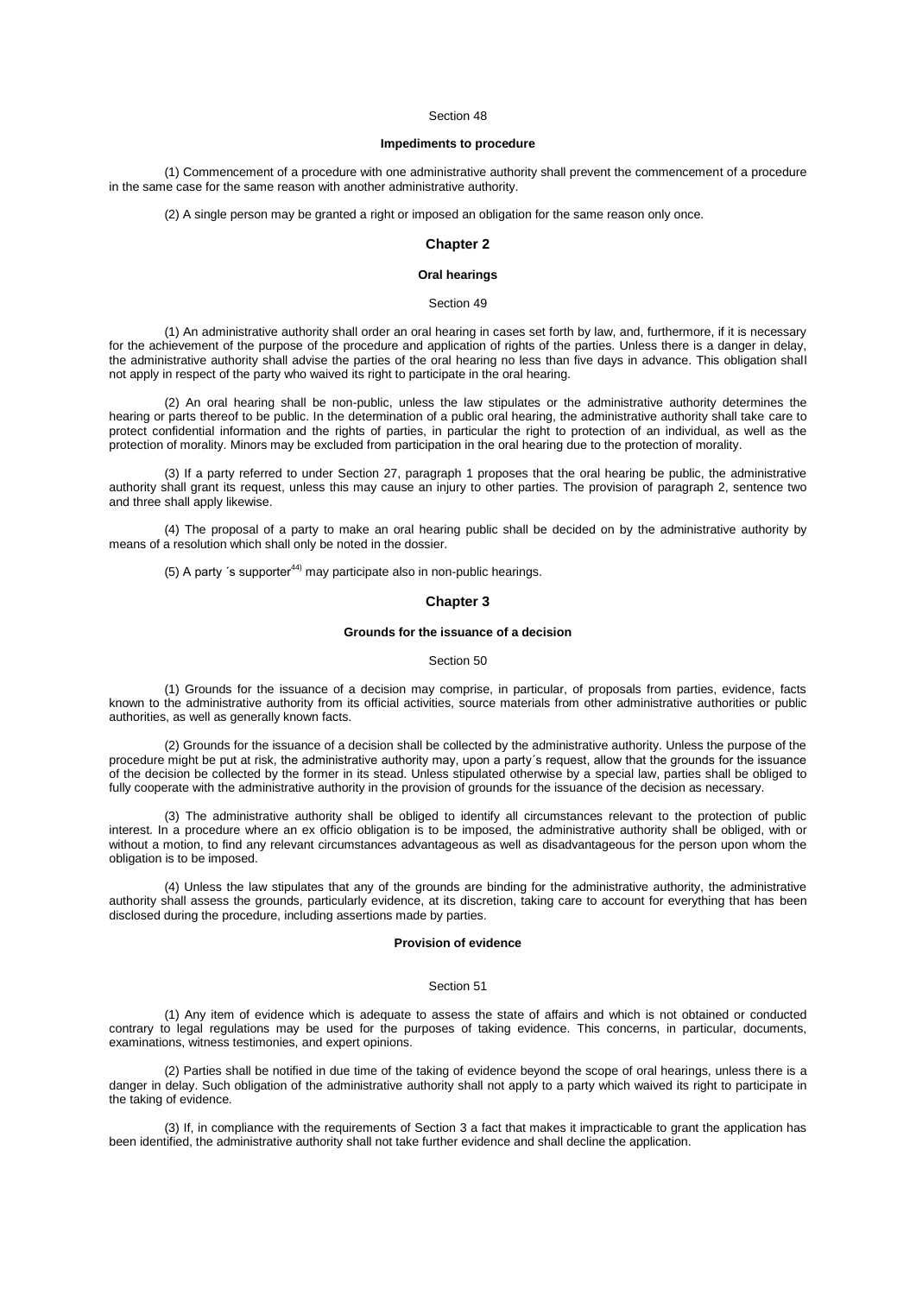# **Impediments to procedure**

(1) Commencement of a procedure with one administrative authority shall prevent the commencement of a procedure in the same case for the same reason with another administrative authority.

(2) A single person may be granted a right or imposed an obligation for the same reason only once.

# **Chapter 2**

### **Oral hearings**

Section 49

(1) An administrative authority shall order an oral hearing in cases set forth by law, and, furthermore, if it is necessary for the achievement of the purpose of the procedure and application of rights of the parties. Unless there is a danger in delay, the administrative authority shall advise the parties of the oral hearing no less than five days in advance. This obligation shall not apply in respect of the party who waived its right to participate in the oral hearing.

(2) An oral hearing shall be non-public, unless the law stipulates or the administrative authority determines the hearing or parts thereof to be public. In the determination of a public oral hearing, the administrative authority shall take care to protect confidential information and the rights of parties, in particular the right to protection of an individual, as well as the protection of morality. Minors may be excluded from participation in the oral hearing due to the protection of morality.

(3) If a party referred to under Section [27, paragraph](aspi://module=) 1 proposes that the oral hearing be public, the administrative authority shall grant its request, unless this may cause an injury to other parties. The provision of [paragraph 2,](aspi://module=) sentence two and three shall apply likewise.

(4) The proposal of a party to make an oral hearing public shall be decided on by the administrative authority by means of a resolution which shall only be noted in the dossier.

(5) A party 's supporter $44$ <sup>)</sup> may participate also in non-public hearings.

# **Chapter 3**

# **Grounds for the issuance of a decision**

#### Section 50

(1) Grounds for the issuance of a decision may comprise, in particular, of proposals from parties, evidence, facts known to the administrative authority from its official activities, source materials from other administrative authorities or public authorities, as well as generally known facts.

(2) Grounds for the issuance of a decision shall be collected by the administrative authority. Unless the purpose of the procedure might be put at risk, the administrative authority may, upon a party´s request, allow that the grounds for the issuance of the decision be collected by the former in its stead. Unless stipulated otherwise by a special law, parties shall be obliged to fully cooperate with the administrative authority in the provision of grounds for the issuance of the decision as necessary.

(3) The administrative authority shall be obliged to identify all circumstances relevant to the protection of public interest. In a procedure where an ex officio obligation is to be imposed, the administrative authority shall be obliged, with or without a motion, to find any relevant circumstances advantageous as well as disadvantageous for the person upon whom the obligation is to be imposed.

(4) Unless the law stipulates that any of the grounds are binding for the administrative authority, the administrative authority shall assess the grounds, particularly evidence, at its discretion, taking care to account for everything that has been disclosed during the procedure, including assertions made by parties.

### **Provision of evidence**

# Section 51

(1) Any item of evidence which is adequate to assess the state of affairs and which is not obtained or conducted contrary to legal regulations may be used for the purposes of taking evidence. This concerns, in particular, documents, examinations, witness testimonies, and expert opinions.

(2) Parties shall be notified in due time of the taking of evidence beyond the scope of oral hearings, unless there is a danger in delay. Such obligation of the administrative authority shall not apply to a party which waived its right to participate in the taking of evidence.

(3) If, in compliance with the requirements of [Section](aspi://module=) 3 a fact that makes it impracticable to grant the application has been identified, the administrative authority shall not take further evidence and shall decline the application.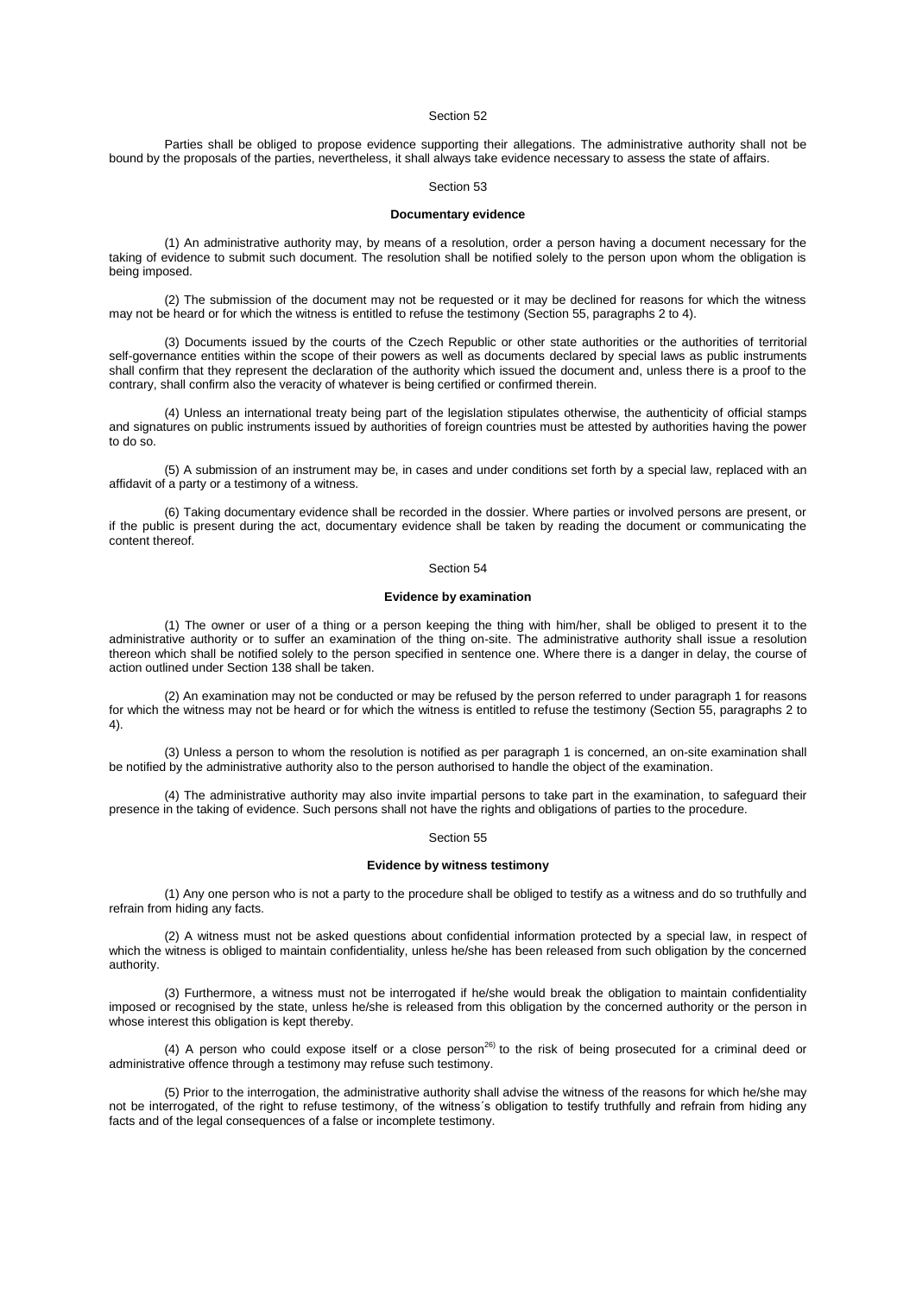Parties shall be obliged to propose evidence supporting their allegations. The administrative authority shall not be bound by the proposals of the parties, nevertheless, it shall always take evidence necessary to assess the state of affairs.

### Section 53

#### **Documentary evidence**

(1) An administrative authority may, by means of a resolution, order a person having a document necessary for the taking of evidence to submit such document. The resolution shall be notified solely to the person upon whom the obligation is being imposed.

(2) The submission of the document may not be requested or it may be declined for reasons for which the witness may not be heard or for which the witness is entitled to refuse the testimony (Section [55, paragraphs](aspi://module=) 2 to 4).

(3) Documents issued by the courts of the Czech Republic or other state authorities or the authorities of territorial self-governance entities within the scope of their powers as well as documents declared by special laws as public instruments shall confirm that they represent the declaration of the authority which issued the document and, unless there is a proof to the contrary, shall confirm also the veracity of whatever is being certified or confirmed therein.

(4) Unless an international treaty being part of the legislation stipulates otherwise, the authenticity of official stamps and signatures on public instruments issued by authorities of foreign countries must be attested by authorities having the power to do so.

(5) A submission of an instrument may be, in cases and under conditions set forth by a special law, replaced with an affidavit of a party or a testimony of a witness.

(6) Taking documentary evidence shall be recorded in the dossier. Where parties or involved persons are present, or if the public is present during the act, documentary evidence shall be taken by reading the document or communicating the content thereof.

#### Section 54

## **Evidence by examination**

(1) The owner or user of a thing or a person keeping the thing with him/her, shall be obliged to present it to the administrative authority or to suffer an examination of the thing on-site. The administrative authority shall issue a resolution thereon which shall be notified solely to the person specified in sentence one. Where there is a danger in delay, the course of action outlined unde[r Section](aspi://module=) 138 shall be taken.

(2) An examination may not be conducted or may be refused by the person referred to unde[r paragraph 1](aspi://module=) for reasons for which the witness may not be heard or for which the witness is entitled to refuse the testimony (Section [55, paragraphs](aspi://module=) 2 to [4\)](aspi://module=).

(3) Unless a person to whom the resolution is notified as per [paragraph 1](aspi://module=) is concerned, an on-site examination shall be notified by the administrative authority also to the person authorised to handle the object of the examination.

(4) The administrative authority may also invite impartial persons to take part in the examination, to safeguard their presence in the taking of evidence. Such persons shall not have the rights and obligations of parties to the procedure.

### Section 55

### **Evidence by witness testimony**

(1) Any one person who is not a party to the procedure shall be obliged to testify as a witness and do so truthfully and refrain from hiding any facts.

(2) A witness must not be asked questions about confidential information protected by a special law, in respect of which the witness is obliged to maintain confidentiality, unless he/she has been released from such obligation by the concerned authority.

(3) Furthermore, a witness must not be interrogated if he/she would break the obligation to maintain confidentiality imposed or recognised by the state, unless he/she is released from this obligation by the concerned authority or the person in whose interest this obligation is kept thereby.

(4) A person who could expose itself or a close person<sup>26)</sup> to the risk of being prosecuted for a criminal deed or administrative offence through a testimony may refuse such testimony.

(5) Prior to the interrogation, the administrative authority shall advise the witness of the reasons for which he/she may not be interrogated, of the right to refuse testimony, of the witness´s obligation to testify truthfully and refrain from hiding any facts and of the legal consequences of a false or incomplete testimony.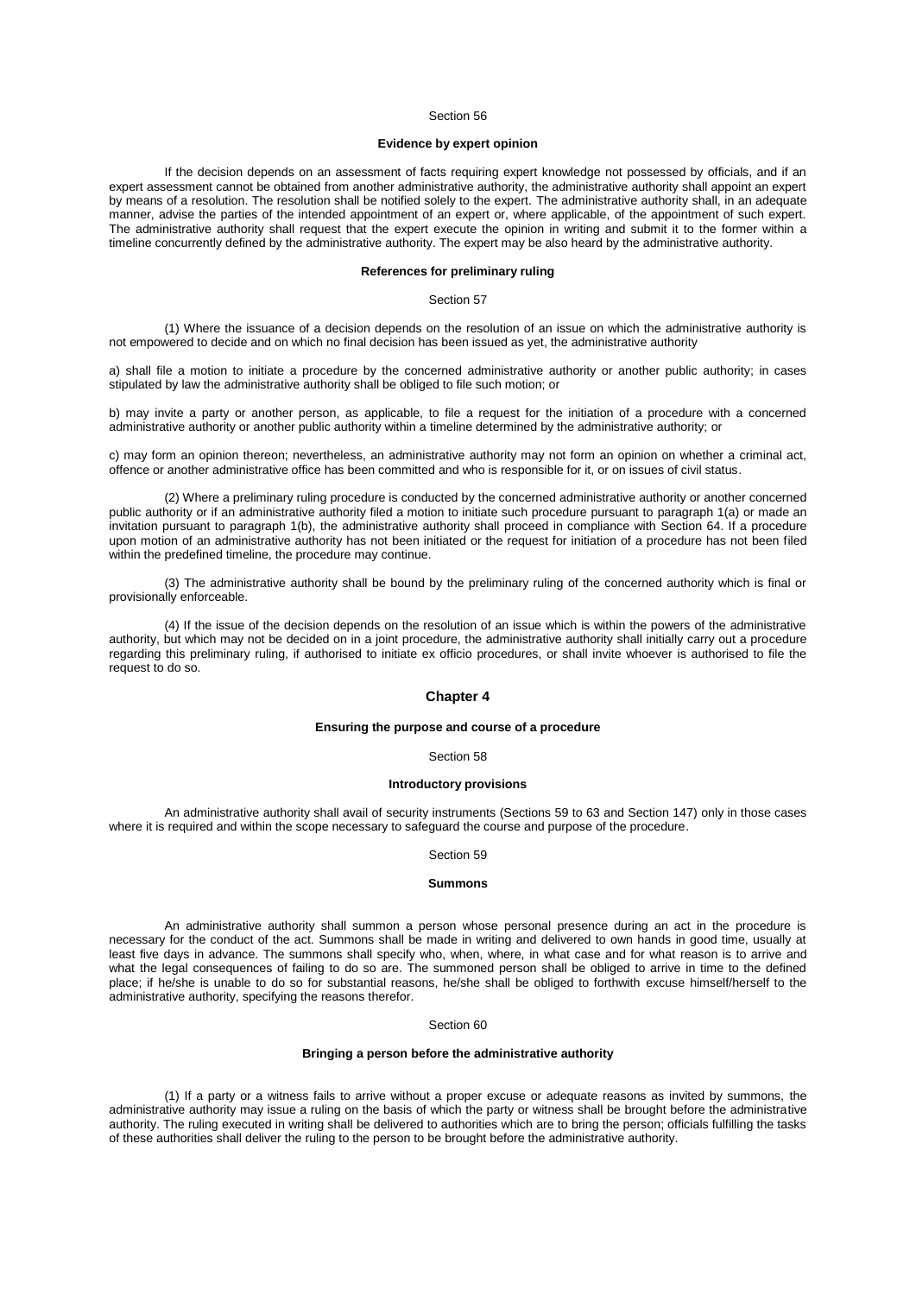# **Evidence by expert opinion**

If the decision depends on an assessment of facts requiring expert knowledge not possessed by officials, and if an expert assessment cannot be obtained from another administrative authority, the administrative authority shall appoint an expert by means of a resolution. The resolution shall be notified solely to the expert. The administrative authority shall, in an adequate manner, advise the parties of the intended appointment of an expert or, where applicable, of the appointment of such expert. The administrative authority shall request that the expert execute the opinion in writing and submit it to the former within a timeline concurrently defined by the administrative authority. The expert may be also heard by the administrative authority.

### **References for preliminary ruling**

Section 57

(1) Where the issuance of a decision depends on the resolution of an issue on which the administrative authority is not empowered to decide and on which no final decision has been issued as yet, the administrative authority

a) shall file a motion to initiate a procedure by the concerned administrative authority or another public authority; in cases stipulated by law the administrative authority shall be obliged to file such motion; or

b) may invite a party or another person, as applicable, to file a request for the initiation of a procedure with a concerned administrative authority or another public authority within a timeline determined by the administrative authority; or

c) may form an opinion thereon; nevertheless, an administrative authority may not form an opinion on whether a criminal act, offence or another administrative office has been committed and who is responsible for it, or on issues of civil status.

(2) Where a preliminary ruling procedure is conducted by the concerned administrative authority or another concerned public authority or if an administrative authority filed a motion to initiate such procedure pursuant to [paragraph 1\(a\)](aspi://module=) or made an invitation pursuant to [paragraph 1\(b\),](aspi://module=) the administrative authority shall proceed in compliance with [Section](aspi://module=) 64. If a procedure upon motion of an administrative authority has not been initiated or the request for initiation of a procedure has not been filed within the predefined timeline, the procedure may continue.

(3) The administrative authority shall be bound by the preliminary ruling of the concerned authority which is final or provisionally enforceable.

(4) If the issue of the decision depends on the resolution of an issue which is within the powers of the administrative authority, but which may not be decided on in a joint procedure, the administrative authority shall initially carry out a procedure regarding this preliminary ruling, if authorised to initiate ex officio procedures, or shall invite whoever is authorised to file the request to do so.

# **Chapter 4**

### **Ensuring the purpose and course of a procedure**

# Section 58

### **Introductory provisions**

An administrative authority shall avail of security instruments [\(Sections](aspi://module=) 59 to 63 and [Section](aspi://module=) 147) only in those cases where it is required and within the scope necessary to safeguard the course and purpose of the procedure.

## Section 59

### **Summons**

An administrative authority shall summon a person whose personal presence during an act in the procedure is necessary for the conduct of the act. Summons shall be made in writing and delivered to own hands in good time, usually at least five days in advance. The summons shall specify who, when, where, in what case and for what reason is to arrive and what the legal consequences of failing to do so are. The summoned person shall be obliged to arrive in time to the defined place; if he/she is unable to do so for substantial reasons, he/she shall be obliged to forthwith excuse himself/herself to the administrative authority, specifying the reasons therefor.

# Section 60

# **Bringing a person before the administrative authority**

(1) If a party or a witness fails to arrive without a proper excuse or adequate reasons as invited by summons, the administrative authority may issue a ruling on the basis of which the party or witness shall be brought before the administrative authority. The ruling executed in writing shall be delivered to authorities which are to bring the person; officials fulfilling the tasks of these authorities shall deliver the ruling to the person to be brought before the administrative authority.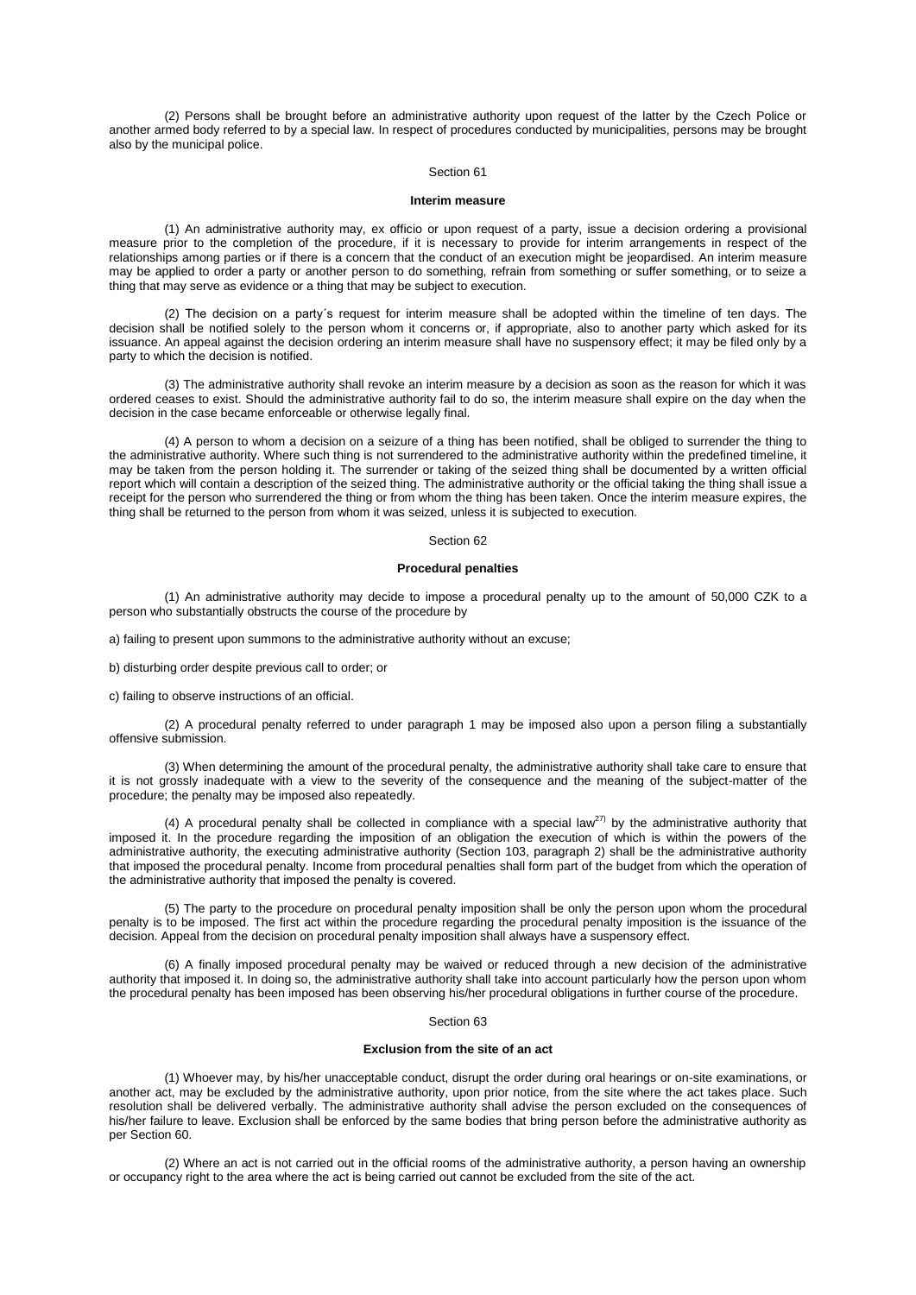(2) Persons shall be brought before an administrative authority upon request of the latter by the Czech Police or another armed body referred to by a special law. In respect of procedures conducted by municipalities, persons may be brought also by the municipal police.

### Section 61

### **Interim measure**

(1) An administrative authority may, ex officio or upon request of a party, issue a decision ordering a provisional measure prior to the completion of the procedure, if it is necessary to provide for interim arrangements in respect of the relationships among parties or if there is a concern that the conduct of an execution might be jeopardised. An interim measure may be applied to order a party or another person to do something, refrain from something or suffer something, or to seize a thing that may serve as evidence or a thing that may be subject to execution.

(2) The decision on a party´s request for interim measure shall be adopted within the timeline of ten days. The decision shall be notified solely to the person whom it concerns or, if appropriate, also to another party which asked for its issuance. An appeal against the decision ordering an interim measure shall have no suspensory effect; it may be filed only by a party to which the decision is notified.

(3) The administrative authority shall revoke an interim measure by a decision as soon as the reason for which it was ordered ceases to exist. Should the administrative authority fail to do so, the interim measure shall expire on the day when the decision in the case became enforceable or otherwise legally final.

(4) A person to whom a decision on a seizure of a thing has been notified, shall be obliged to surrender the thing to the administrative authority. Where such thing is not surrendered to the administrative authority within the predefined timeline, it may be taken from the person holding it. The surrender or taking of the seized thing shall be documented by a written official report which will contain a description of the seized thing. The administrative authority or the official taking the thing shall issue a receipt for the person who surrendered the thing or from whom the thing has been taken. Once the interim measure expires, the thing shall be returned to the person from whom it was seized, unless it is subjected to execution.

#### Section 62

### **Procedural penalties**

(1) An administrative authority may decide to impose a procedural penalty up to the amount of 50,000 CZK to a person who substantially obstructs the course of the procedure by

a) failing to present upon summons to the administrative authority without an excuse;

b) disturbing order despite previous call to order; or

c) failing to observe instructions of an official.

(2) A procedural penalty referred to under [paragraph 1](aspi://module=) may be imposed also upon a person filing a substantially offensive submission.

(3) When determining the amount of the procedural penalty, the administrative authority shall take care to ensure that it is not grossly inadequate with a view to the severity of the consequence and the meaning of the subject-matter of the procedure; the penalty may be imposed also repeatedly.

(4) A procedural penalty shall be collected in compliance with a special law<sup>27)</sup> by the administrative authority that imposed it. In the procedure regarding the imposition of an obligation the execution of which is within the powers of the administrative authority, the executing administrative authority (Section [103, paragraph](aspi://module=) 2) shall be the administrative authority that imposed the procedural penalty. Income from procedural penalties shall form part of the budget from which the operation of the administrative authority that imposed the penalty is covered.

(5) The party to the procedure on procedural penalty imposition shall be only the person upon whom the procedural penalty is to be imposed. The first act within the procedure regarding the procedural penalty imposition is the issuance of the decision. Appeal from the decision on procedural penalty imposition shall always have a suspensory effect.

(6) A finally imposed procedural penalty may be waived or reduced through a new decision of the administrative authority that imposed it. In doing so, the administrative authority shall take into account particularly how the person upon whom the procedural penalty has been imposed has been observing his/her procedural obligations in further course of the procedure.

### Section 63

# **Exclusion from the site of an act**

(1) Whoever may, by his/her unacceptable conduct, disrupt the order during oral hearings or on-site examinations, or another act, may be excluded by the administrative authority, upon prior notice, from the site where the act takes place. Such resolution shall be delivered verbally. The administrative authority shall advise the person excluded on the consequences of his/her failure to leave. Exclusion shall be enforced by the same bodies that bring person before the administrative authority as pe[r Section](aspi://module=) 60.

(2) Where an act is not carried out in the official rooms of the administrative authority, a person having an ownership or occupancy right to the area where the act is being carried out cannot be excluded from the site of the act.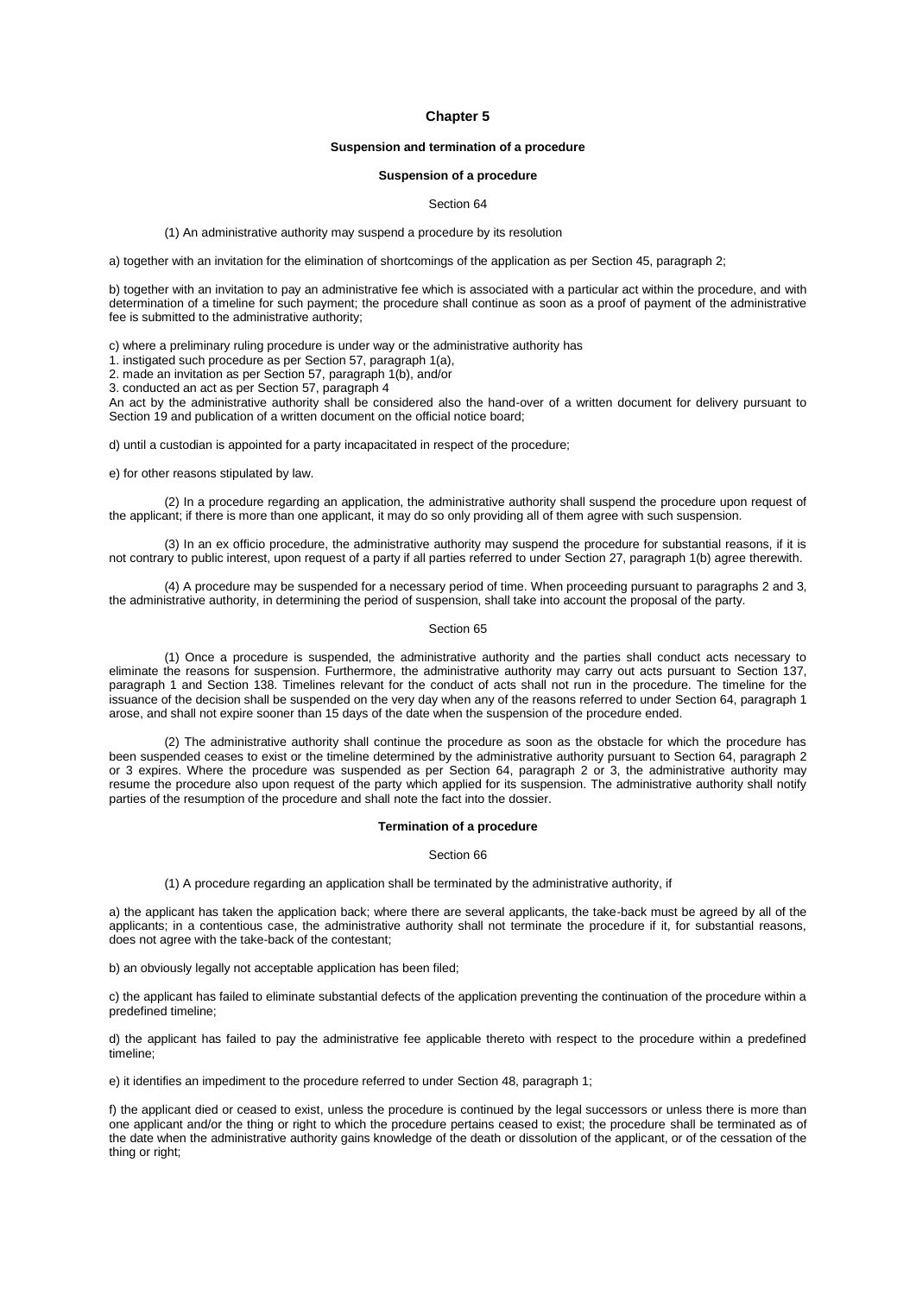## **Chapter 5**

# **Suspension and termination of a procedure**

### **Suspension of a procedure**

# Section 64

(1) An administrative authority may suspend a procedure by its resolution

a) together with an invitation for the elimination of shortcomings of the application as per Section [45, paragraph](aspi://module=) 2;

b) together with an invitation to pay an administrative fee which is associated with a particular act within the procedure, and with determination of a timeline for such payment; the procedure shall continue as soon as a proof of payment of the administrative fee is submitted to the administrative authority;

c) where a preliminary ruling procedure is under way or the administrative authority has

1. instigated such procedure as per Section [57, paragraph](aspi://module=) 1(a),

2. made an invitation as per Section [57, paragraph](aspi://module=) 1(b), and/or

3. conducted an act as per Section [57, paragraph](aspi://module=) 4

An act by the administrative authority shall be considered also the hand-over of a written document for delivery pursuant to [Section](aspi://module=) 19 and publication of a written document on the official notice board;

d) until a custodian is appointed for a party incapacitated in respect of the procedure;

e) for other reasons stipulated by law.

(2) In a procedure regarding an application, the administrative authority shall suspend the procedure upon request of the applicant; if there is more than one applicant, it may do so only providing all of them agree with such suspension.

(3) In an ex officio procedure, the administrative authority may suspend the procedure for substantial reasons, if it is not contrary to public interest, upon request of a party if all parties referred to under Section [27, paragraph](aspi://module=) 1(b) agree therewith.

(4) A procedure may be suspended for a necessary period of time. When proceeding pursuant t[o paragraphs 2](aspi://module=) and [3,](aspi://module=) the administrative authority, in determining the period of suspension, shall take into account the proposal of the party.

#### Section 65

(1) Once a procedure is suspended, the administrative authority and the parties shall conduct acts necessary to eliminate the reasons for suspension. Furthermore, the administrative authority may carry out acts pursuant to [Section](aspi://module=) 137, [paragraph](aspi://module=) 1 and [Section](aspi://module=) 138. Timelines relevant for the conduct of acts shall not run in the procedure. The timeline for the issuance of the decision shall be suspended on the very day when any of the reasons referred to under Section [64, paragraph](aspi://module=) 1 arose, and shall not expire sooner than 15 days of the date when the suspension of the procedure ended.

(2) The administrative authority shall continue the procedure as soon as the obstacle for which the procedure has been suspended ceases to exist or the timeline determined by the administrative authority pursuant to Section [64, paragraph](aspi://module=) 2 or [3](aspi://module=) expires. Where the procedure was suspended as per Section [64, paragraph](aspi://module=) 2 or [3,](aspi://module=) the administrative authority may resume the procedure also upon request of the party which applied for its suspension. The administrative authority shall notify parties of the resumption of the procedure and shall note the fact into the dossier.

### **Termination of a procedure**

Section 66

(1) A procedure regarding an application shall be terminated by the administrative authority, if

a) the applicant has taken the application back; where there are several applicants, the take-back must be agreed by all of the applicants; in a contentious case, the administrative authority shall not terminate the procedure if it, for substantial reasons, does not agree with the take-back of the contestant;

b) an obviously legally not acceptable application has been filed;

c) the applicant has failed to eliminate substantial defects of the application preventing the continuation of the procedure within a predefined timeline;

d) the applicant has failed to pay the administrative fee applicable thereto with respect to the procedure within a predefined timeline;

e) it identifies an impediment to the procedure referred to under Section [48, paragraph](aspi://module=) 1;

f) the applicant died or ceased to exist, unless the procedure is continued by the legal successors or unless there is more than one applicant and/or the thing or right to which the procedure pertains ceased to exist; the procedure shall be terminated as of the date when the administrative authority gains knowledge of the death or dissolution of the applicant, or of the cessation of the thing or right;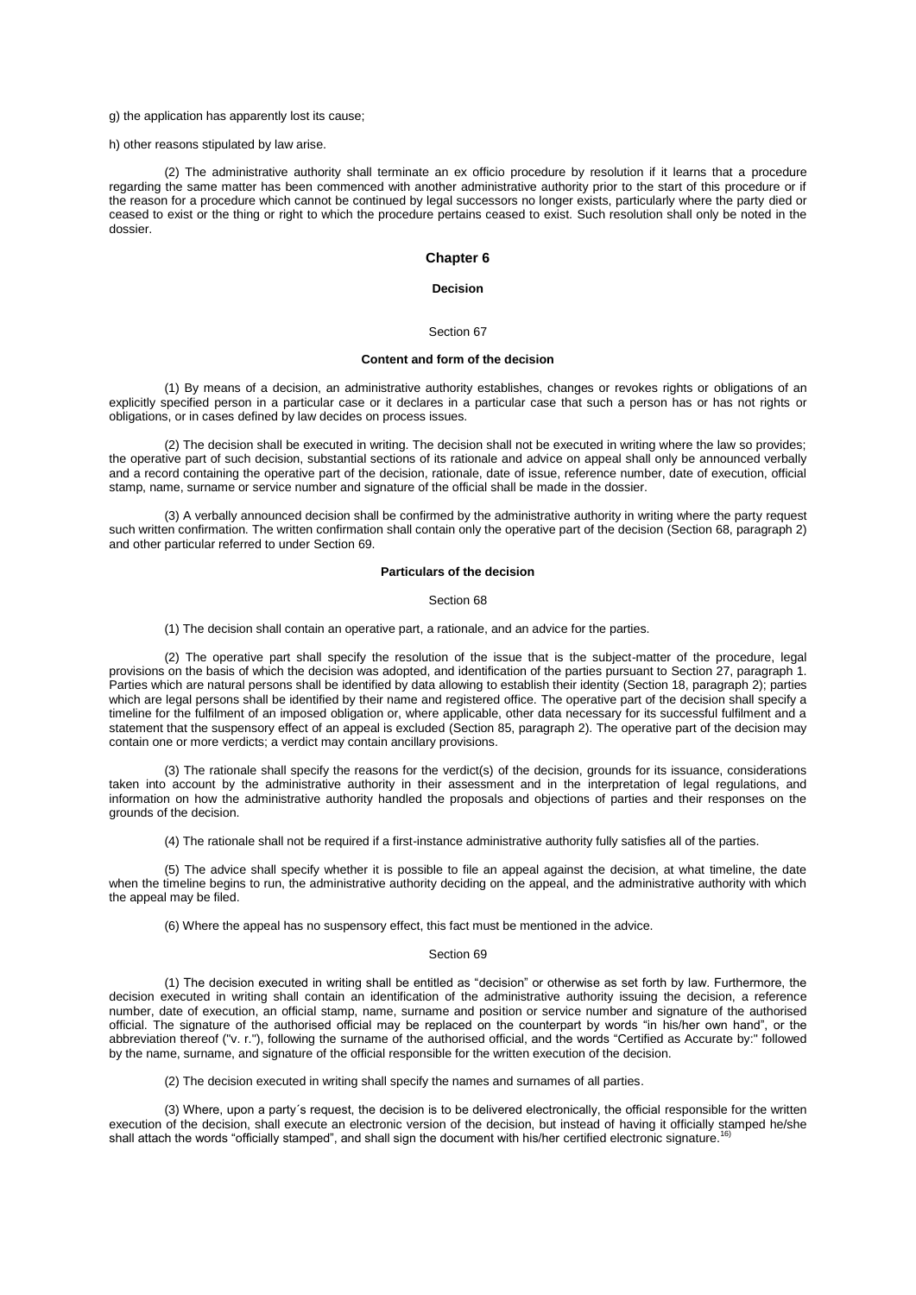#### g) the application has apparently lost its cause;

# h) other reasons stipulated by law arise.

(2) The administrative authority shall terminate an ex officio procedure by resolution if it learns that a procedure regarding the same matter has been commenced with another administrative authority prior to the start of this procedure or if the reason for a procedure which cannot be continued by legal successors no longer exists, particularly where the party died or ceased to exist or the thing or right to which the procedure pertains ceased to exist. Such resolution shall only be noted in the dossier.

# **Chapter 6**

## **Decision**

### Section 67

### **Content and form of the decision**

(1) By means of a decision, an administrative authority establishes, changes or revokes rights or obligations of an explicitly specified person in a particular case or it declares in a particular case that such a person has or has not rights or obligations, or in cases defined by law decides on process issues.

(2) The decision shall be executed in writing. The decision shall not be executed in writing where the law so provides; the operative part of such decision, substantial sections of its rationale and advice on appeal shall only be announced verbally and a record containing the operative part of the decision, rationale, date of issue, reference number, date of execution, official stamp, name, surname or service number and signature of the official shall be made in the dossier.

(3) A verbally announced decision shall be confirmed by the administrative authority in writing where the party request such written confirmation. The written confirmation shall contain only the operative part of the decision (Section [68, paragraph](aspi://module=) 2) and other particular referred to under [Section](aspi://module=) 69.

## **Particulars of the decision**

## Section 68

(1) The decision shall contain an operative part, a rationale, and an advice for the parties.

(2) The operative part shall specify the resolution of the issue that is the subject-matter of the procedure, legal provisions on the basis of which the decision was adopted, and identification of the parties pursuant to Section [27, paragraph](aspi://module=) 1. Parties which are natural persons shall be identified by data allowing to establish their identity (Section [18, paragraph](aspi://module=) 2); parties which are legal persons shall be identified by their name and registered office. The operative part of the decision shall specify a timeline for the fulfilment of an imposed obligation or, where applicable, other data necessary for its successful fulfilment and a statement that the suspensory effect of an appeal is excluded (Section [85, paragraph](aspi://module=) 2). The operative part of the decision may contain one or more verdicts; a verdict may contain ancillary provisions.

(3) The rationale shall specify the reasons for the verdict(s) of the decision, grounds for its issuance, considerations taken into account by the administrative authority in their assessment and in the interpretation of legal regulations, and information on how the administrative authority handled the proposals and objections of parties and their responses on the grounds of the decision.

(4) The rationale shall not be required if a first-instance administrative authority fully satisfies all of the parties.

(5) The advice shall specify whether it is possible to file an appeal against the decision, at what timeline, the date when the timeline begins to run, the administrative authority deciding on the appeal, and the administrative authority with which the appeal may be filed.

(6) Where the appeal has no suspensory effect, this fact must be mentioned in the advice.

# Section 69

(1) The decision executed in writing shall be entitled as "decision" or otherwise as set forth by law. Furthermore, the decision executed in writing shall contain an identification of the administrative authority issuing the decision, a reference number, date of execution, an official stamp, name, surname and position or service number and signature of the authorised official. The signature of the authorised official may be replaced on the counterpart by words "in his/her own hand", or the abbreviation thereof ("v. r."), following the surname of the authorised official, and the words "Certified as Accurate by:" followed by the name, surname, and signature of the official responsible for the written execution of the decision.

(2) The decision executed in writing shall specify the names and surnames of all parties.

(3) Where, upon a party´s request, the decision is to be delivered electronically, the official responsible for the written execution of the decision, shall execute an electronic version of the decision, but instead of having it officially stamped he/she<br>aboll ottach the werds "officially stamped", and shall sign the decument with his/ber earti shall attach the words "officially stamped", and shall sign the document with his/her certified electronic signature.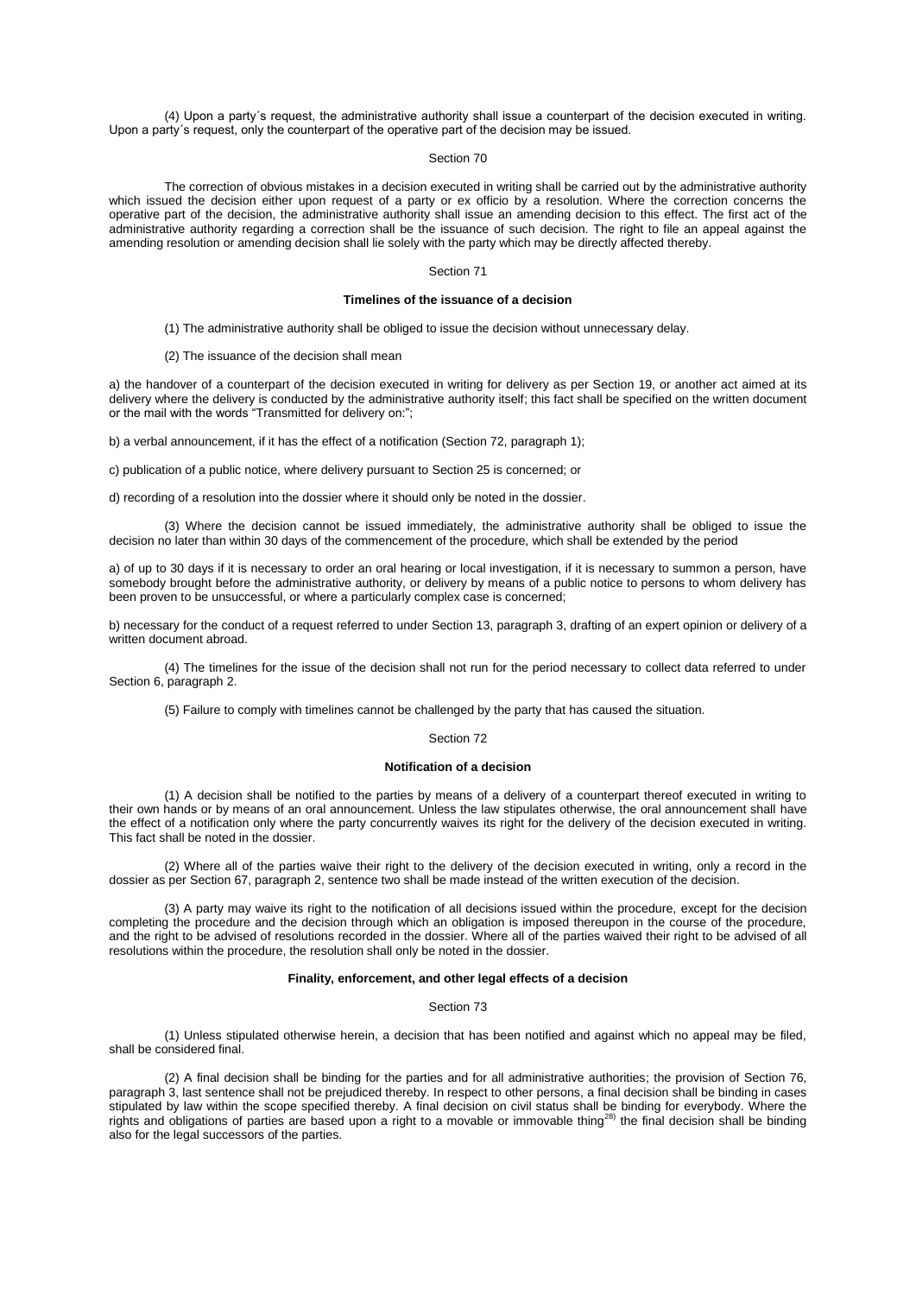(4) Upon a party´s request, the administrative authority shall issue a counterpart of the decision executed in writing. Upon a party´s request, only the counterpart of the operative part of the decision may be issued.

### Section 70

The correction of obvious mistakes in a decision executed in writing shall be carried out by the administrative authority which issued the decision either upon request of a party or ex officio by a resolution. Where the correction concerns the operative part of the decision, the administrative authority shall issue an amending decision to this effect. The first act of the administrative authority regarding a correction shall be the issuance of such decision. The right to file an appeal against the amending resolution or amending decision shall lie solely with the party which may be directly affected thereby.

### Section 71

# **Timelines of the issuance of a decision**

- (1) The administrative authority shall be obliged to issue the decision without unnecessary delay.
- (2) The issuance of the decision shall mean

a) the handover of a counterpart of the decision executed in writing for delivery as per [Section](aspi://module=) 19, or another act aimed at its delivery where the delivery is conducted by the administrative authority itself; this fact shall be specified on the written document or the mail with the words "Transmitted for delivery on:";

b) a verbal announcement, if it has the effect of a notification (Section [72, paragraph](aspi://module=) 1);

c) publication of a public notice, where delivery pursuant to [Section](aspi://module=) 25 is concerned; or

d) recording of a resolution into the dossier where it should only be noted in the dossier.

(3) Where the decision cannot be issued immediately, the administrative authority shall be obliged to issue the decision no later than within 30 days of the commencement of the procedure, which shall be extended by the period

a) of up to 30 days if it is necessary to order an oral hearing or local investigation, if it is necessary to summon a person, have somebody brought before the administrative authority, or delivery by means of a public notice to persons to whom delivery has been proven to be unsuccessful, or where a particularly complex case is concerned;

b) necessary for the conduct of a request referred to under Section [13, paragraph](aspi://module=) 3, drafting of an expert opinion or delivery of a written document abroad.

(4) The timelines for the issue of the decision shall not run for the period necessary to collect data referred to under Section [6, paragraph](aspi://module=) 2.

(5) Failure to comply with timelines cannot be challenged by the party that has caused the situation.

### Section 72

#### **Notification of a decision**

(1) A decision shall be notified to the parties by means of a delivery of a counterpart thereof executed in writing to their own hands or by means of an oral announcement. Unless the law stipulates otherwise, the oral announcement shall have the effect of a notification only where the party concurrently waives its right for the delivery of the decision executed in writing. This fact shall be noted in the dossier.

(2) Where all of the parties waive their right to the delivery of the decision executed in writing, only a record in the dossier as per Section [67, paragraph](aspi://module=) 2, sentence two shall be made instead of the written execution of the decision.

(3) A party may waive its right to the notification of all decisions issued within the procedure, except for the decision completing the procedure and the decision through which an obligation is imposed thereupon in the course of the procedure, and the right to be advised of resolutions recorded in the dossier. Where all of the parties waived their right to be advised of all resolutions within the procedure, the resolution shall only be noted in the dossier.

### **Finality, enforcement, and other legal effects of a decision**

# Section 73

(1) Unless stipulated otherwise herein, a decision that has been notified and against which no appeal may be filed, shall be considered final.

(2) A final decision shall be binding for the parties and for all administrative authorities; the provision of [Section](aspi://module=) 76, [paragraph](aspi://module=) 3, last sentence shall not be prejudiced thereby. In respect to other persons, a final decision shall be binding in cases stipulated by law within the scope specified thereby. A final decision on civil status shall be binding for everybody. Where the<br>rights and obligations of parties are based upon a right to a movable or immovable thing<sup>28)</sup> also for the legal successors of the parties.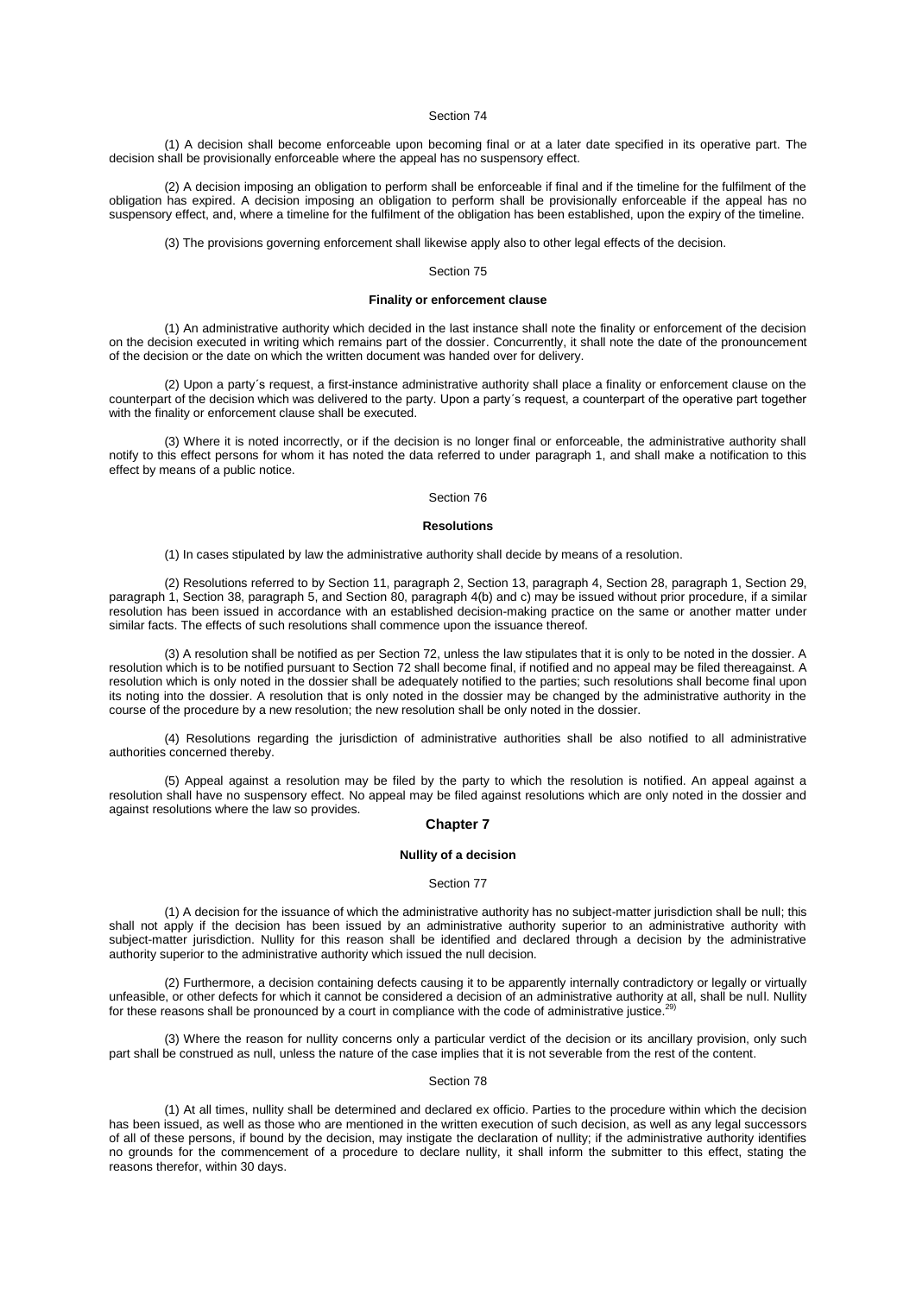(1) A decision shall become enforceable upon becoming final or at a later date specified in its operative part. The decision shall be provisionally enforceable where the appeal has no suspensory effect.

(2) A decision imposing an obligation to perform shall be enforceable if final and if the timeline for the fulfilment of the obligation has expired. A decision imposing an obligation to perform shall be provisionally enforceable if the appeal has no suspensory effect, and, where a timeline for the fulfilment of the obligation has been established, upon the expiry of the timeline.

(3) The provisions governing enforcement shall likewise apply also to other legal effects of the decision.

### Section 75

# **Finality or enforcement clause**

(1) An administrative authority which decided in the last instance shall note the finality or enforcement of the decision on the decision executed in writing which remains part of the dossier. Concurrently, it shall note the date of the pronouncement of the decision or the date on which the written document was handed over for delivery.

(2) Upon a party´s request, a first-instance administrative authority shall place a finality or enforcement clause on the counterpart of the decision which was delivered to the party. Upon a party´s request, a counterpart of the operative part together with the finality or enforcement clause shall be executed.

(3) Where it is noted incorrectly, or if the decision is no longer final or enforceable, the administrative authority shall notify to this effect persons for whom it has noted the data referred to under [paragraph 1,](aspi://module=) and shall make a notification to this effect by means of a public notice.

## Section 76

### **Resolutions**

(1) In cases stipulated by law the administrative authority shall decide by means of a resolution.

(2) Resolutions referred to by Section [11, paragraph](aspi://module=) 2, Section [13, paragraph](aspi://module=) 4, Section [28, paragraph](aspi://module=) 1[, Section](aspi://module=) 29, [paragraph](aspi://module=) 1, Section [38, paragraph](aspi://module=) 5, and Section [80, paragraph](aspi://module=) 4(b) and [c\)](aspi://module=) may be issued without prior procedure, if a similar resolution has been issued in accordance with an established decision-making practice on the same or another matter under similar facts. The effects of such resolutions shall commence upon the issuance thereof.

(3) A resolution shall be notified as per [Section](aspi://module=) 72, unless the law stipulates that it is only to be noted in the dossier. A resolution which is to be notified pursuant to [Section](aspi://module=) 72 shall become final, if notified and no appeal may be filed thereagainst. A resolution which is only noted in the dossier shall be adequately notified to the parties; such resolutions shall become final upon its noting into the dossier. A resolution that is only noted in the dossier may be changed by the administrative authority in the course of the procedure by a new resolution; the new resolution shall be only noted in the dossier.

(4) Resolutions regarding the jurisdiction of administrative authorities shall be also notified to all administrative authorities concerned thereby.

(5) Appeal against a resolution may be filed by the party to which the resolution is notified. An appeal against a resolution shall have no suspensory effect. No appeal may be filed against resolutions which are only noted in the dossier and against resolutions where the law so provides.

# **Chapter 7**

## **Nullity of a decision**

#### Section 77

(1) A decision for the issuance of which the administrative authority has no subject-matter jurisdiction shall be null; this shall not apply if the decision has been issued by an administrative authority superior to an administrative authority with subject-matter jurisdiction. Nullity for this reason shall be identified and declared through a decision by the administrative authority superior to the administrative authority which issued the null decision.

(2) Furthermore, a decision containing defects causing it to be apparently internally contradictory or legally or virtually unfeasible, or other defects for which it cannot be considered a decision of an administrative authority at all, shall be null. Nullity  $f_0$  theory conservative authority at all, shall be null. Nullity for these reasons shall be pronounced by a court in compliance with the code of administrative justice.

(3) Where the reason for nullity concerns only a particular verdict of the decision or its ancillary provision, only such part shall be construed as null, unless the nature of the case implies that it is not severable from the rest of the content.

### Section 78

(1) At all times, nullity shall be determined and declared ex officio. Parties to the procedure within which the decision has been issued, as well as those who are mentioned in the written execution of such decision, as well as any legal successors of all of these persons, if bound by the decision, may instigate the declaration of nullity; if the administrative authority identifies no grounds for the commencement of a procedure to declare nullity, it shall inform the submitter to this effect, stating the reasons therefor, within 30 days.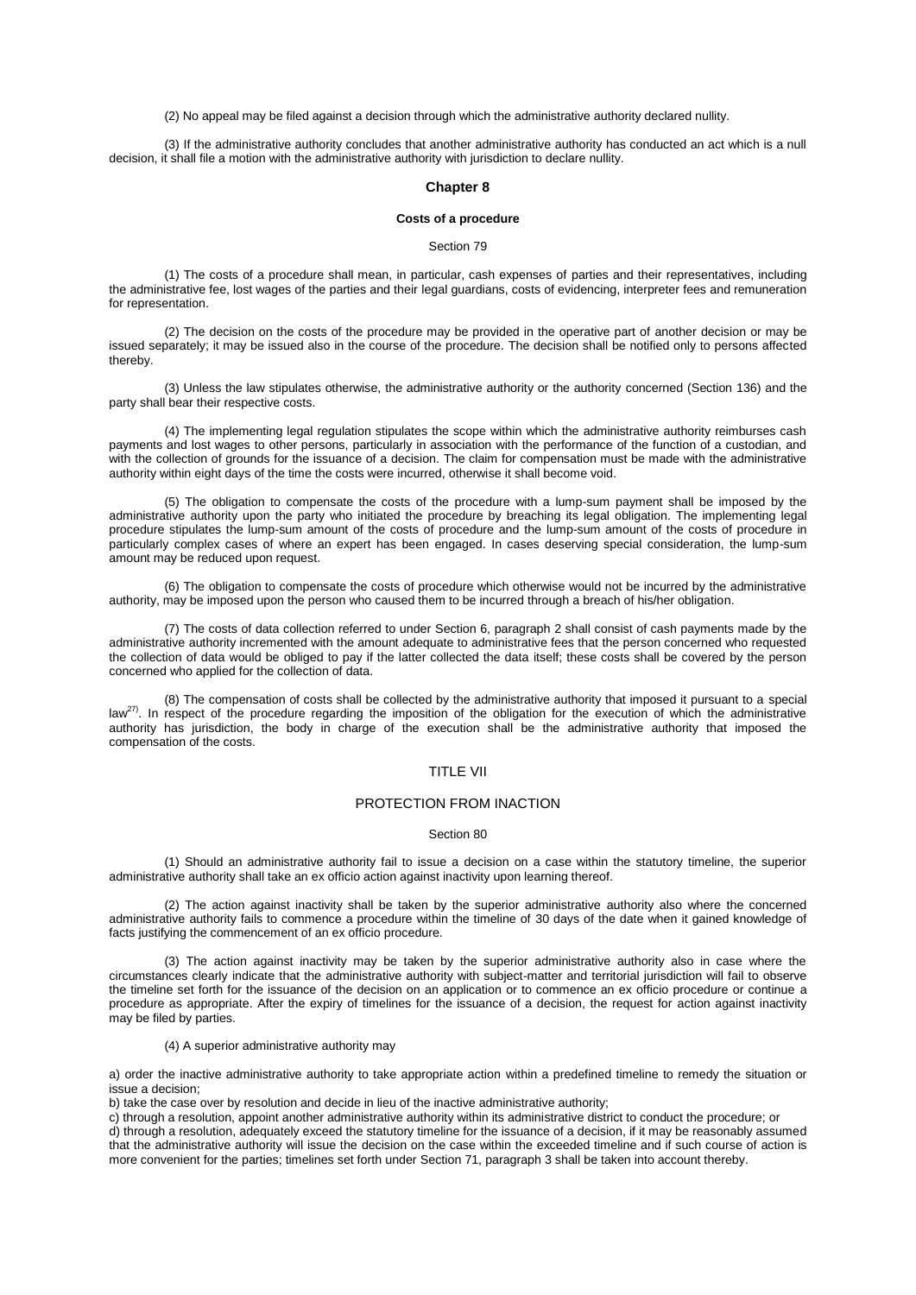(2) No appeal may be filed against a decision through which the administrative authority declared nullity.

(3) If the administrative authority concludes that another administrative authority has conducted an act which is a null decision, it shall file a motion with the administrative authority with jurisdiction to declare nullity.

### **Chapter 8**

## **Costs of a procedure**

### Section 79

(1) The costs of a procedure shall mean, in particular, cash expenses of parties and their representatives, including the administrative fee, lost wages of the parties and their legal guardians, costs of evidencing, interpreter fees and remuneration for representation.

(2) The decision on the costs of the procedure may be provided in the operative part of another decision or may be issued separately; it may be issued also in the course of the procedure. The decision shall be notified only to persons affected thereby.

(3) Unless the law stipulates otherwise, the administrative authority or the authority concerned [\(Section](aspi://module=) 136) and the party shall bear their respective costs.

(4) The implementing legal regulation stipulates the scope within which the administrative authority reimburses cash payments and lost wages to other persons, particularly in association with the performance of the function of a custodian, and with the collection of grounds for the issuance of a decision. The claim for compensation must be made with the administrative authority within eight days of the time the costs were incurred, otherwise it shall become void.

(5) The obligation to compensate the costs of the procedure with a lump-sum payment shall be imposed by the administrative authority upon the party who initiated the procedure by breaching its legal obligation. The implementing legal procedure stipulates the lump-sum amount of the costs of procedure and the lump-sum amount of the costs of procedure in particularly complex cases of where an expert has been engaged. In cases deserving special consideration, the lump-sum amount may be reduced upon request.

(6) The obligation to compensate the costs of procedure which otherwise would not be incurred by the administrative authority, may be imposed upon the person who caused them to be incurred through a breach of his/her obligation.

(7) The costs of data collection referred to under Section [6, paragraph](aspi://module=) 2 shall consist of cash payments made by the administrative authority incremented with the amount adequate to administrative fees that the person concerned who requested the collection of data would be obliged to pay if the latter collected the data itself; these costs shall be covered by the person concerned who applied for the collection of data.

(8) The compensation of costs shall be collected by the administrative authority that imposed it pursuant to a special law<sup>27</sup>). In respect of the procedure regarding the imposition of the obligation for the execution of which the administrative authority has jurisdiction, the body in charge of the execution shall be the administrative authority that imposed the compensation of the costs.

# TITLE VII

# PROTECTION FROM INACTION

### Section 80

(1) Should an administrative authority fail to issue a decision on a case within the statutory timeline, the superior administrative authority shall take an ex officio action against inactivity upon learning thereof.

(2) The action against inactivity shall be taken by the superior administrative authority also where the concerned administrative authority fails to commence a procedure within the timeline of 30 days of the date when it gained knowledge of facts justifying the commencement of an ex officio procedure.

(3) The action against inactivity may be taken by the superior administrative authority also in case where the circumstances clearly indicate that the administrative authority with subject-matter and territorial jurisdiction will fail to observe the timeline set forth for the issuance of the decision on an application or to commence an ex officio procedure or continue a procedure as appropriate. After the expiry of timelines for the issuance of a decision, the request for action against inactivity may be filed by parties.

# (4) A superior administrative authority may

a) order the inactive administrative authority to take appropriate action within a predefined timeline to remedy the situation or issue a decision;

b) take the case over by resolution and decide in lieu of the inactive administrative authority;

c) through a resolution, appoint another administrative authority within its administrative district to conduct the procedure; or d) through a resolution, adequately exceed the statutory timeline for the issuance of a decision, if it may be reasonably assumed that the administrative authority will issue the decision on the case within the exceeded timeline and if such course of action is more convenient for the parties; timelines set forth under Section [71, paragraph](aspi://module=) 3 shall be taken into account thereby.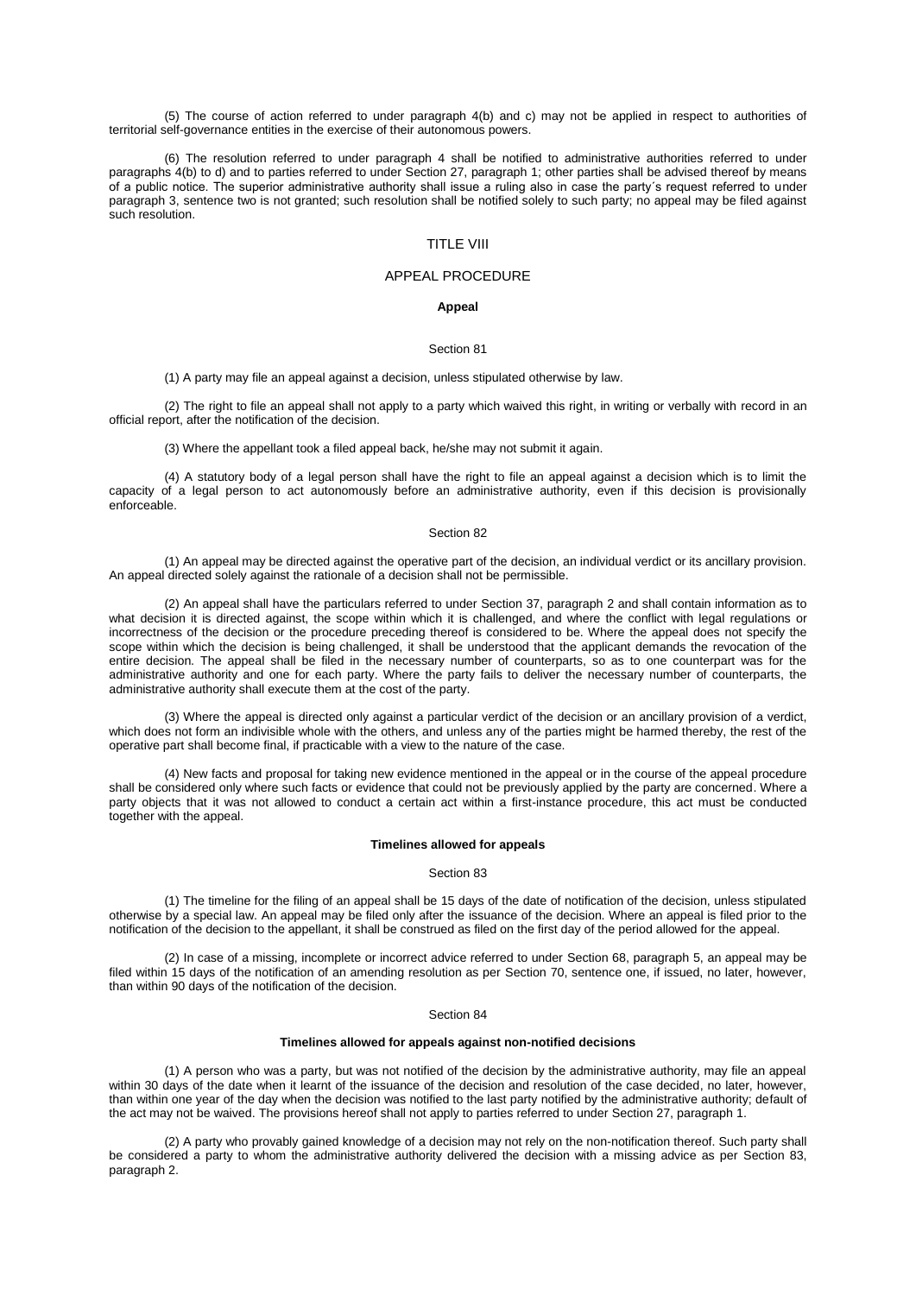(5) The course of action referred to under [paragraph 4\(b\)](aspi://module=) and [c\)](aspi://module=) may not be applied in respect to authorities of territorial self-governance entities in the exercise of their autonomous powers.

(6) The resolution referred to under [paragraph 4](aspi://module=) shall be notified to administrative authorities referred to under [paragraphs](aspi://module=) 4(b) to d) and to parties referred to under Section [27, paragraph](aspi://module=) 1; other parties shall be advised thereof by means of a public notice. The superior administrative authority shall issue a ruling also in case the party´s request referred to under [paragraph 3,](aspi://module=) sentence two is not granted; such resolution shall be notified solely to such party; no appeal may be filed against such resolution.

# TITLE VIII

# APPEAL PROCEDURE

# **Appeal**

## Section 81

(1) A party may file an appeal against a decision, unless stipulated otherwise by law.

(2) The right to file an appeal shall not apply to a party which waived this right, in writing or verbally with record in an official report, after the notification of the decision.

(3) Where the appellant took a filed appeal back, he/she may not submit it again.

(4) A statutory body of a legal person shall have the right to file an appeal against a decision which is to limit the capacity of a legal person to act autonomously before an administrative authority, even if this decision is provisionally enforceable.

# Section 82

(1) An appeal may be directed against the operative part of the decision, an individual verdict or its ancillary provision. An appeal directed solely against the rationale of a decision shall not be permissible.

(2) An appeal shall have the particulars referred to under Section [37, paragraph](aspi://module=) 2 and shall contain information as to what decision it is directed against, the scope within which it is challenged, and where the conflict with legal regulations or incorrectness of the decision or the procedure preceding thereof is considered to be. Where the appeal does not specify the scope within which the decision is being challenged, it shall be understood that the applicant demands the revocation of the entire decision. The appeal shall be filed in the necessary number of counterparts, so as to one counterpart was for the administrative authority and one for each party. Where the party fails to deliver the necessary number of counterparts, the administrative authority shall execute them at the cost of the party.

(3) Where the appeal is directed only against a particular verdict of the decision or an ancillary provision of a verdict, which does not form an indivisible whole with the others, and unless any of the parties might be harmed thereby, the rest of the operative part shall become final, if practicable with a view to the nature of the case.

(4) New facts and proposal for taking new evidence mentioned in the appeal or in the course of the appeal procedure shall be considered only where such facts or evidence that could not be previously applied by the party are concerned. Where a party objects that it was not allowed to conduct a certain act within a first-instance procedure, this act must be conducted together with the appeal.

### **Timelines allowed for appeals**

## Section 83

(1) The timeline for the filing of an appeal shall be 15 days of the date of notification of the decision, unless stipulated otherwise by a special law. An appeal may be filed only after the issuance of the decision. Where an appeal is filed prior to the notification of the decision to the appellant, it shall be construed as filed on the first day of the period allowed for the appeal.

(2) In case of a missing, incomplete or incorrect advice referred to under Section [68, paragraph](aspi://module=) 5, an appeal may be filed within 15 days of the notification of an amending resolution as per [Section](aspi://module=) 70, sentence one, if issued, no later, however, than within 90 days of the notification of the decision.

### Section 84

### **Timelines allowed for appeals against non-notified decisions**

(1) A person who was a party, but was not notified of the decision by the administrative authority, may file an appeal within 30 days of the date when it learnt of the issuance of the decision and resolution of the case decided, no later, however, than within one year of the day when the decision was notified to the last party notified by the administrative authority; default of the act may not be waived. The provisions hereof shall not apply to parties referred to under Section [27, paragraph](aspi://module=) 1.

(2) A party who provably gained knowledge of a decision may not rely on the non-notification thereof. Such party shall be considered a party to whom the administrative authority delivered the decision with a missing advice as per [Section](aspi://module=) 83, [paragraph](aspi://module=) 2.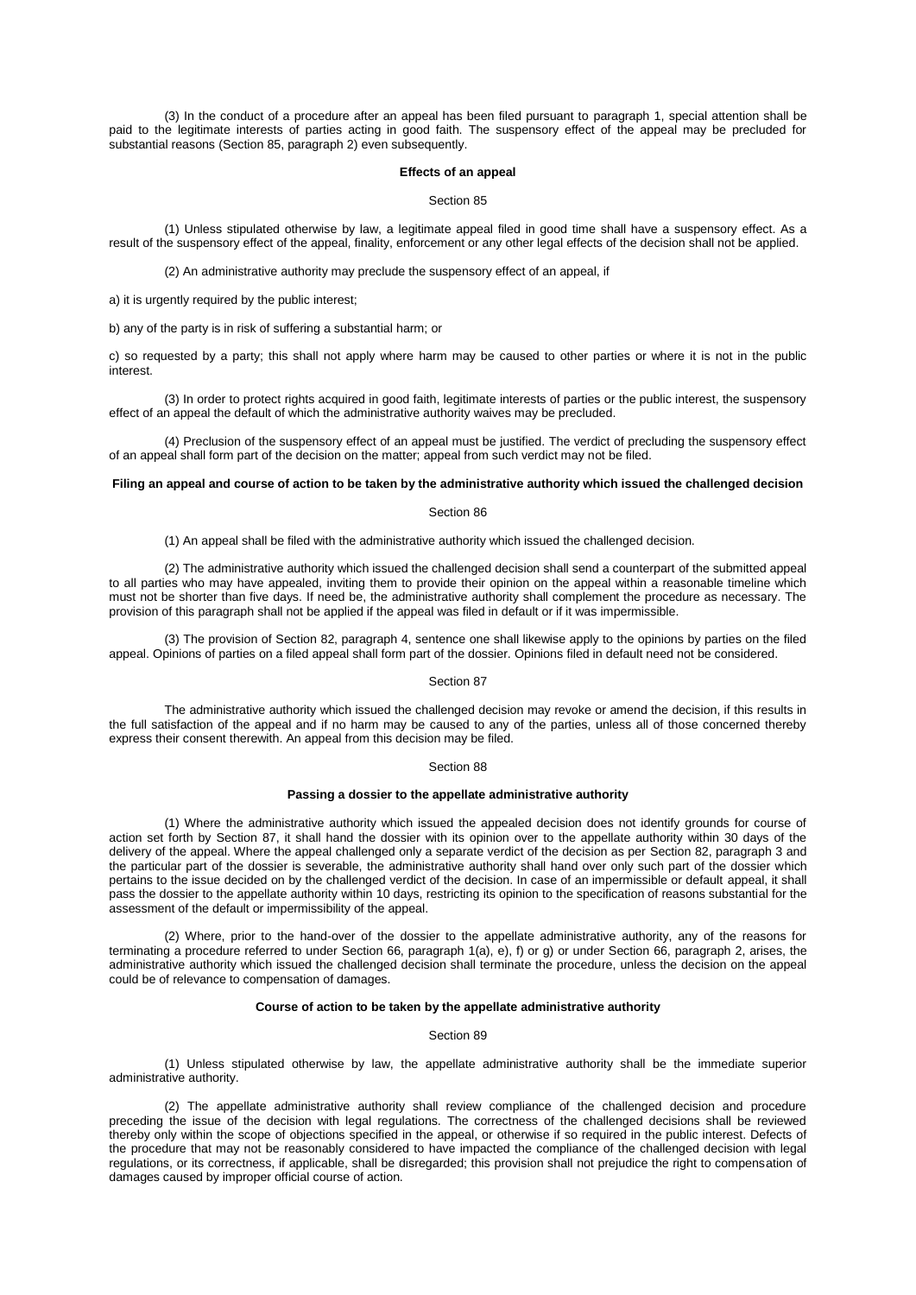(3) In the conduct of a procedure after an appeal has been filed pursuant to [paragraph 1,](aspi://module=) special attention shall be paid to the legitimate interests of parties acting in good faith. The suspensory effect of the appeal may be precluded for substantial reasons (Section [85, paragraph](aspi://module=) 2) even subsequently.

### **Effects of an appeal**

### Section 85

(1) Unless stipulated otherwise by law, a legitimate appeal filed in good time shall have a suspensory effect. As a result of the suspensory effect of the appeal, finality, enforcement or any other legal effects of the decision shall not be applied.

(2) An administrative authority may preclude the suspensory effect of an appeal, if

a) it is urgently required by the public interest;

b) any of the party is in risk of suffering a substantial harm; or

c) so requested by a party; this shall not apply where harm may be caused to other parties or where it is not in the public interest.

(3) In order to protect rights acquired in good faith, legitimate interests of parties or the public interest, the suspensory effect of an appeal the default of which the administrative authority waives may be precluded.

(4) Preclusion of the suspensory effect of an appeal must be justified. The verdict of precluding the suspensory effect of an appeal shall form part of the decision on the matter; appeal from such verdict may not be filed.

# **Filing an appeal and course of action to be taken by the administrative authority which issued the challenged decision**

## Section 86

(1) An appeal shall be filed with the administrative authority which issued the challenged decision.

(2) The administrative authority which issued the challenged decision shall send a counterpart of the submitted appeal to all parties who may have appealed, inviting them to provide their opinion on the appeal within a reasonable timeline which must not be shorter than five days. If need be, the administrative authority shall complement the procedure as necessary. The provision of this paragraph shall not be applied if the appeal was filed in default or if it was impermissible.

(3) The provision of Section [82, paragraph](aspi://module=) 4, sentence one shall likewise apply to the opinions by parties on the filed appeal. Opinions of parties on a filed appeal shall form part of the dossier. Opinions filed in default need not be considered.

## Section 87

The administrative authority which issued the challenged decision may revoke or amend the decision, if this results in the full satisfaction of the appeal and if no harm may be caused to any of the parties, unless all of those concerned thereby express their consent therewith. An appeal from this decision may be filed.

## Section 88

### **Passing a dossier to the appellate administrative authority**

(1) Where the administrative authority which issued the appealed decision does not identify grounds for course of action set forth by [Section](aspi://module=) 87, it shall hand the dossier with its opinion over to the appellate authority within 30 days of the delivery of the appeal. Where the appeal challenged only a separate verdict of the decision as per Section [82, paragraph](aspi://module=) 3 and the particular part of the dossier is severable, the administrative authority shall hand over only such part of the dossier which pertains to the issue decided on by the challenged verdict of the decision. In case of an impermissible or default appeal, it shall pass the dossier to the appellate authority within 10 days, restricting its opinion to the specification of reasons substantial for the assessment of the default or impermissibility of the appeal.

(2) Where, prior to the hand-over of the dossier to the appellate administrative authority, any of the reasons for terminating a procedure referred to under Section [66, paragraph](aspi://module=) 1(a), [e\), f\)](aspi://module=) or [g\)](aspi://module=) or under Section [66, paragraph](aspi://module=) 2, arises, the administrative authority which issued the challenged decision shall terminate the procedure, unless the decision on the appeal could be of relevance to compensation of damages.

# **Course of action to be taken by the appellate administrative authority**

## Section 89

(1) Unless stipulated otherwise by law, the appellate administrative authority shall be the immediate superior administrative authority.

(2) The appellate administrative authority shall review compliance of the challenged decision and procedure preceding the issue of the decision with legal regulations. The correctness of the challenged decisions shall be reviewed thereby only within the scope of objections specified in the appeal, or otherwise if so required in the public interest. Defects of the procedure that may not be reasonably considered to have impacted the compliance of the challenged decision with legal regulations, or its correctness, if applicable, shall be disregarded; this provision shall not prejudice the right to compensation of damages caused by improper official course of action.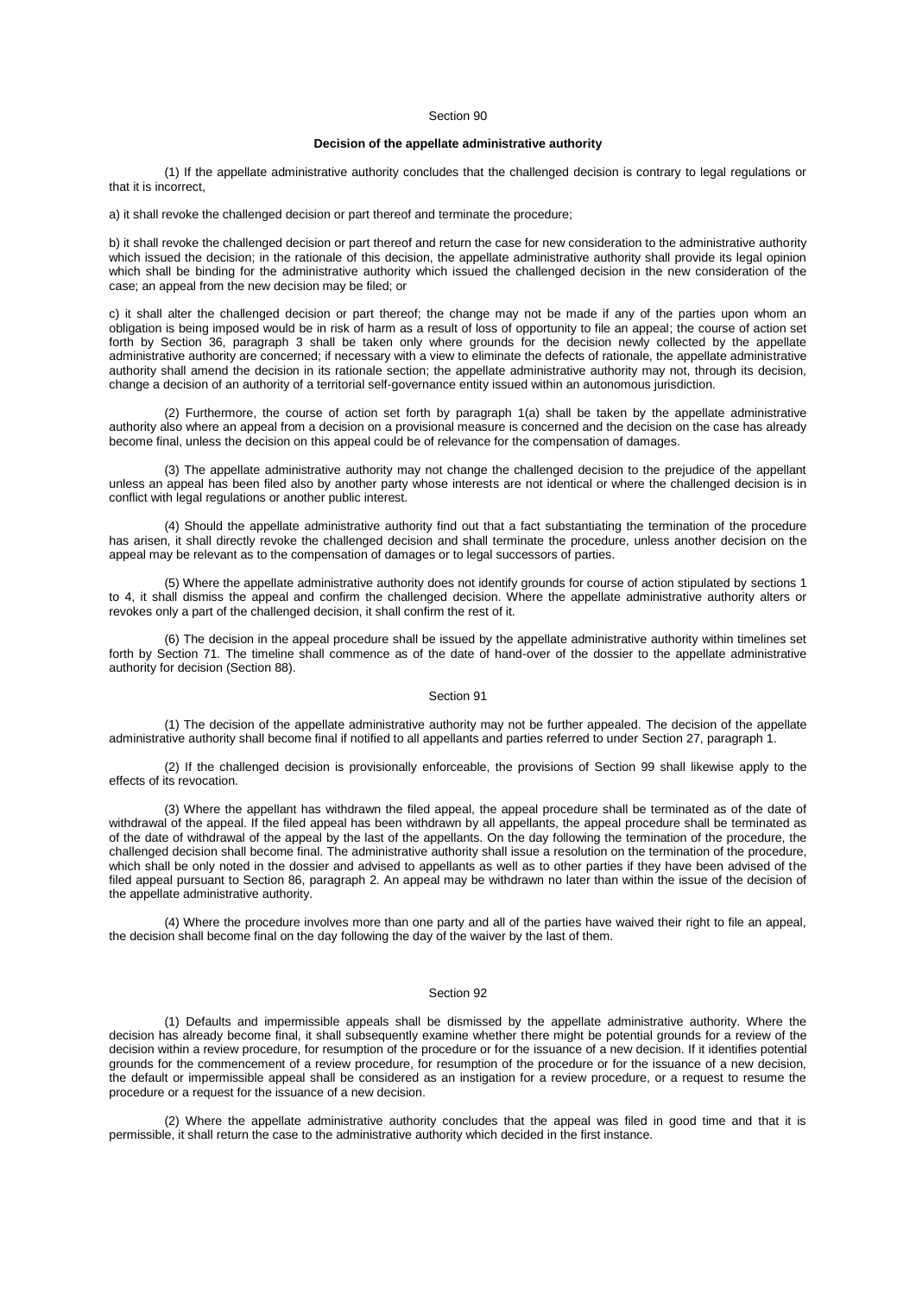# **Decision of the appellate administrative authority**

(1) If the appellate administrative authority concludes that the challenged decision is contrary to legal regulations or that it is incorrect,

a) it shall revoke the challenged decision or part thereof and terminate the procedure;

b) it shall revoke the challenged decision or part thereof and return the case for new consideration to the administrative authority which issued the decision; in the rationale of this decision, the appellate administrative authority shall provide its legal opinion which shall be binding for the administrative authority which issued the challenged decision in the new consideration of the case; an appeal from the new decision may be filed; or

c) it shall alter the challenged decision or part thereof; the change may not be made if any of the parties upon whom an obligation is being imposed would be in risk of harm as a result of loss of opportunity to file an appeal; the course of action set forth by Section [36, paragraph](aspi://module=) 3 shall be taken only where grounds for the decision newly collected by the appellate administrative authority are concerned; if necessary with a view to eliminate the defects of rationale, the appellate administrative authority shall amend the decision in its rationale section; the appellate administrative authority may not, through its decision, change a decision of an authority of a territorial self-governance entity issued within an autonomous jurisdiction.

(2) Furthermore, the course of action set forth by [paragraph 1\(a\)](aspi://module=) shall be taken by the appellate administrative authority also where an appeal from a decision on a provisional measure is concerned and the decision on the case has already become final, unless the decision on this appeal could be of relevance for the compensation of damages.

(3) The appellate administrative authority may not change the challenged decision to the prejudice of the appellant unless an appeal has been filed also by another party whose interests are not identical or where the challenged decision is in conflict with legal regulations or another public interest.

(4) Should the appellate administrative authority find out that a fact substantiating the termination of the procedure has arisen, it shall directly revoke the challenged decision and shall terminate the procedure, unless another decision on the appeal may be relevant as to the compensation of damages or to legal successors of parties.

(5) Where the appellate administrative authority does not identify grounds for course of action stipulated by [sections 1](aspi://module=)  [to 4,](aspi://module=) it shall dismiss the appeal and confirm the challenged decision. Where the appellate administrative authority alters or revokes only a part of the challenged decision, it shall confirm the rest of it.

(6) The decision in the appeal procedure shall be issued by the appellate administrative authority within timelines set forth by [Section](aspi://module=) 71. The timeline shall commence as of the date of hand-over of the dossier to the appellate administrative authority for decision [\(Section](aspi://module=) 88).

### Section 91

(1) The decision of the appellate administrative authority may not be further appealed. The decision of the appellate administrative authority shall become final if notified to all appellants and parties referred to under Section [27, paragraph](aspi://module=) 1.

(2) If the challenged decision is provisionally enforceable, the provisions of [Section 99](aspi://module=) shall likewise apply to the effects of its revocation.

(3) Where the appellant has withdrawn the filed appeal, the appeal procedure shall be terminated as of the date of withdrawal of the appeal. If the filed appeal has been withdrawn by all appellants, the appeal procedure shall be terminated as of the date of withdrawal of the appeal by the last of the appellants. On the day following the termination of the procedure, the challenged decision shall become final. The administrative authority shall issue a resolution on the termination of the procedure, which shall be only noted in the dossier and advised to appellants as well as to other parties if they have been advised of the filed appeal pursuant to Section [86, paragraph](aspi://module=) 2. An appeal may be withdrawn no later than within the issue of the decision of the appellate administrative authority.

(4) Where the procedure involves more than one party and all of the parties have waived their right to file an appeal, the decision shall become final on the day following the day of the waiver by the last of them.

### Section 92

(1) Defaults and impermissible appeals shall be dismissed by the appellate administrative authority. Where the decision has already become final, it shall subsequently examine whether there might be potential grounds for a review of the decision within a review procedure, for resumption of the procedure or for the issuance of a new decision. If it identifies potential grounds for the commencement of a review procedure, for resumption of the procedure or for the issuance of a new decision, the default or impermissible appeal shall be considered as an instigation for a review procedure, or a request to resume the procedure or a request for the issuance of a new decision.

(2) Where the appellate administrative authority concludes that the appeal was filed in good time and that it is permissible, it shall return the case to the administrative authority which decided in the first instance.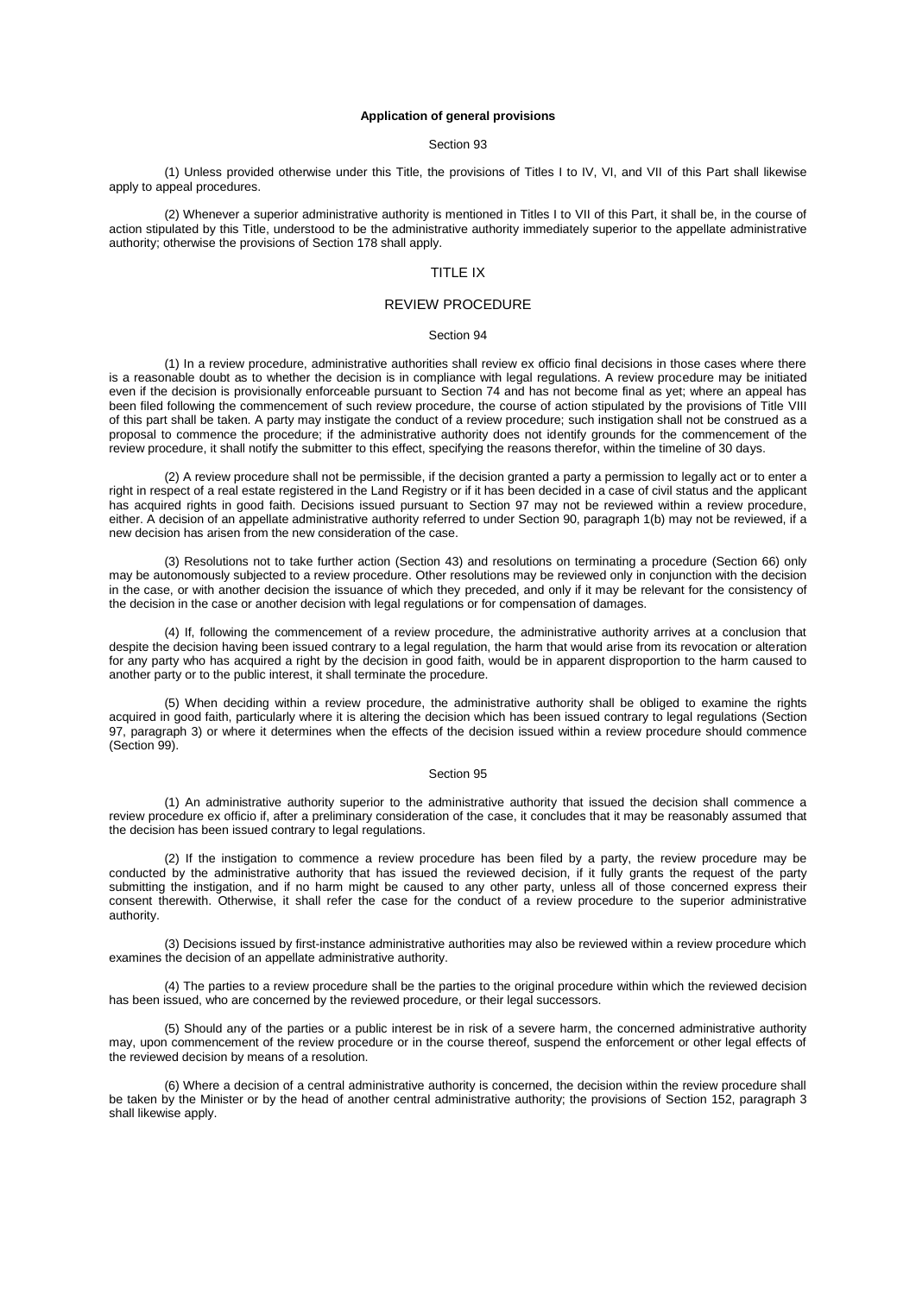#### **Application of general provisions**

## Section 93

(1) Unless provided otherwise under this Title, the provisions of Titles I to IV, VI, and VII of this Part shall likewise apply to appeal procedures.

(2) Whenever a superior administrative authority is mentioned in Titles I to VII of this Part, it shall be, in the course of action stipulated by this Title, understood to be the administrative authority immediately superior to the appellate administrative authority; otherwise the provisions of [Section](aspi://module=) 178 shall apply.

# TITLE IX

# REVIEW PROCEDURE

### Section 94

(1) In a review procedure, administrative authorities shall review ex officio final decisions in those cases where there is a reasonable doubt as to whether the decision is in compliance with legal regulations. A review procedure may be initiated even if the decision is provisionally enforceable pursuant to [Section](aspi://module=) 74 and has not become final as yet; where an appeal has been filed following the commencement of such review procedure, the course of action stipulated by the provisions of Title VIII of this part shall be taken. A party may instigate the conduct of a review procedure; such instigation shall not be construed as a proposal to commence the procedure; if the administrative authority does not identify grounds for the commencement of the review procedure, it shall notify the submitter to this effect, specifying the reasons therefor, within the timeline of 30 days.

(2) A review procedure shall not be permissible, if the decision granted a party a permission to legally act or to enter a right in respect of a real estate registered in the Land Registry or if it has been decided in a case of civil status and the applicant has acquired rights in good faith. Decisions issued pursuant to [Section](aspi://module=) 97 may not be reviewed within a review procedure, either. A decision of an appellate administrative authority referred to under [Section 90, paragraph 1\(b\)](aspi://module=) may not be reviewed, if a new decision has arisen from the new consideration of the case.

(3) Resolutions not to take further action [\(Section](aspi://module=) 43) and resolutions on terminating a procedure [\(Section](aspi://module=) 66) only may be autonomously subjected to a review procedure. Other resolutions may be reviewed only in conjunction with the decision in the case, or with another decision the issuance of which they preceded, and only if it may be relevant for the consistency of the decision in the case or another decision with legal regulations or for compensation of damages.

(4) If, following the commencement of a review procedure, the administrative authority arrives at a conclusion that despite the decision having been issued contrary to a legal regulation, the harm that would arise from its revocation or alteration for any party who has acquired a right by the decision in good faith, would be in apparent disproportion to the harm caused to another party or to the public interest, it shall terminate the procedure.

(5) When deciding within a review procedure, the administrative authority shall be obliged to examine the rights acquired in good faith, particularly where it is altering the decision which has been issued contrary to legal regulations [\(Section](aspi://module=) [97, paragraph](aspi://module=) 3) or where it determines when the effects of the decision issued within a review procedure should commence [\(Section](aspi://module=) 99).

### Section 95

(1) An administrative authority superior to the administrative authority that issued the decision shall commence a review procedure ex officio if, after a preliminary consideration of the case, it concludes that it may be reasonably assumed that the decision has been issued contrary to legal regulations.

(2) If the instigation to commence a review procedure has been filed by a party, the review procedure may be conducted by the administrative authority that has issued the reviewed decision, if it fully grants the request of the party submitting the instigation, and if no harm might be caused to any other party, unless all of those concerned express their consent therewith. Otherwise, it shall refer the case for the conduct of a review procedure to the superior administrative authority.

(3) Decisions issued by first-instance administrative authorities may also be reviewed within a review procedure which examines the decision of an appellate administrative authority.

(4) The parties to a review procedure shall be the parties to the original procedure within which the reviewed decision has been issued, who are concerned by the reviewed procedure, or their legal successors.

(5) Should any of the parties or a public interest be in risk of a severe harm, the concerned administrative authority may, upon commencement of the review procedure or in the course thereof, suspend the enforcement or other legal effects of the reviewed decision by means of a resolution.

(6) Where a decision of a central administrative authority is concerned, the decision within the review procedure shall be taken by the Minister or by the head of another central administrative authority; the provisions of Section [152, paragraph](aspi://module=) 3 shall likewise apply.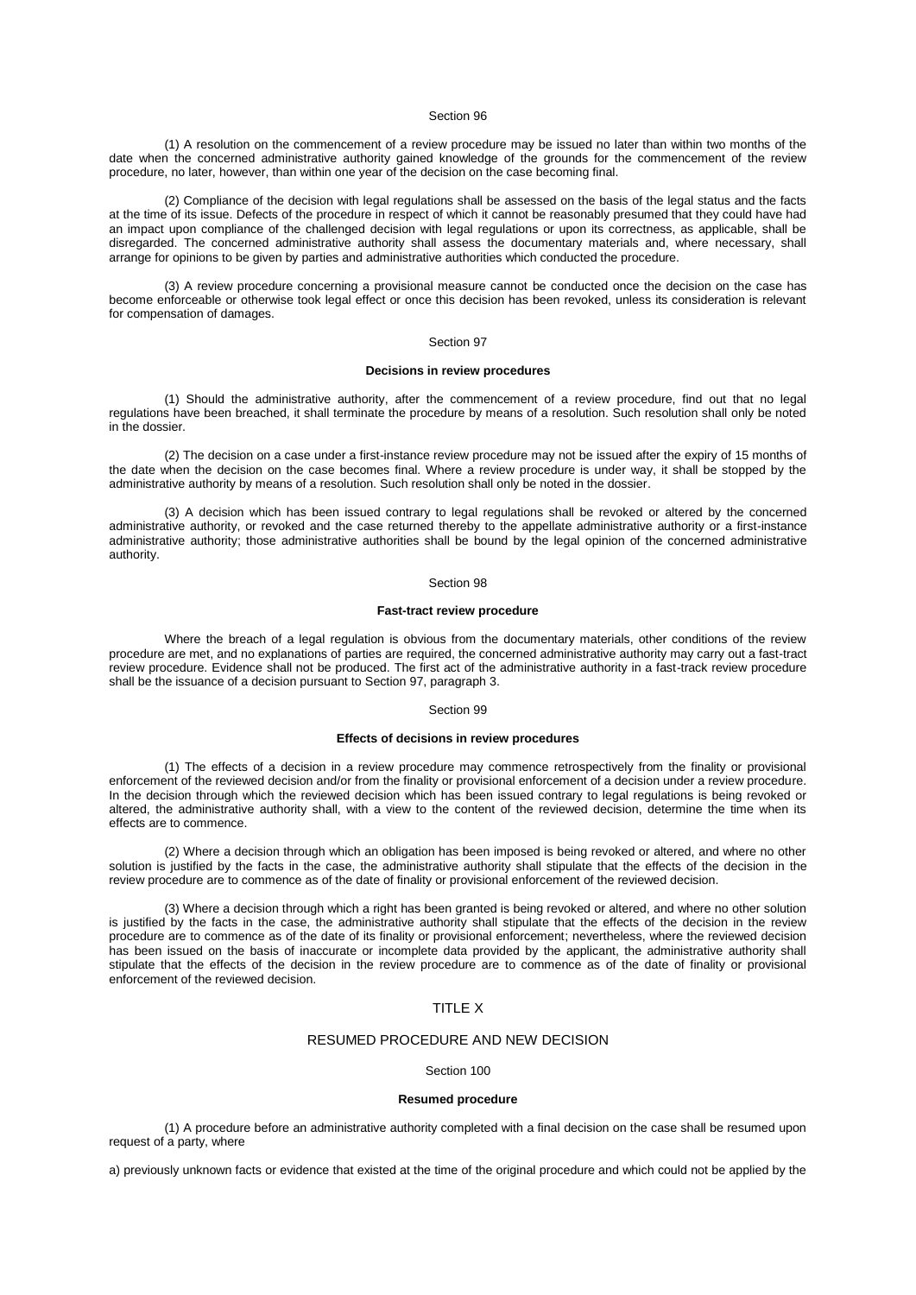(1) A resolution on the commencement of a review procedure may be issued no later than within two months of the date when the concerned administrative authority gained knowledge of the grounds for the commencement of the review procedure, no later, however, than within one year of the decision on the case becoming final.

(2) Compliance of the decision with legal regulations shall be assessed on the basis of the legal status and the facts at the time of its issue. Defects of the procedure in respect of which it cannot be reasonably presumed that they could have had an impact upon compliance of the challenged decision with legal regulations or upon its correctness, as applicable, shall be disregarded. The concerned administrative authority shall assess the documentary materials and, where necessary, shall arrange for opinions to be given by parties and administrative authorities which conducted the procedure.

(3) A review procedure concerning a provisional measure cannot be conducted once the decision on the case has become enforceable or otherwise took legal effect or once this decision has been revoked, unless its consideration is relevant for compensation of damages.

### Section 97

### **Decisions in review procedures**

(1) Should the administrative authority, after the commencement of a review procedure, find out that no legal regulations have been breached, it shall terminate the procedure by means of a resolution. Such resolution shall only be noted in the dossier.

(2) The decision on a case under a first-instance review procedure may not be issued after the expiry of 15 months of the date when the decision on the case becomes final. Where a review procedure is under way, it shall be stopped by the administrative authority by means of a resolution. Such resolution shall only be noted in the dossier.

(3) A decision which has been issued contrary to legal regulations shall be revoked or altered by the concerned administrative authority, or revoked and the case returned thereby to the appellate administrative authority or a first-instance administrative authority; those administrative authorities shall be bound by the legal opinion of the concerned administrative authority.

### Section 98

# **Fast-tract review procedure**

Where the breach of a legal regulation is obvious from the documentary materials, other conditions of the review procedure are met, and no explanations of parties are required, the concerned administrative authority may carry out a fast-tract review procedure. Evidence shall not be produced. The first act of the administrative authority in a fast-track review procedure shall be the issuance of a decision pursuant to Section [97, paragraph](aspi://module=) 3.

#### Section 99

# **Effects of decisions in review procedures**

(1) The effects of a decision in a review procedure may commence retrospectively from the finality or provisional enforcement of the reviewed decision and/or from the finality or provisional enforcement of a decision under a review procedure. In the decision through which the reviewed decision which has been issued contrary to legal regulations is being revoked or altered, the administrative authority shall, with a view to the content of the reviewed decision, determine the time when its effects are to commence.

(2) Where a decision through which an obligation has been imposed is being revoked or altered, and where no other solution is justified by the facts in the case, the administrative authority shall stipulate that the effects of the decision in the review procedure are to commence as of the date of finality or provisional enforcement of the reviewed decision.

(3) Where a decision through which a right has been granted is being revoked or altered, and where no other solution is justified by the facts in the case, the administrative authority shall stipulate that the effects of the decision in the review procedure are to commence as of the date of its finality or provisional enforcement; nevertheless, where the reviewed decision has been issued on the basis of inaccurate or incomplete data provided by the applicant, the administrative authority shall stipulate that the effects of the decision in the review procedure are to commence as of the date of finality or provisional enforcement of the reviewed decision.

# TITLE X

### RESUMED PROCEDURE AND NEW DECISION

### Section 100

### **Resumed procedure**

(1) A procedure before an administrative authority completed with a final decision on the case shall be resumed upon request of a party, where

a) previously unknown facts or evidence that existed at the time of the original procedure and which could not be applied by the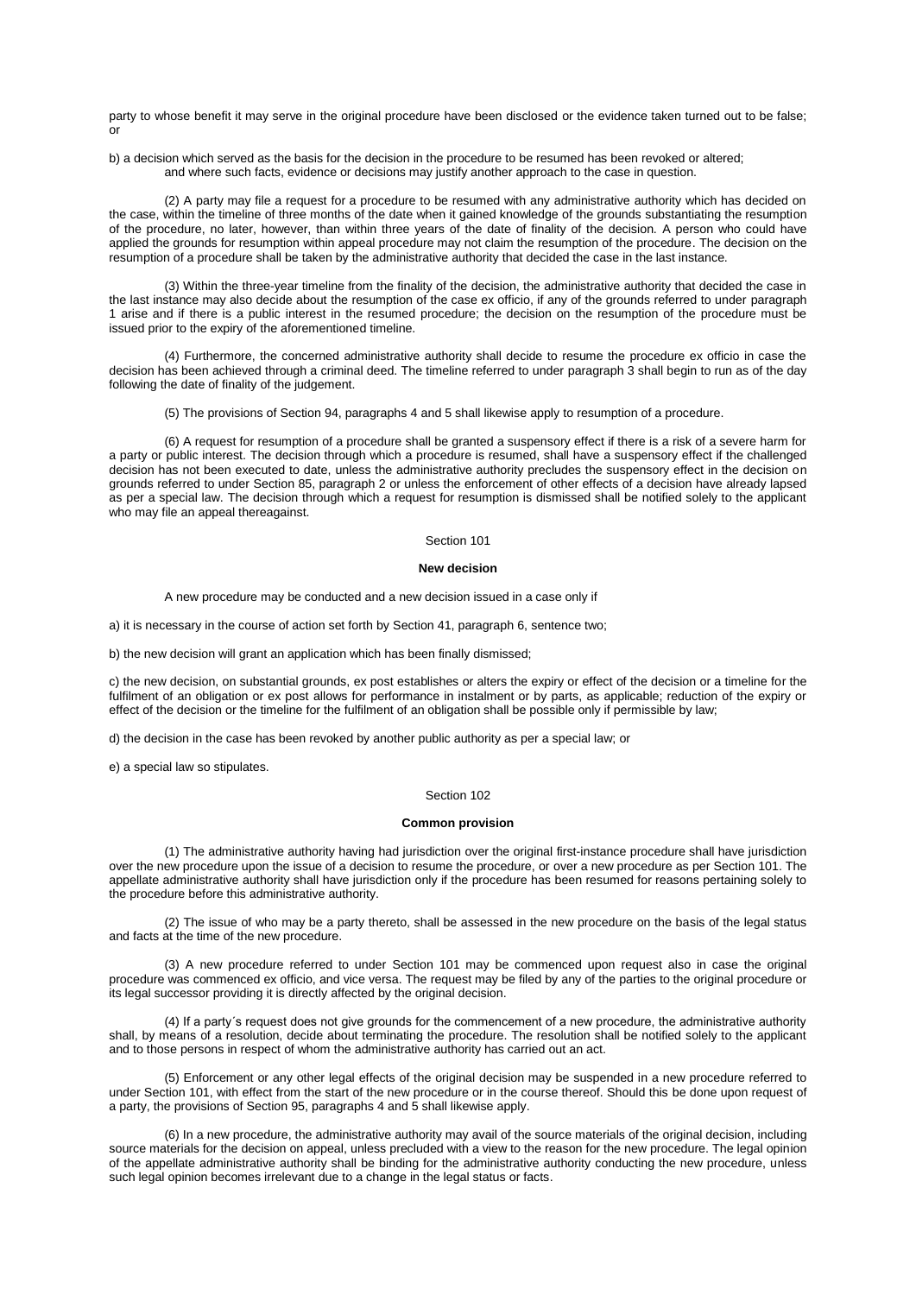party to whose benefit it may serve in the original procedure have been disclosed or the evidence taken turned out to be false; or

b) a decision which served as the basis for the decision in the procedure to be resumed has been revoked or altered; and where such facts, evidence or decisions may justify another approach to the case in question.

(2) A party may file a request for a procedure to be resumed with any administrative authority which has decided on the case, within the timeline of three months of the date when it gained knowledge of the grounds substantiating the resumption of the procedure, no later, however, than within three years of the date of finality of the decision. A person who could have applied the grounds for resumption within appeal procedure may not claim the resumption of the procedure. The decision on the resumption of a procedure shall be taken by the administrative authority that decided the case in the last instance.

(3) Within the three-year timeline from the finality of the decision, the administrative authority that decided the case in the last instance may also decide about the resumption of the case ex officio, if any of the grounds referred to under [paragraph](aspi://module=)  [1](aspi://module=) arise and if there is a public interest in the resumed procedure; the decision on the resumption of the procedure must be issued prior to the expiry of the aforementioned timeline.

(4) Furthermore, the concerned administrative authority shall decide to resume the procedure ex officio in case the decision has been achieved through a criminal deed. The timeline referred to under [paragraph 3](aspi://module=) shall begin to run as of the day following the date of finality of the judgement.

(5) The provisions of Section [94, paragraphs](aspi://module=) 4 and [5](aspi://module=) shall likewise apply to resumption of a procedure.

(6) A request for resumption of a procedure shall be granted a suspensory effect if there is a risk of a severe harm for a party or public interest. The decision through which a procedure is resumed, shall have a suspensory effect if the challenged decision has not been executed to date, unless the administrative authority precludes the suspensory effect in the decision on grounds referred to under Section [85, paragraph](aspi://module=) 2 or unless the enforcement of other effects of a decision have already lapsed as per a special law. The decision through which a request for resumption is dismissed shall be notified solely to the applicant who may file an appeal thereagainst.

## Section 101

### **New decision**

A new procedure may be conducted and a new decision issued in a case only if

a) it is necessary in the course of action set forth by Section [41, paragraph](aspi://module=) 6, sentence two;

b) the new decision will grant an application which has been finally dismissed;

c) the new decision, on substantial grounds, ex post establishes or alters the expiry or effect of the decision or a timeline for the fulfilment of an obligation or ex post allows for performance in instalment or by parts, as applicable; reduction of the expiry or effect of the decision or the timeline for the fulfilment of an obligation shall be possible only if permissible by law;

d) the decision in the case has been revoked by another public authority as per a special law; or

e) a special law so stipulates.

### Section 102

#### **Common provision**

(1) The administrative authority having had jurisdiction over the original first-instance procedure shall have jurisdiction over the new procedure upon the issue of a decision to resume the procedure, or over a new procedure as per [Section](aspi://module=) 101. The appellate administrative authority shall have jurisdiction only if the procedure has been resumed for reasons pertaining solely to the procedure before this administrative authority.

(2) The issue of who may be a party thereto, shall be assessed in the new procedure on the basis of the legal status and facts at the time of the new procedure.

(3) A new procedure referred to under [Section](aspi://module=) 101 may be commenced upon request also in case the original procedure was commenced ex officio, and vice versa. The request may be filed by any of the parties to the original procedure or its legal successor providing it is directly affected by the original decision.

(4) If a party´s request does not give grounds for the commencement of a new procedure, the administrative authority shall, by means of a resolution, decide about terminating the procedure. The resolution shall be notified solely to the applicant and to those persons in respect of whom the administrative authority has carried out an act.

(5) Enforcement or any other legal effects of the original decision may be suspended in a new procedure referred to under [Section](aspi://module=) 101, with effect from the start of the new procedure or in the course thereof. Should this be done upon request of a party, the provisions of Section [95, paragraphs](aspi://module=) 4 and [5](aspi://module=) shall likewise apply.

(6) In a new procedure, the administrative authority may avail of the source materials of the original decision, including source materials for the decision on appeal, unless precluded with a view to the reason for the new procedure. The legal opinion of the appellate administrative authority shall be binding for the administrative authority conducting the new procedure, unless such legal opinion becomes irrelevant due to a change in the legal status or facts.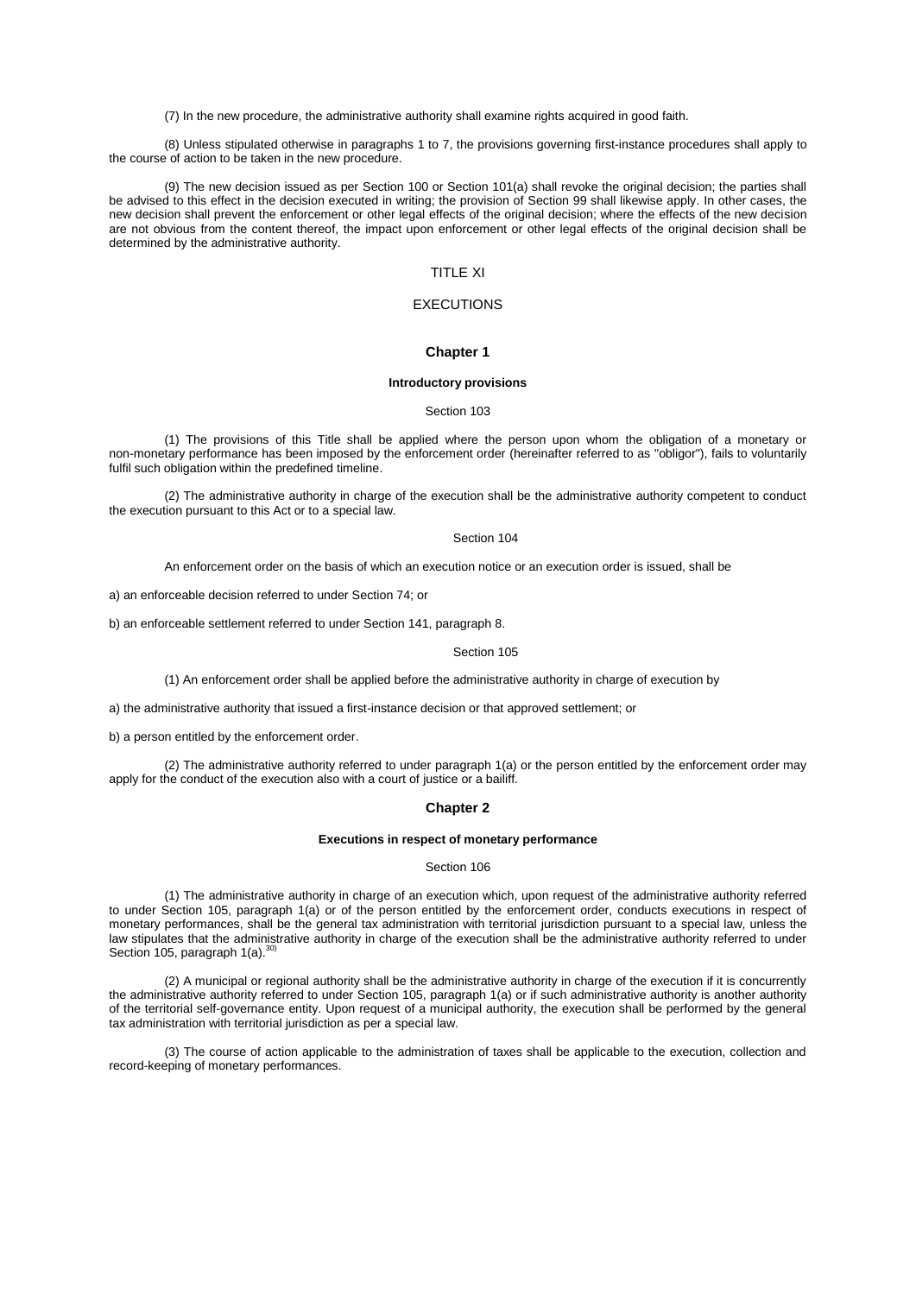(7) In the new procedure, the administrative authority shall examine rights acquired in good faith.

(8) Unless stipulated otherwise i[n paragraphs 1 to 7,](aspi://module=) the provisions governing first-instance procedures shall apply to the course of action to be taken in the new procedure.

(9) The new decision issued as per [Section](aspi://module=) 100 or [Section](aspi://module=) 101(a) shall revoke the original decision; the parties shall be advised to this effect in the decision executed in writing; the provision of [Section](aspi://module=) 99 shall likewise apply. In other cases, the new decision shall prevent the enforcement or other legal effects of the original decision; where the effects of the new decision are not obvious from the content thereof, the impact upon enforcement or other legal effects of the original decision shall be determined by the administrative authority.

# TITLE XI

# **EXECUTIONS**

# **Chapter 1**

### **Introductory provisions**

### Section 103

(1) The provisions of this Title shall be applied where the person upon whom the obligation of a monetary or non-monetary performance has been imposed by the enforcement order (hereinafter referred to as "obligor"), fails to voluntarily fulfil such obligation within the predefined timeline.

(2) The administrative authority in charge of the execution shall be the administrative authority competent to conduct the execution pursuant to this Act or to a special law.

### Section 104

An enforcement order on the basis of which an execution notice or an execution order is issued, shall be

a) an enforceable decision referred to under [Section](aspi://module=) 74; or

b) an enforceable settlement referred to under Section [141, paragraph](aspi://module=) 8.

#### Section 105

(1) An enforcement order shall be applied before the administrative authority in charge of execution by

a) the administrative authority that issued a first-instance decision or that approved settlement; or

b) a person entitled by the enforcement order.

(2) The administrative authority referred to under [paragraph 1\(a\)](aspi://module=) or the person entitled by the enforcement order may apply for the conduct of the execution also with a court of justice or a bailiff.

## **Chapter 2**

# **Executions in respect of monetary performance**

## Section 106

(1) The administrative authority in charge of an execution which, upon request of the administrative authority referred to under Section [105, paragraph](aspi://module=) 1(a) or of the person entitled by the enforcement order, conducts executions in respect of monetary performances, shall be the general tax administration with territorial jurisdiction pursuant to a special law, unless the law stipulates that the administrative authority in charge of the execution shall be the administrative authority referred to under Section [105, paragraph](aspi://module=) 1(a).<sup>30)</sup>

(2) A municipal or regional authority shall be the administrative authority in charge of the execution if it is concurrently the administrative authority referred to under Section [105, paragraph](aspi://module=) 1(a) or if such administrative authority is another authority of the territorial self-governance entity. Upon request of a municipal authority, the execution shall be performed by the general tax administration with territorial jurisdiction as per a special law.

(3) The course of action applicable to the administration of taxes shall be applicable to the execution, collection and record-keeping of monetary performances.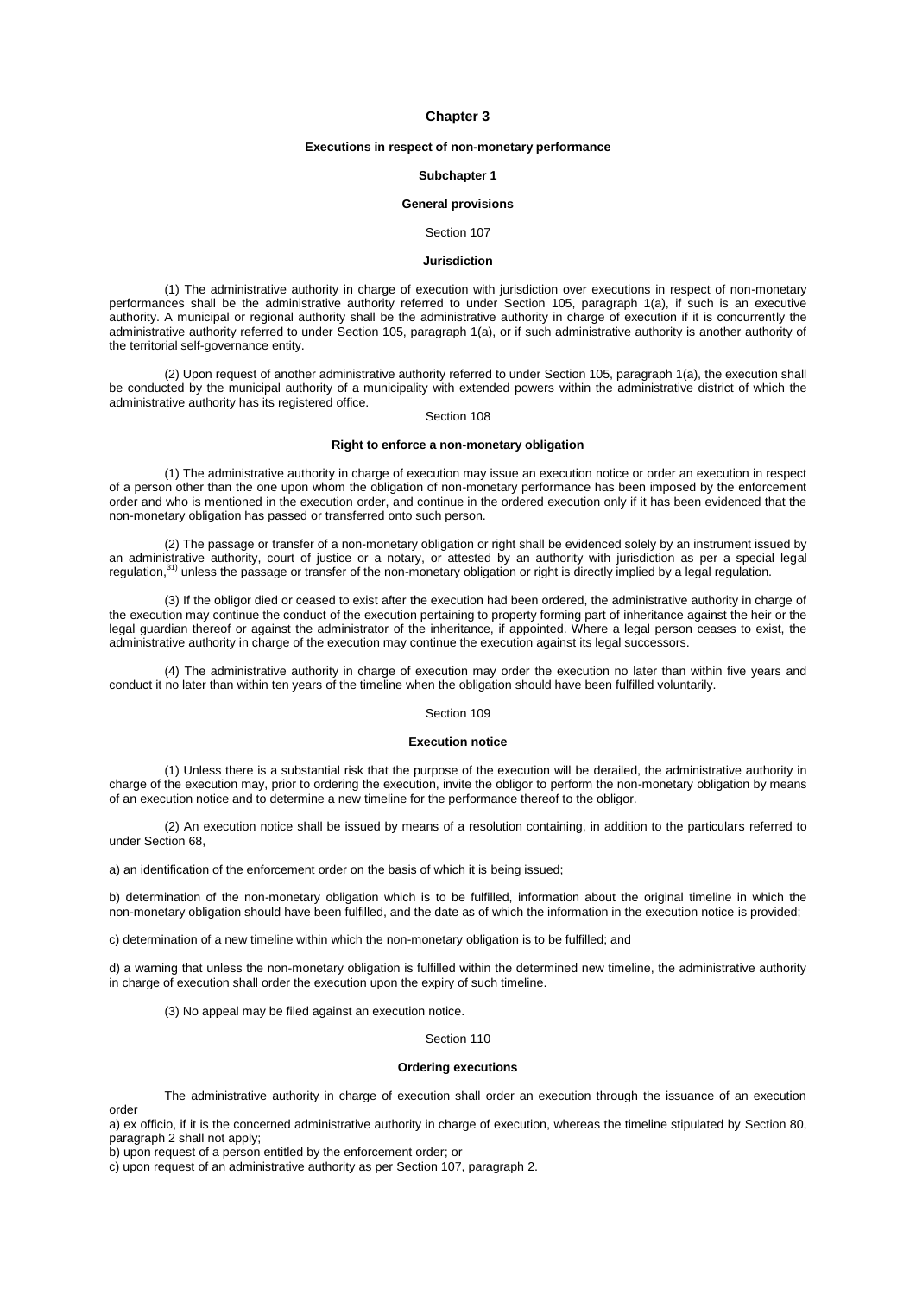# **Chapter 3**

# **Executions in respect of non-monetary performance**

### **Subchapter 1**

# **General provisions**

### Section 107

# **Jurisdiction**

(1) The administrative authority in charge of execution with jurisdiction over executions in respect of non-monetary performances shall be the administrative authority referred to under Section [105, paragraph](aspi://module=) 1(a), if such is an executive authority. A municipal or regional authority shall be the administrative authority in charge of execution if it is concurrently the administrative authority referred to under Section [105, paragraph](aspi://module=) 1(a), or if such administrative authority is another authority of the territorial self-governance entity.

(2) Upon request of another administrative authority referred to under Section [105, paragraph](aspi://module=) 1(a), the execution shall be conducted by the municipal authority of a municipality with extended powers within the administrative district of which the administrative authority has its registered office.

### Section 108

# **Right to enforce a non-monetary obligation**

(1) The administrative authority in charge of execution may issue an execution notice or order an execution in respect of a person other than the one upon whom the obligation of non-monetary performance has been imposed by the enforcement order and who is mentioned in the execution order, and continue in the ordered execution only if it has been evidenced that the non-monetary obligation has passed or transferred onto such person.

(2) The passage or transfer of a non-monetary obligation or right shall be evidenced solely by an instrument issued by an administrative authority, court of justice or a notary, or attested by an authority with jurisdiction as per a special legal regulation,<sup>31)</sup> unless the passage or transfer of the non-monetary obligation or right is directly implied by a legal regulation.

(3) If the obligor died or ceased to exist after the execution had been ordered, the administrative authority in charge of the execution may continue the conduct of the execution pertaining to property forming part of inheritance against the heir or the legal guardian thereof or against the administrator of the inheritance, if appointed. Where a legal person ceases to exist, the administrative authority in charge of the execution may continue the execution against its legal successors.

(4) The administrative authority in charge of execution may order the execution no later than within five years and conduct it no later than within ten years of the timeline when the obligation should have been fulfilled voluntarily.

# Section 109

### **Execution notice**

(1) Unless there is a substantial risk that the purpose of the execution will be derailed, the administrative authority in charge of the execution may, prior to ordering the execution, invite the obligor to perform the non-monetary obligation by means of an execution notice and to determine a new timeline for the performance thereof to the obligor.

(2) An execution notice shall be issued by means of a resolution containing, in addition to the particulars referred to unde[r Section](aspi://module=) 68,

a) an identification of the enforcement order on the basis of which it is being issued;

b) determination of the non-monetary obligation which is to be fulfilled, information about the original timeline in which the non-monetary obligation should have been fulfilled, and the date as of which the information in the execution notice is provided;

c) determination of a new timeline within which the non-monetary obligation is to be fulfilled; and

d) a warning that unless the non-monetary obligation is fulfilled within the determined new timeline, the administrative authority in charge of execution shall order the execution upon the expiry of such timeline.

(3) No appeal may be filed against an execution notice.

### Section 110

### **Ordering executions**

The administrative authority in charge of execution shall order an execution through the issuance of an execution order

a) ex officio, if it is the concerned administrative authority in charge of execution, whereas the timeline stipulated by [Section](aspi://module=) 80, [paragraph](aspi://module=) 2 shall not apply;

b) upon request of a person entitled by the enforcement order; or

c) upon request of an administrative authority as per Section [107, paragraph](aspi://module=) 2.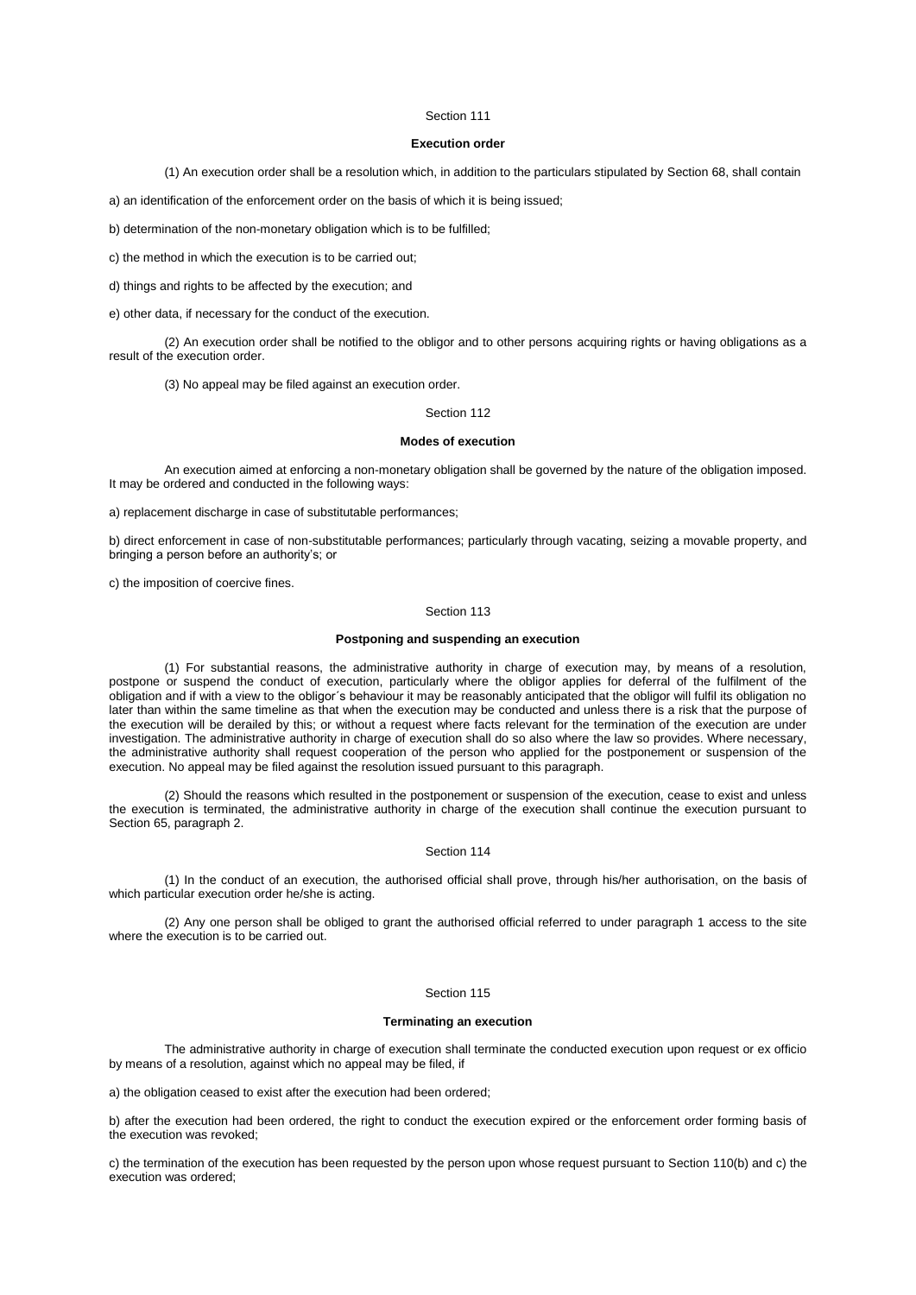# **Execution order**

(1) An execution order shall be a resolution which, in addition to the particulars stipulated by [Section](aspi://module=) 68, shall contain

a) an identification of the enforcement order on the basis of which it is being issued;

b) determination of the non-monetary obligation which is to be fulfilled;

c) the method in which the execution is to be carried out;

d) things and rights to be affected by the execution; and

e) other data, if necessary for the conduct of the execution.

(2) An execution order shall be notified to the obligor and to other persons acquiring rights or having obligations as a result of the execution order.

(3) No appeal may be filed against an execution order.

# Section 112

#### **Modes of execution**

An execution aimed at enforcing a non-monetary obligation shall be governed by the nature of the obligation imposed. It may be ordered and conducted in the following ways:

a) replacement discharge in case of substitutable performances;

b) direct enforcement in case of non-substitutable performances; particularly through vacating, seizing a movable property, and bringing a person before an authority's; or

c) the imposition of coercive fines.

### Section 113

# **Postponing and suspending an execution**

(1) For substantial reasons, the administrative authority in charge of execution may, by means of a resolution, postpone or suspend the conduct of execution, particularly where the obligor applies for deferral of the fulfilment of the obligation and if with a view to the obligor´s behaviour it may be reasonably anticipated that the obligor will fulfil its obligation no later than within the same timeline as that when the execution may be conducted and unless there is a risk that the purpose of the execution will be derailed by this; or without a request where facts relevant for the termination of the execution are under investigation. The administrative authority in charge of execution shall do so also where the law so provides. Where necessary, the administrative authority shall request cooperation of the person who applied for the postponement or suspension of the execution. No appeal may be filed against the resolution issued pursuant to this paragraph.

(2) Should the reasons which resulted in the postponement or suspension of the execution, cease to exist and unless the execution is terminated, the administrative authority in charge of the execution shall continue the execution pursuant to Section [65, paragraph](aspi://module=) 2.

# Section 114

(1) In the conduct of an execution, the authorised official shall prove, through his/her authorisation, on the basis of which particular execution order he/she is acting.

(2) Any one person shall be obliged to grant the authorised official referred to under [paragraph 1](aspi://module=) access to the site where the execution is to be carried out.

# Section 115

#### **Terminating an execution**

The administrative authority in charge of execution shall terminate the conducted execution upon request or ex officio by means of a resolution, against which no appeal may be filed, if

a) the obligation ceased to exist after the execution had been ordered;

b) after the execution had been ordered, the right to conduct the execution expired or the enforcement order forming basis of the execution was revoked;

c) the termination of the execution has been requested by the person upon whose request pursuant t[o Section](aspi://module=) 110(b) and [c\)](aspi://module=) the execution was ordered;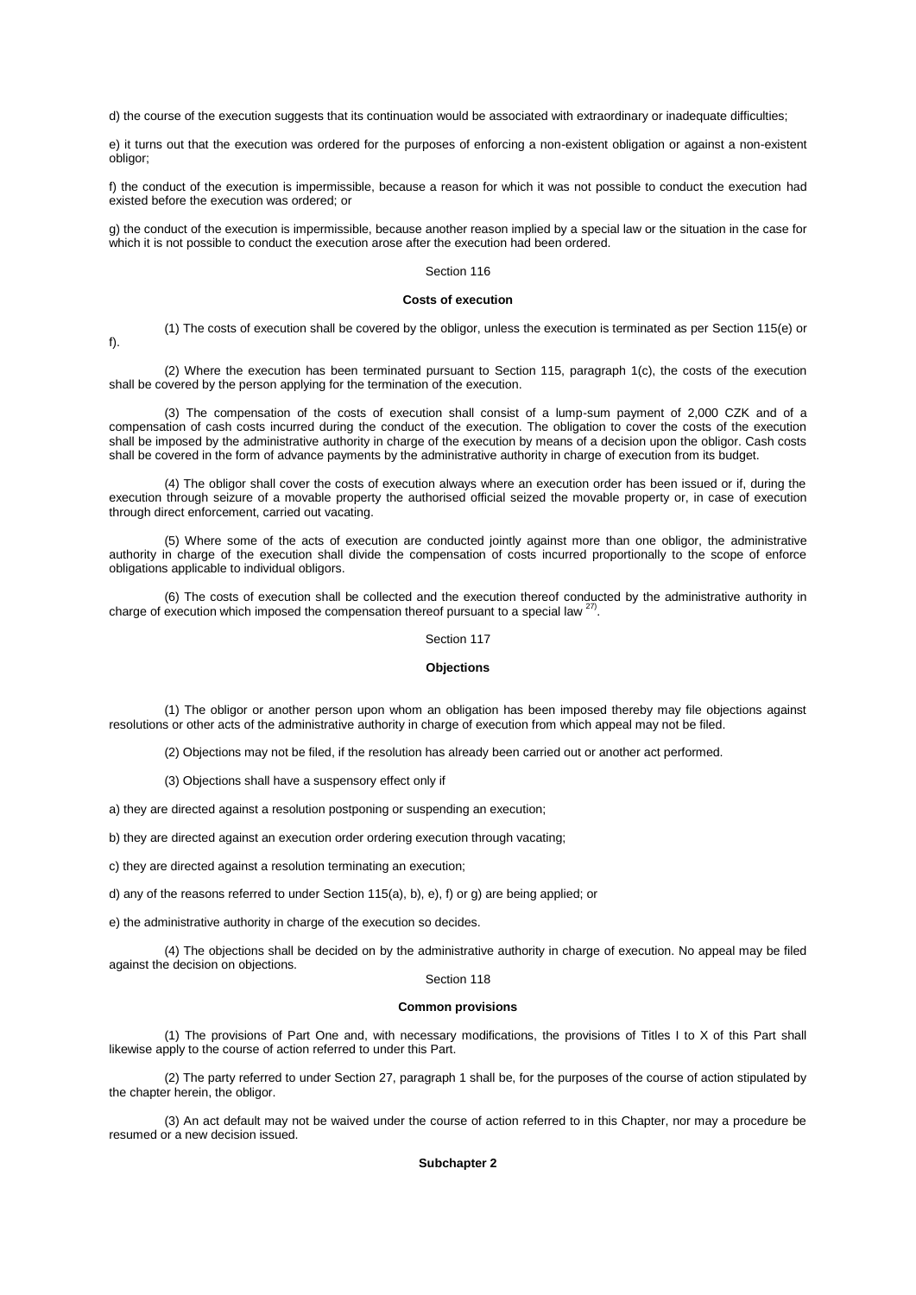d) the course of the execution suggests that its continuation would be associated with extraordinary or inadequate difficulties;

e) it turns out that the execution was ordered for the purposes of enforcing a non-existent obligation or against a non-existent obligor;

f) the conduct of the execution is impermissible, because a reason for which it was not possible to conduct the execution had existed before the execution was ordered; or

g) the conduct of the execution is impermissible, because another reason implied by a special law or the situation in the case for which it is not possible to conduct the execution arose after the execution had been ordered.

### Section 116

# **Costs of execution**

(1) The costs of execution shall be covered by the obligor, unless the execution is terminated as per [Section](aspi://module=) 115(e) or [f\).](aspi://module=)

(2) Where the execution has been terminated pursuant to Section [115, paragraph](aspi://module=) 1(c), the costs of the execution shall be covered by the person applying for the termination of the execution.

(3) The compensation of the costs of execution shall consist of a lump-sum payment of 2,000 CZK and of a compensation of cash costs incurred during the conduct of the execution. The obligation to cover the costs of the execution shall be imposed by the administrative authority in charge of the execution by means of a decision upon the obligor. Cash costs shall be covered in the form of advance payments by the administrative authority in charge of execution from its budget.

(4) The obligor shall cover the costs of execution always where an execution order has been issued or if, during the execution through seizure of a movable property the authorised official seized the movable property or, in case of execution through direct enforcement, carried out vacating.

(5) Where some of the acts of execution are conducted jointly against more than one obligor, the administrative authority in charge of the execution shall divide the compensation of costs incurred proportionally to the scope of enforce obligations applicable to individual obligors.

(6) The costs of execution shall be collected and the execution thereof conducted by the administrative authority in charge of execution which imposed the compensation thereof pursuant to a special law  $27$ .

### Section 117

### **Objections**

(1) The obligor or another person upon whom an obligation has been imposed thereby may file objections against resolutions or other acts of the administrative authority in charge of execution from which appeal may not be filed.

(2) Objections may not be filed, if the resolution has already been carried out or another act performed.

(3) Objections shall have a suspensory effect only if

a) they are directed against a resolution postponing or suspending an execution;

b) they are directed against an execution order ordering execution through vacating;

c) they are directed against a resolution terminating an execution;

d) any of the reasons referred to under [Section](aspi://module=) 115(a)[, b\), e\), f\)](aspi://module=) or [g\)](aspi://module=) are being applied; or

e) the administrative authority in charge of the execution so decides.

(4) The objections shall be decided on by the administrative authority in charge of execution. No appeal may be filed against the decision on objections.

# Section 118

### **Common provisions**

(1) The provisions of Part One and, with necessary modifications, the provisions of Titles I to X of this Part shall likewise apply to the course of action referred to under this Part.

(2) The party referred to under Section [27, paragraph](aspi://module=) 1 shall be, for the purposes of the course of action stipulated by the chapter herein, the obligor.

(3) An act default may not be waived under the course of action referred to in this Chapter, nor may a procedure be resumed or a new decision issued.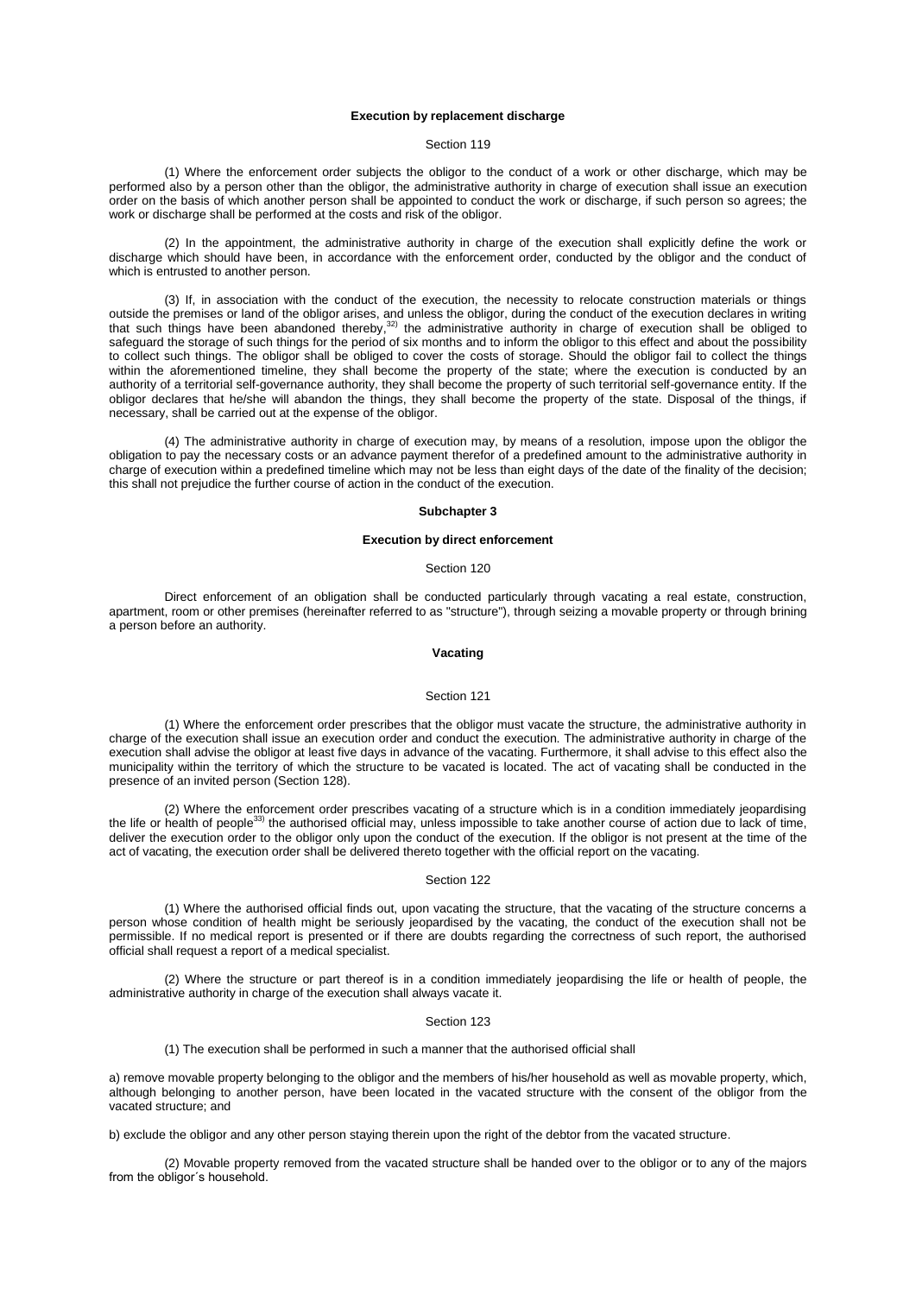### **Execution by replacement discharge**

# Section 119

(1) Where the enforcement order subjects the obligor to the conduct of a work or other discharge, which may be performed also by a person other than the obligor, the administrative authority in charge of execution shall issue an execution order on the basis of which another person shall be appointed to conduct the work or discharge, if such person so agrees; the work or discharge shall be performed at the costs and risk of the obligor.

(2) In the appointment, the administrative authority in charge of the execution shall explicitly define the work or discharge which should have been, in accordance with the enforcement order, conducted by the obligor and the conduct of which is entrusted to another person.

(3) If, in association with the conduct of the execution, the necessity to relocate construction materials or things outside the premises or land of the obligor arises, and unless the obligor, during the conduct of the execution declares in writing that such things have been abandoned thereby,<sup>32)</sup> the administrative authority in charge of execution shall be obliged to safeguard the storage of such things for the period of six months and to inform the obligor to this effect and about the possibility to collect such things. The obligor shall be obliged to cover the costs of storage. Should the obligor fail to collect the things within the aforementioned timeline, they shall become the property of the state; where the execution is conducted by an authority of a territorial self-governance authority, they shall become the property of such territorial self-governance entity. If the obligor declares that he/she will abandon the things, they shall become the property of the state. Disposal of the things, if necessary, shall be carried out at the expense of the obligor.

(4) The administrative authority in charge of execution may, by means of a resolution, impose upon the obligor the obligation to pay the necessary costs or an advance payment therefor of a predefined amount to the administrative authority in charge of execution within a predefined timeline which may not be less than eight days of the date of the finality of the decision; this shall not prejudice the further course of action in the conduct of the execution.

### **Subchapter 3**

### **Execution by direct enforcement**

#### Section 120

Direct enforcement of an obligation shall be conducted particularly through vacating a real estate, construction, apartment, room or other premises (hereinafter referred to as "structure"), through seizing a movable property or through brining a person before an authority.

# **Vacating**

### Section 121

(1) Where the enforcement order prescribes that the obligor must vacate the structure, the administrative authority in charge of the execution shall issue an execution order and conduct the execution. The administrative authority in charge of the execution shall advise the obligor at least five days in advance of the vacating. Furthermore, it shall advise to this effect also the municipality within the territory of which the structure to be vacated is located. The act of vacating shall be conducted in the presence of an invited person [\(Section](aspi://module=) 128).

(2) Where the enforcement order prescribes vacating of a structure which is in a condition immediately jeopardising the life or health of people<sup>33)</sup> the authorised official may, unless impossible to take another course of action due to lack of time, deliver the execution order to the obligor only upon the conduct of the execution. If the obligor is not present at the time of the act of vacating, the execution order shall be delivered thereto together with the official report on the vacating.

### Section 122

(1) Where the authorised official finds out, upon vacating the structure, that the vacating of the structure concerns a person whose condition of health might be seriously jeopardised by the vacating, the conduct of the execution shall not be permissible. If no medical report is presented or if there are doubts regarding the correctness of such report, the authorised official shall request a report of a medical specialist.

(2) Where the structure or part thereof is in a condition immediately jeopardising the life or health of people, the administrative authority in charge of the execution shall always vacate it.

## Section 123

(1) The execution shall be performed in such a manner that the authorised official shall

a) remove movable property belonging to the obligor and the members of his/her household as well as movable property, which, although belonging to another person, have been located in the vacated structure with the consent of the obligor from the vacated structure; and

b) exclude the obligor and any other person staying therein upon the right of the debtor from the vacated structure.

(2) Movable property removed from the vacated structure shall be handed over to the obligor or to any of the majors from the obligor´s household.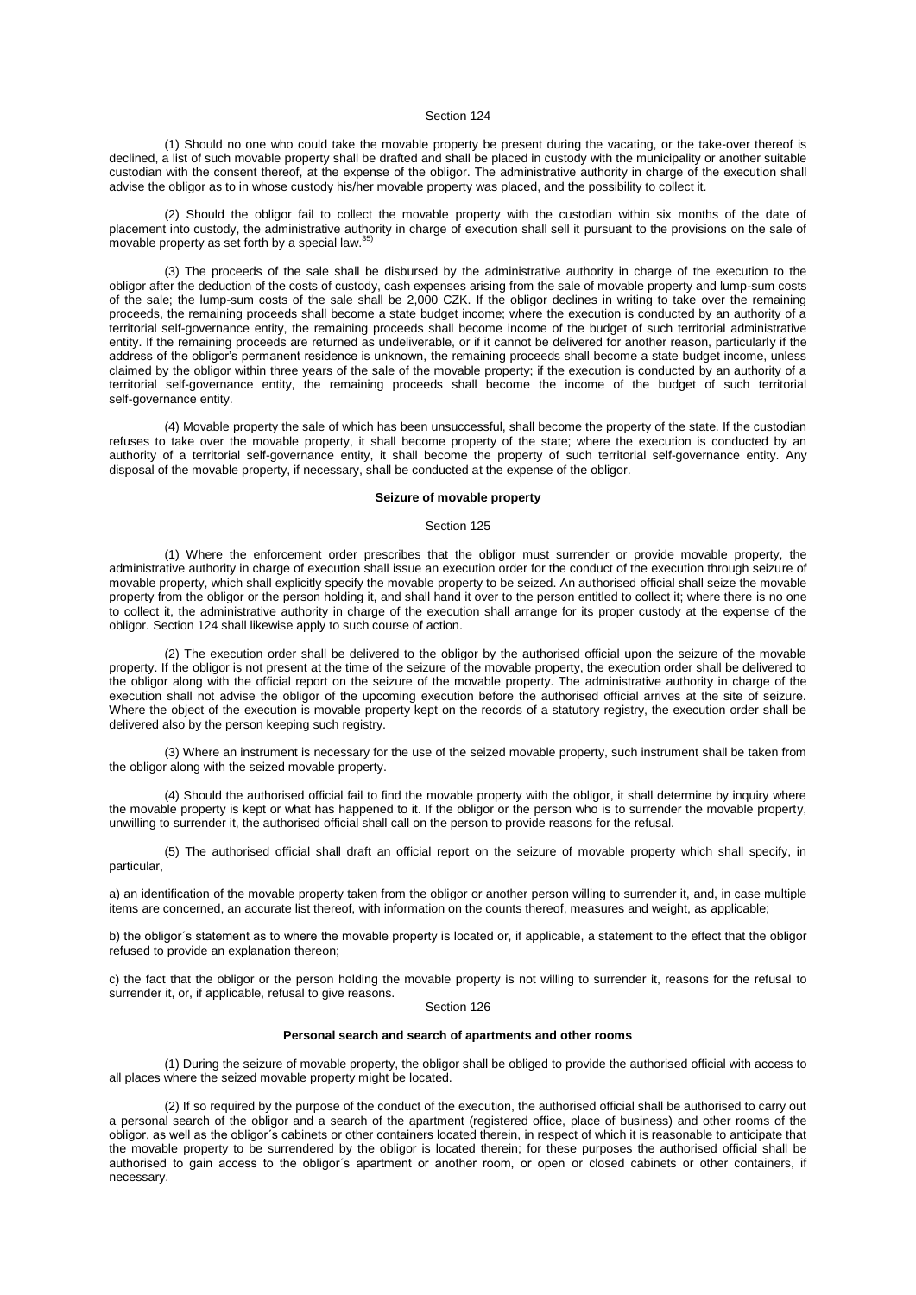(1) Should no one who could take the movable property be present during the vacating, or the take-over thereof is declined, a list of such movable property shall be drafted and shall be placed in custody with the municipality or another suitable custodian with the consent thereof, at the expense of the obligor. The administrative authority in charge of the execution shall advise the obligor as to in whose custody his/her movable property was placed, and the possibility to collect it.

(2) Should the obligor fail to collect the movable property with the custodian within six months of the date of placement into custody, the administrative authority in charge of execution shall sell it pursuant to the provisions on the sale of movable property as set forth by a special law. 35)

(3) The proceeds of the sale shall be disbursed by the administrative authority in charge of the execution to the obligor after the deduction of the costs of custody, cash expenses arising from the sale of movable property and lump-sum costs of the sale; the lump-sum costs of the sale shall be 2,000 CZK. If the obligor declines in writing to take over the remaining proceeds, the remaining proceeds shall become a state budget income; where the execution is conducted by an authority of a territorial self-governance entity, the remaining proceeds shall become income of the budget of such territorial administrative entity. If the remaining proceeds are returned as undeliverable, or if it cannot be delivered for another reason, particularly if the address of the obligor's permanent residence is unknown, the remaining proceeds shall become a state budget income, unless claimed by the obligor within three years of the sale of the movable property; if the execution is conducted by an authority of a territorial self-governance entity, the remaining proceeds shall become the income of the budget of such territorial self-governance entity.

(4) Movable property the sale of which has been unsuccessful, shall become the property of the state. If the custodian refuses to take over the movable property, it shall become property of the state; where the execution is conducted by an authority of a territorial self-governance entity, it shall become the property of such territorial self-governance entity. Any disposal of the movable property, if necessary, shall be conducted at the expense of the obligor.

#### **Seizure of movable property**

#### Section 125

(1) Where the enforcement order prescribes that the obligor must surrender or provide movable property, the administrative authority in charge of execution shall issue an execution order for the conduct of the execution through seizure of movable property, which shall explicitly specify the movable property to be seized. An authorised official shall seize the movable property from the obligor or the person holding it, and shall hand it over to the person entitled to collect it; where there is no one to collect it, the administrative authority in charge of the execution shall arrange for its proper custody at the expense of the obligor[. Section](aspi://module=) 124 shall likewise apply to such course of action.

(2) The execution order shall be delivered to the obligor by the authorised official upon the seizure of the movable property. If the obligor is not present at the time of the seizure of the movable property, the execution order shall be delivered to the obligor along with the official report on the seizure of the movable property. The administrative authority in charge of the execution shall not advise the obligor of the upcoming execution before the authorised official arrives at the site of seizure. Where the object of the execution is movable property kept on the records of a statutory registry, the execution order shall be delivered also by the person keeping such registry.

(3) Where an instrument is necessary for the use of the seized movable property, such instrument shall be taken from the obligor along with the seized movable property.

(4) Should the authorised official fail to find the movable property with the obligor, it shall determine by inquiry where the movable property is kept or what has happened to it. If the obligor or the person who is to surrender the movable property, unwilling to surrender it, the authorised official shall call on the person to provide reasons for the refusal.

(5) The authorised official shall draft an official report on the seizure of movable property which shall specify, in particular,

a) an identification of the movable property taken from the obligor or another person willing to surrender it, and, in case multiple items are concerned, an accurate list thereof, with information on the counts thereof, measures and weight, as applicable;

b) the obligor´s statement as to where the movable property is located or, if applicable, a statement to the effect that the obligor refused to provide an explanation thereon;

c) the fact that the obligor or the person holding the movable property is not willing to surrender it, reasons for the refusal to surrender it, or, if applicable, refusal to give reasons.

### Section 126

# **Personal search and search of apartments and other rooms**

(1) During the seizure of movable property, the obligor shall be obliged to provide the authorised official with access to all places where the seized movable property might be located.

(2) If so required by the purpose of the conduct of the execution, the authorised official shall be authorised to carry out a personal search of the obligor and a search of the apartment (registered office, place of business) and other rooms of the obligor, as well as the obligor´s cabinets or other containers located therein, in respect of which it is reasonable to anticipate that the movable property to be surrendered by the obligor is located therein; for these purposes the authorised official shall be authorised to gain access to the obligor´s apartment or another room, or open or closed cabinets or other containers, if necessary.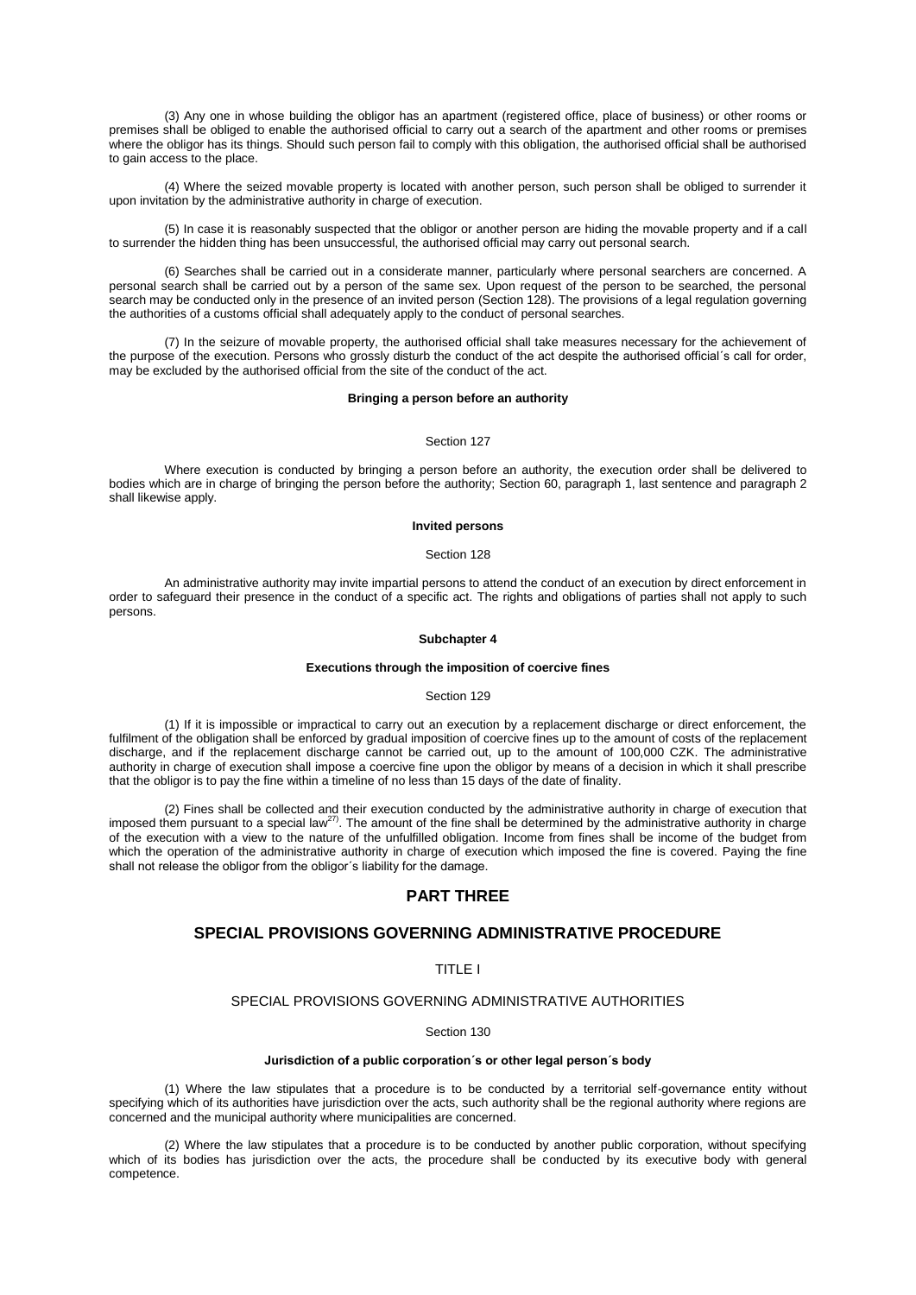(3) Any one in whose building the obligor has an apartment (registered office, place of business) or other rooms or premises shall be obliged to enable the authorised official to carry out a search of the apartment and other rooms or premises where the obligor has its things. Should such person fail to comply with this obligation, the authorised official shall be authorised to gain access to the place.

(4) Where the seized movable property is located with another person, such person shall be obliged to surrender it upon invitation by the administrative authority in charge of execution.

(5) In case it is reasonably suspected that the obligor or another person are hiding the movable property and if a call to surrender the hidden thing has been unsuccessful, the authorised official may carry out personal search.

(6) Searches shall be carried out in a considerate manner, particularly where personal searchers are concerned. A personal search shall be carried out by a person of the same sex. Upon request of the person to be searched, the personal search may be conducted only in the presence of an invited person [\(Section](aspi://module=) 128). The provisions of a legal regulation governing the authorities of a customs official shall adequately apply to the conduct of personal searches.

(7) In the seizure of movable property, the authorised official shall take measures necessary for the achievement of the purpose of the execution. Persons who grossly disturb the conduct of the act despite the authorised official´s call for order, may be excluded by the authorised official from the site of the conduct of the act.

### **Bringing a person before an authority**

### Section 127

Where execution is conducted by bringing a person before an authority, the execution order shall be delivered to bodies which are in charge of bringing the person before the authority; Section [60, paragraph](aspi://module=) 1, last sentence and paragraph 2 shall likewise apply.

## **Invited persons**

#### Section 128

An administrative authority may invite impartial persons to attend the conduct of an execution by direct enforcement in order to safeguard their presence in the conduct of a specific act. The rights and obligations of parties shall not apply to such persons.

# **Subchapter 4**

### **Executions through the imposition of coercive fines**

### Section 129

(1) If it is impossible or impractical to carry out an execution by a replacement discharge or direct enforcement, the fulfilment of the obligation shall be enforced by gradual imposition of coercive fines up to the amount of costs of the replacement discharge, and if the replacement discharge cannot be carried out, up to the amount of 100,000 CZK. The administrative authority in charge of execution shall impose a coercive fine upon the obligor by means of a decision in which it shall prescribe that the obligor is to pay the fine within a timeline of no less than 15 days of the date of finality.

(2) Fines shall be collected and their execution conducted by the administrative authority in charge of execution that imposed them pursuant to a special law<sup>27)</sup>. The amount of the fine shall be determined by the administrative authority in charge of the execution with a view to the nature of the unfulfilled obligation. Income from fines shall be income of the budget from which the operation of the administrative authority in charge of execution which imposed the fine is covered. Paying the fine shall not release the obligor from the obligor´s liability for the damage.

# **PART THREE**

# **SPECIAL PROVISIONS GOVERNING ADMINISTRATIVE PROCEDURE**

# TITLE I

# SPECIAL PROVISIONS GOVERNING ADMINISTRATIVE AUTHORITIES

# Section 130

## **Jurisdiction of a public corporation´s or other legal person´s body**

(1) Where the law stipulates that a procedure is to be conducted by a territorial self-governance entity without specifying which of its authorities have jurisdiction over the acts, such authority shall be the regional authority where regions are concerned and the municipal authority where municipalities are concerned.

(2) Where the law stipulates that a procedure is to be conducted by another public corporation, without specifying which of its bodies has jurisdiction over the acts, the procedure shall be conducted by its executive body with general competence.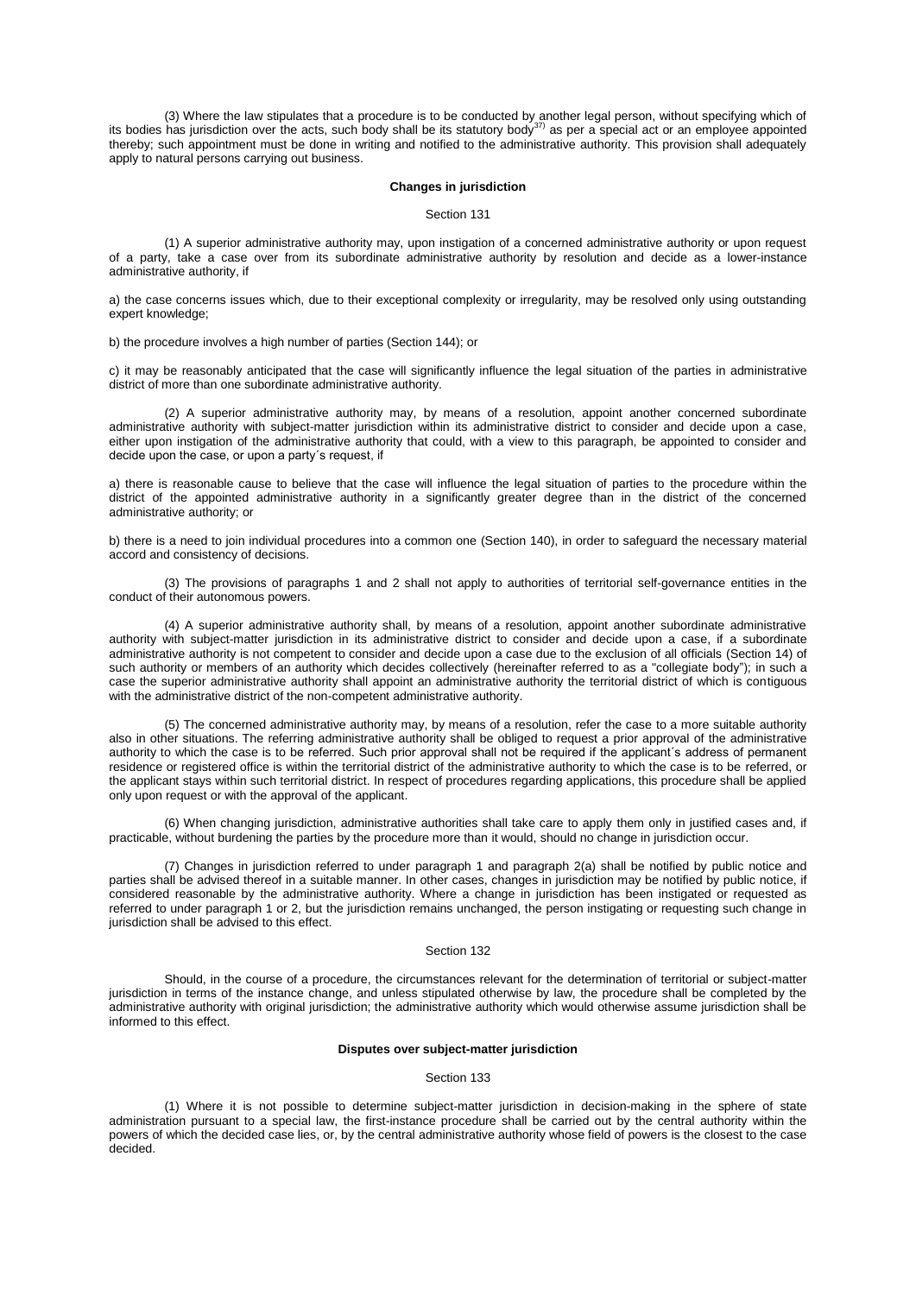(3) Where the law stipulates that a procedure is to be conducted by another legal person, without specifying which of<br>its bodies has jurisdiction over the acts, such body shall be its statutory body<sup>37)</sup> as per a special a thereby; such appointment must be done in writing and notified to the administrative authority. This provision shall adequately apply to natural persons carrying out business.

#### **Changes in jurisdiction**

Section 131

(1) A superior administrative authority may, upon instigation of a concerned administrative authority or upon request of a party, take a case over from its subordinate administrative authority by resolution and decide as a lower-instance administrative authority, if

a) the case concerns issues which, due to their exceptional complexity or irregularity, may be resolved only using outstanding expert knowledge;

b) the procedure involves a high number of parties [\(Section](aspi://module=) 144); or

c) it may be reasonably anticipated that the case will significantly influence the legal situation of the parties in administrative district of more than one subordinate administrative authority.

(2) A superior administrative authority may, by means of a resolution, appoint another concerned subordinate administrative authority with subject-matter jurisdiction within its administrative district to consider and decide upon a case, either upon instigation of the administrative authority that could, with a view to this paragraph, be appointed to consider and decide upon the case, or upon a party´s request, if

a) there is reasonable cause to believe that the case will influence the legal situation of parties to the procedure within the district of the appointed administrative authority in a significantly greater degree than in the district of the concerned administrative authority; or

b) there is a need to join individual procedures into a common one [\(Section](aspi://module=) 140), in order to safeguard the necessary material accord and consistency of decisions.

(3) The provisions of [paragraphs 1](aspi://module=) and [2](aspi://module=) shall not apply to authorities of territorial self-governance entities in the conduct of their autonomous powers.

(4) A superior administrative authority shall, by means of a resolution, appoint another subordinate administrative authority with subject-matter jurisdiction in its administrative district to consider and decide upon a case, if a subordinate administrative authority is not competent to consider and decide upon a case due to the exclusion of all officials [\(Section](aspi://module=) 14) of such authority or members of an authority which decides collectively (hereinafter referred to as a "collegiate body"); in such a case the superior administrative authority shall appoint an administrative authority the territorial district of which is contiguous with the administrative district of the non-competent administrative authority.

(5) The concerned administrative authority may, by means of a resolution, refer the case to a more suitable authority also in other situations. The referring administrative authority shall be obliged to request a prior approval of the administrative authority to which the case is to be referred. Such prior approval shall not be required if the applicant´s address of permanent residence or registered office is within the territorial district of the administrative authority to which the case is to be referred, or the applicant stays within such territorial district. In respect of procedures regarding applications, this procedure shall be applied only upon request or with the approval of the applicant.

(6) When changing jurisdiction, administrative authorities shall take care to apply them only in justified cases and, if practicable, without burdening the parties by the procedure more than it would, should no change in jurisdiction occur.

(7) Changes in jurisdiction referred to under [paragraph 1](aspi://module=) and [paragraph 2\(a\)](aspi://module=) shall be notified by public notice and parties shall be advised thereof in a suitable manner. In other cases, changes in jurisdiction may be notified by public notice, if considered reasonable by the administrative authority. Where a change in jurisdiction has been instigated or requested as referred to unde[r paragraph 1](aspi://module=) or [2,](aspi://module=) but the jurisdiction remains unchanged, the person instigating or requesting such change in jurisdiction shall be advised to this effect.

## Section 132

Should, in the course of a procedure, the circumstances relevant for the determination of territorial or subject-matter jurisdiction in terms of the instance change, and unless stipulated otherwise by law, the procedure shall be completed by the administrative authority with original jurisdiction; the administrative authority which would otherwise assume jurisdiction shall be informed to this effect.

## **Disputes over subject-matter jurisdiction**

### Section 133

(1) Where it is not possible to determine subject-matter jurisdiction in decision-making in the sphere of state administration pursuant to a special law, the first-instance procedure shall be carried out by the central authority within the powers of which the decided case lies, or, by the central administrative authority whose field of powers is the closest to the case decided.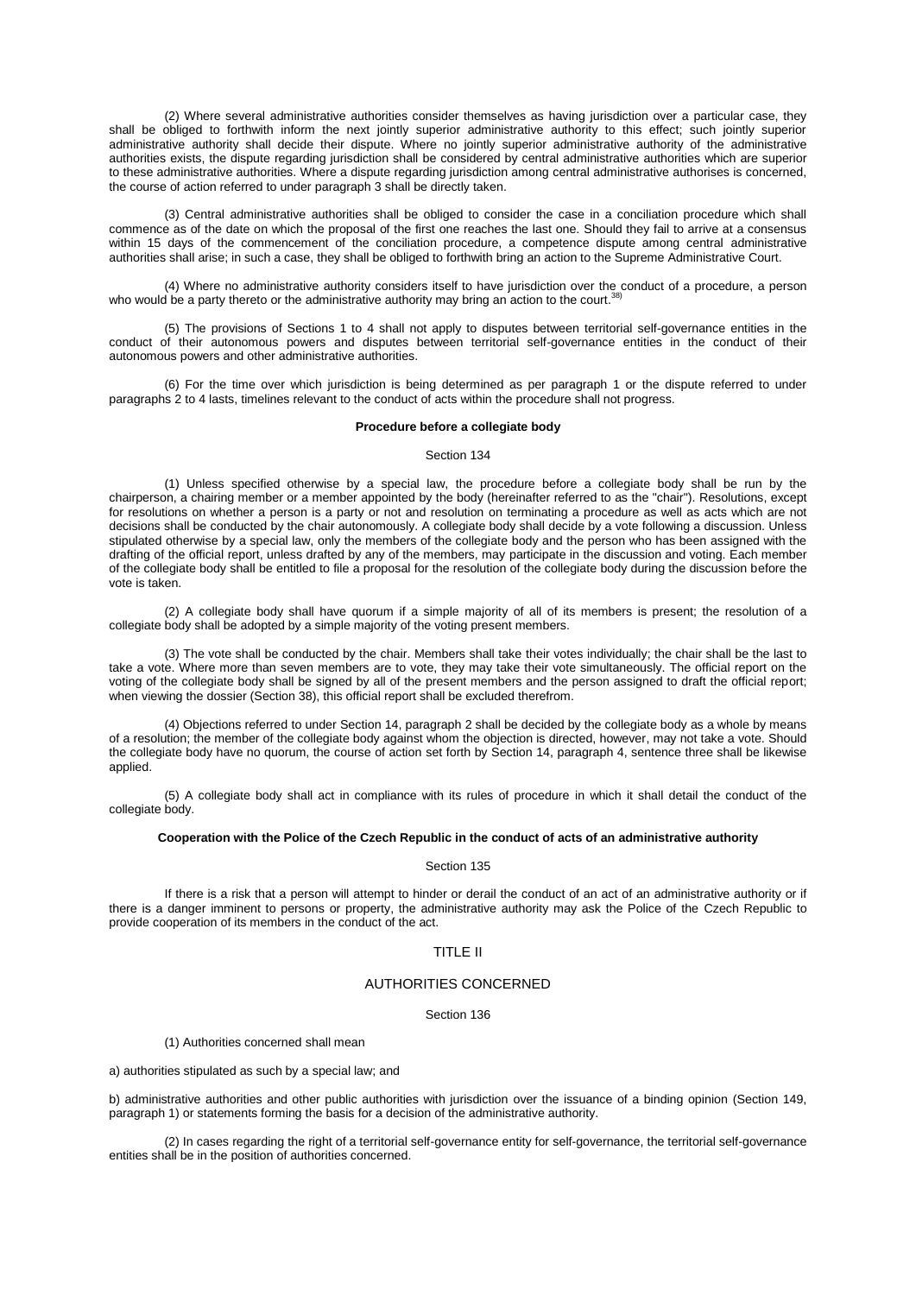(2) Where several administrative authorities consider themselves as having jurisdiction over a particular case, they shall be obliged to forthwith inform the next jointly superior administrative authority to this effect; such jointly superior administrative authority shall decide their dispute. Where no jointly superior administrative authority of the administrative authorities exists, the dispute regarding jurisdiction shall be considered by central administrative authorities which are superior to these administrative authorities. Where a dispute regarding jurisdiction among central administrative authorises is concerned, the course of action referred to under [paragraph 3](aspi://module=) shall be directly taken.

(3) Central administrative authorities shall be obliged to consider the case in a conciliation procedure which shall commence as of the date on which the proposal of the first one reaches the last one. Should they fail to arrive at a consensus within 15 days of the commencement of the conciliation procedure, a competence dispute among central administrative authorities shall arise; in such a case, they shall be obliged to forthwith bring an action to the Supreme Administrative Court.

(4) Where no administrative authority considers itself to have jurisdiction over the conduct of a procedure, a person<br>I be a party therete at the administrative authority may bring an action to the court <sup>38)</sup> who would be a party thereto or the administrative authority may bring an action to the court.

(5) The provisions of [Sections 1 to 4](aspi://module=) shall not apply to disputes between territorial self-governance entities in the conduct of their autonomous powers and disputes between territorial self-governance entities in the conduct of their autonomous powers and other administrative authorities.

(6) For the time over which jurisdiction is being determined as per [paragraph 1](aspi://module=) or the dispute referred to under [paragraphs 2 to 4](aspi://module=) lasts, timelines relevant to the conduct of acts within the procedure shall not progress.

# **Procedure before a collegiate body**

#### Section 134

(1) Unless specified otherwise by a special law, the procedure before a collegiate body shall be run by the chairperson, a chairing member or a member appointed by the body (hereinafter referred to as the "chair"). Resolutions, except for resolutions on whether a person is a party or not and resolution on terminating a procedure as well as acts which are not decisions shall be conducted by the chair autonomously. A collegiate body shall decide by a vote following a discussion. Unless stipulated otherwise by a special law, only the members of the collegiate body and the person who has been assigned with the drafting of the official report, unless drafted by any of the members, may participate in the discussion and voting. Each member of the collegiate body shall be entitled to file a proposal for the resolution of the collegiate body during the discussion before the vote is taken.

(2) A collegiate body shall have quorum if a simple majority of all of its members is present; the resolution of a collegiate body shall be adopted by a simple majority of the voting present members.

(3) The vote shall be conducted by the chair. Members shall take their votes individually; the chair shall be the last to take a vote. Where more than seven members are to vote, they may take their vote simultaneously. The official report on the voting of the collegiate body shall be signed by all of the present members and the person assigned to draft the official report; when viewing the dossier [\(Section](aspi://module=) 38), this official report shall be excluded therefrom.

(4) Objections referred to under Section [14, paragraph](aspi://module=) 2 shall be decided by the collegiate body as a whole by means of a resolution; the member of the collegiate body against whom the objection is directed, however, may not take a vote. Should the collegiate body have no quorum, the course of action set forth by Section [14, paragraph](aspi://module=) 4, sentence three shall be likewise applied.

(5) A collegiate body shall act in compliance with its rules of procedure in which it shall detail the conduct of the collegiate body.

# **Cooperation with the Police of the Czech Republic in the conduct of acts of an administrative authority**

### Section 135

If there is a risk that a person will attempt to hinder or derail the conduct of an act of an administrative authority or if there is a danger imminent to persons or property, the administrative authority may ask the Police of the Czech Republic to provide cooperation of its members in the conduct of the act.

# TITLE II

# AUTHORITIES CONCERNED

## Section 136

(1) Authorities concerned shall mean

a) authorities stipulated as such by a special law; and

b) administrative authorities and other public authorities with jurisdiction over the issuance of a binding opinion [\(Section](aspi://module=) 149, [paragraph](aspi://module=) 1) or statements forming the basis for a decision of the administrative authority.

(2) In cases regarding the right of a territorial self-governance entity for self-governance, the territorial self-governance entities shall be in the position of authorities concerned.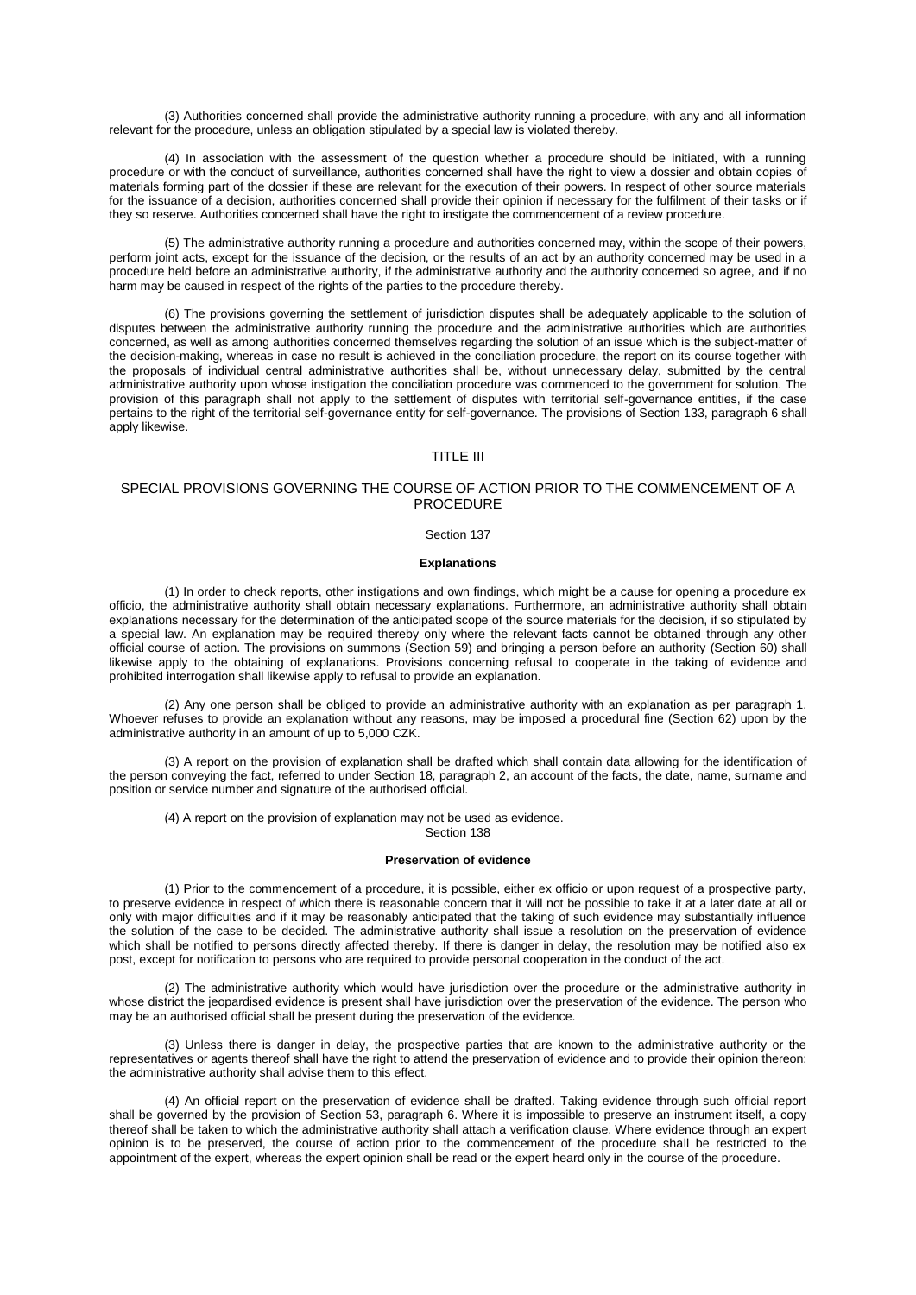(3) Authorities concerned shall provide the administrative authority running a procedure, with any and all information relevant for the procedure, unless an obligation stipulated by a special law is violated thereby.

(4) In association with the assessment of the question whether a procedure should be initiated, with a running procedure or with the conduct of surveillance, authorities concerned shall have the right to view a dossier and obtain copies of materials forming part of the dossier if these are relevant for the execution of their powers. In respect of other source materials for the issuance of a decision, authorities concerned shall provide their opinion if necessary for the fulfilment of their tasks or if they so reserve. Authorities concerned shall have the right to instigate the commencement of a review procedure.

(5) The administrative authority running a procedure and authorities concerned may, within the scope of their powers, perform joint acts, except for the issuance of the decision, or the results of an act by an authority concerned may be used in a procedure held before an administrative authority, if the administrative authority and the authority concerned so agree, and if no harm may be caused in respect of the rights of the parties to the procedure thereby.

(6) The provisions governing the settlement of jurisdiction disputes shall be adequately applicable to the solution of disputes between the administrative authority running the procedure and the administrative authorities which are authorities concerned, as well as among authorities concerned themselves regarding the solution of an issue which is the subject-matter of the decision-making, whereas in case no result is achieved in the conciliation procedure, the report on its course together with the proposals of individual central administrative authorities shall be, without unnecessary delay, submitted by the central administrative authority upon whose instigation the conciliation procedure was commenced to the government for solution. The provision of this paragraph shall not apply to the settlement of disputes with territorial self-governance entities, if the case pertains to the right of the territorial self-governance entity for self-governance. The provisions of Section [133, paragraph](aspi://module=) 6 shall apply likewise.

# TITLE III

# SPECIAL PROVISIONS GOVERNING THE COURSE OF ACTION PRIOR TO THE COMMENCEMENT OF A PROCEDURE

### Section 137

# **Explanations**

(1) In order to check reports, other instigations and own findings, which might be a cause for opening a procedure ex officio, the administrative authority shall obtain necessary explanations. Furthermore, an administrative authority shall obtain explanations necessary for the determination of the anticipated scope of the source materials for the decision, if so stipulated by a special law. An explanation may be required thereby only where the relevant facts cannot be obtained through any other official course of action. The provisions on summons [\(Section](aspi://module=) 59) and bringing a person before an authority [\(Section](aspi://module=) 60) shall likewise apply to the obtaining of explanations. Provisions concerning refusal to cooperate in the taking of evidence and prohibited interrogation shall likewise apply to refusal to provide an explanation.

(2) Any one person shall be obliged to provide an administrative authority with an explanation as per [paragraph 1.](aspi://module=) Whoever refuses to provide an explanation without any reasons, may be imposed a procedural fine [\(Section 62\)](aspi://module=) upon by the administrative authority in an amount of up to 5,000 CZK.

(3) A report on the provision of explanation shall be drafted which shall contain data allowing for the identification of the person conveying the fact, referred to under Section [18, paragraph](aspi://module=) 2, an account of the facts, the date, name, surname and position or service number and signature of the authorised official.

(4) A report on the provision of explanation may not be used as evidence.

Section 138

### **Preservation of evidence**

(1) Prior to the commencement of a procedure, it is possible, either ex officio or upon request of a prospective party, to preserve evidence in respect of which there is reasonable concern that it will not be possible to take it at a later date at all or only with major difficulties and if it may be reasonably anticipated that the taking of such evidence may substantially influence the solution of the case to be decided. The administrative authority shall issue a resolution on the preservation of evidence which shall be notified to persons directly affected thereby. If there is danger in delay, the resolution may be notified also ex post, except for notification to persons who are required to provide personal cooperation in the conduct of the act.

(2) The administrative authority which would have jurisdiction over the procedure or the administrative authority in whose district the jeopardised evidence is present shall have jurisdiction over the preservation of the evidence. The person who may be an authorised official shall be present during the preservation of the evidence.

(3) Unless there is danger in delay, the prospective parties that are known to the administrative authority or the representatives or agents thereof shall have the right to attend the preservation of evidence and to provide their opinion thereon; the administrative authority shall advise them to this effect.

(4) An official report on the preservation of evidence shall be drafted. Taking evidence through such official report shall be governed by the provision of Section [53, paragraph](aspi://module=) 6. Where it is impossible to preserve an instrument itself, a copy thereof shall be taken to which the administrative authority shall attach a verification clause. Where evidence through an expert opinion is to be preserved, the course of action prior to the commencement of the procedure shall be restricted to the appointment of the expert, whereas the expert opinion shall be read or the expert heard only in the course of the procedure.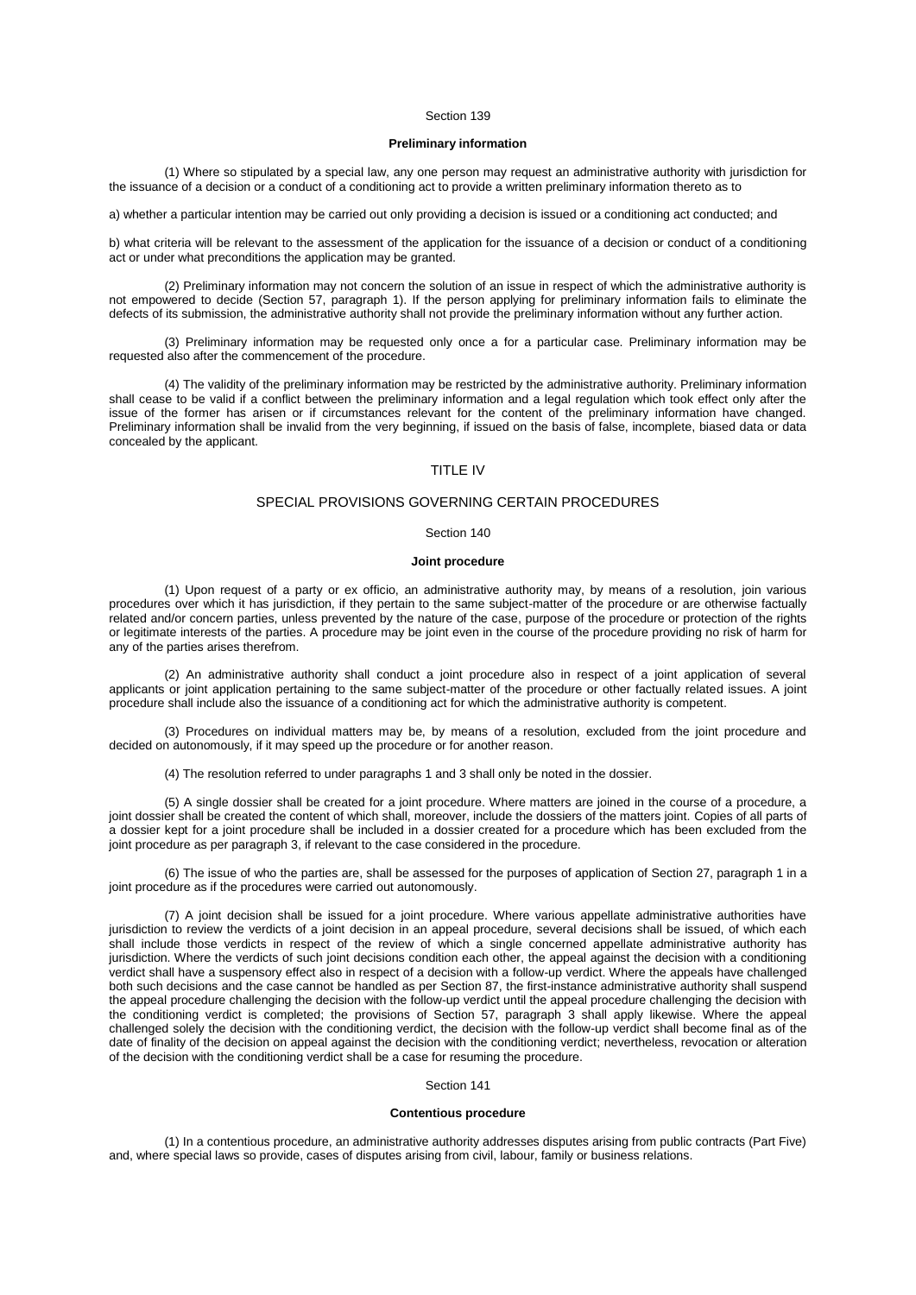# **Preliminary information**

(1) Where so stipulated by a special law, any one person may request an administrative authority with jurisdiction for the issuance of a decision or a conduct of a conditioning act to provide a written preliminary information thereto as to

a) whether a particular intention may be carried out only providing a decision is issued or a conditioning act conducted; and

b) what criteria will be relevant to the assessment of the application for the issuance of a decision or conduct of a conditioning act or under what preconditions the application may be granted.

(2) Preliminary information may not concern the solution of an issue in respect of which the administrative authority is not empowered to decide (Section [57, paragraph](aspi://module=) 1). If the person applying for preliminary information fails to eliminate the defects of its submission, the administrative authority shall not provide the preliminary information without any further action.

(3) Preliminary information may be requested only once a for a particular case. Preliminary information may be requested also after the commencement of the procedure.

(4) The validity of the preliminary information may be restricted by the administrative authority. Preliminary information shall cease to be valid if a conflict between the preliminary information and a legal regulation which took effect only after the issue of the former has arisen or if circumstances relevant for the content of the preliminary information have changed. Preliminary information shall be invalid from the very beginning, if issued on the basis of false, incomplete, biased data or data concealed by the applicant.

# TITLE IV

# SPECIAL PROVISIONS GOVERNING CERTAIN PROCEDURES

## Section 140

### **Joint procedure**

(1) Upon request of a party or ex officio, an administrative authority may, by means of a resolution, join various procedures over which it has jurisdiction, if they pertain to the same subject-matter of the procedure or are otherwise factually related and/or concern parties, unless prevented by the nature of the case, purpose of the procedure or protection of the rights or legitimate interests of the parties. A procedure may be joint even in the course of the procedure providing no risk of harm for any of the parties arises therefrom.

(2) An administrative authority shall conduct a joint procedure also in respect of a joint application of several applicants or joint application pertaining to the same subject-matter of the procedure or other factually related issues. A joint procedure shall include also the issuance of a conditioning act for which the administrative authority is competent.

(3) Procedures on individual matters may be, by means of a resolution, excluded from the joint procedure and decided on autonomously, if it may speed up the procedure or for another reason.

(4) The resolution referred to unde[r paragraphs 1](aspi://module=) and [3](aspi://module=) shall only be noted in the dossier.

(5) A single dossier shall be created for a joint procedure. Where matters are joined in the course of a procedure, a joint dossier shall be created the content of which shall, moreover, include the dossiers of the matters joint. Copies of all parts of a dossier kept for a joint procedure shall be included in a dossier created for a procedure which has been excluded from the joint procedure as pe[r paragraph 3,](aspi://module=) if relevant to the case considered in the procedure.

(6) The issue of who the parties are, shall be assessed for the purposes of application of Section [27, paragraph](aspi://module=) 1 in a joint procedure as if the procedures were carried out autonomously.

(7) A joint decision shall be issued for a joint procedure. Where various appellate administrative authorities have jurisdiction to review the verdicts of a joint decision in an appeal procedure, several decisions shall be issued, of which each shall include those verdicts in respect of the review of which a single concerned appellate administrative authority has jurisdiction. Where the verdicts of such joint decisions condition each other, the appeal against the decision with a conditioning verdict shall have a suspensory effect also in respect of a decision with a follow-up verdict. Where the appeals have challenged both such decisions and the case cannot be handled as per [Section](aspi://module=) 87, the first-instance administrative authority shall suspend the appeal procedure challenging the decision with the follow-up verdict until the appeal procedure challenging the decision with the conditioning verdict is completed; the provisions of Section [57, paragraph](aspi://module=) 3 shall apply likewise. Where the appeal challenged solely the decision with the conditioning verdict, the decision with the follow-up verdict shall become final as of the date of finality of the decision on appeal against the decision with the conditioning verdict; nevertheless, revocation or alteration of the decision with the conditioning verdict shall be a case for resuming the procedure.

### Section 141

## **Contentious procedure**

(1) In a contentious procedure, an administrative authority addresses disputes arising from public contracts (Part Five) and, where special laws so provide, cases of disputes arising from civil, labour, family or business relations.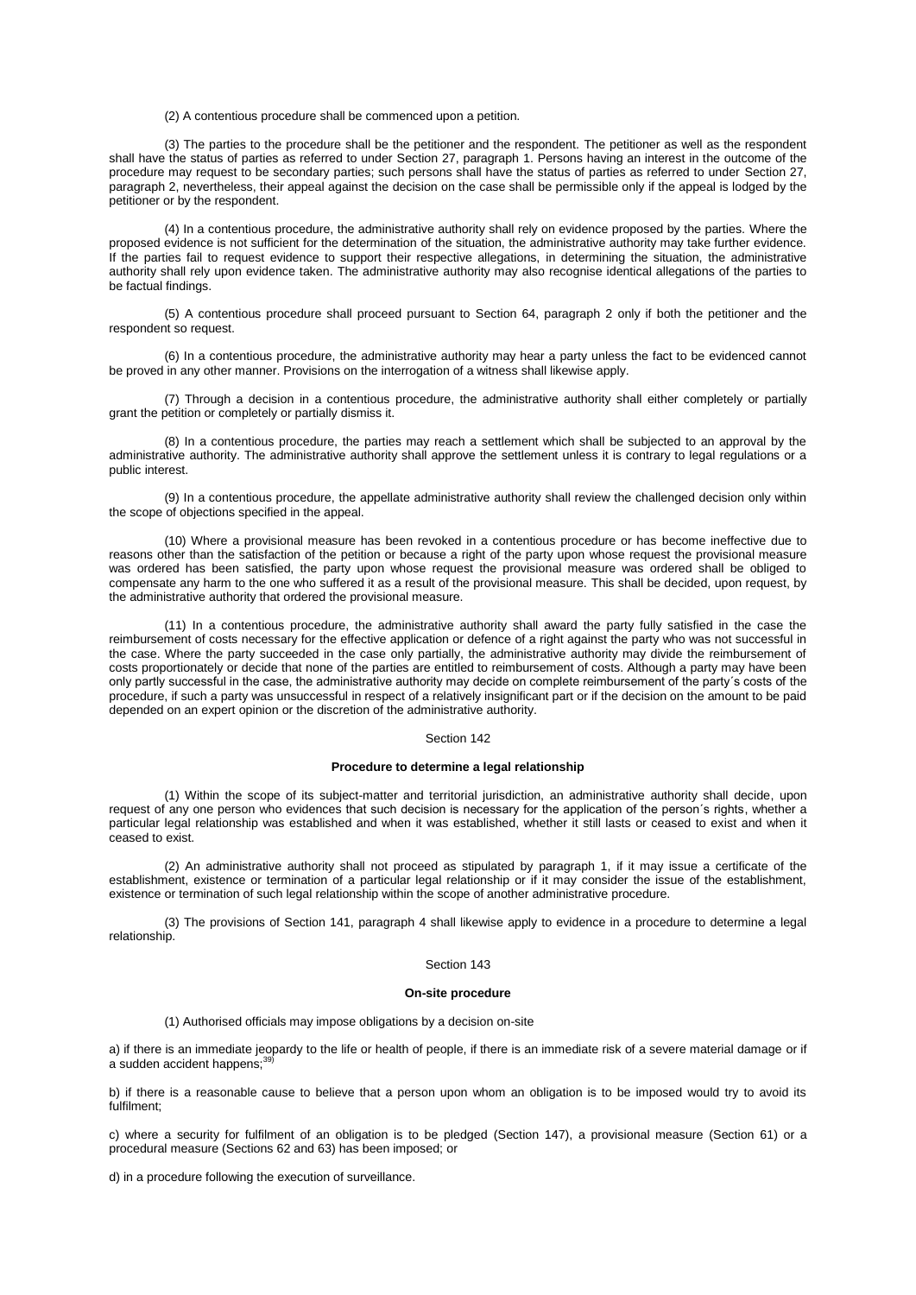(2) A contentious procedure shall be commenced upon a petition.

(3) The parties to the procedure shall be the petitioner and the respondent. The petitioner as well as the respondent shall have the status of parties as referred to under Section [27, paragraph](aspi://module=) 1. Persons having an interest in the outcome of the procedure may request to be secondary parties; such persons shall have the status of parties as referred to under [Section](aspi://module=) 27, [paragraph](aspi://module=) 2, nevertheless, their appeal against the decision on the case shall be permissible only if the appeal is lodged by the petitioner or by the respondent.

(4) In a contentious procedure, the administrative authority shall rely on evidence proposed by the parties. Where the proposed evidence is not sufficient for the determination of the situation, the administrative authority may take further evidence. If the parties fail to request evidence to support their respective allegations, in determining the situation, the administrative authority shall rely upon evidence taken. The administrative authority may also recognise identical allegations of the parties to be factual findings.

(5) A contentious procedure shall proceed pursuant to [Section 64, paragraph 2](aspi://module=) only if both the petitioner and the respondent so request.

(6) In a contentious procedure, the administrative authority may hear a party unless the fact to be evidenced cannot be proved in any other manner. Provisions on the interrogation of a witness shall likewise apply.

(7) Through a decision in a contentious procedure, the administrative authority shall either completely or partially grant the petition or completely or partially dismiss it.

(8) In a contentious procedure, the parties may reach a settlement which shall be subjected to an approval by the administrative authority. The administrative authority shall approve the settlement unless it is contrary to legal regulations or a public interest.

(9) In a contentious procedure, the appellate administrative authority shall review the challenged decision only within the scope of objections specified in the appeal.

(10) Where a provisional measure has been revoked in a contentious procedure or has become ineffective due to reasons other than the satisfaction of the petition or because a right of the party upon whose request the provisional measure was ordered has been satisfied, the party upon whose request the provisional measure was ordered shall be obliged to compensate any harm to the one who suffered it as a result of the provisional measure. This shall be decided, upon request, by the administrative authority that ordered the provisional measure.

(11) In a contentious procedure, the administrative authority shall award the party fully satisfied in the case the reimbursement of costs necessary for the effective application or defence of a right against the party who was not successful in the case. Where the party succeeded in the case only partially, the administrative authority may divide the reimbursement of costs proportionately or decide that none of the parties are entitled to reimbursement of costs. Although a party may have been only partly successful in the case, the administrative authority may decide on complete reimbursement of the party´s costs of the procedure, if such a party was unsuccessful in respect of a relatively insignificant part or if the decision on the amount to be paid depended on an expert opinion or the discretion of the administrative authority.

# Section 142

#### **Procedure to determine a legal relationship**

(1) Within the scope of its subject-matter and territorial jurisdiction, an administrative authority shall decide, upon request of any one person who evidences that such decision is necessary for the application of the person´s rights, whether a particular legal relationship was established and when it was established, whether it still lasts or ceased to exist and when it ceased to exist.

(2) An administrative authority shall not proceed as stipulated by [paragraph 1,](aspi://module=) if it may issue a certificate of the establishment, existence or termination of a particular legal relationship or if it may consider the issue of the establishment, existence or termination of such legal relationship within the scope of another administrative procedure.

(3) The provisions of [Section 141, paragraph 4](aspi://module=) shall likewise apply to evidence in a procedure to determine a legal relationship.

### Section 143

#### **On-site procedure**

(1) Authorised officials may impose obligations by a decision on-site

a) if there is an immediate jeopardy to the life or health of people, if there is an immediate risk of a severe material damage or if<br>a sudden accident happens;<sup>39)</sup>

b) if there is a reasonable cause to believe that a person upon whom an obligation is to be imposed would try to avoid its fulfilment;

c) where a security for fulfilment of an obligation is to be pledged [\(Section](aspi://module=) 147), a provisional measure [\(Section](aspi://module=) 61) or a procedural measure [\(Sections](aspi://module=) 62 and [63\)](aspi://module=) has been imposed; or

d) in a procedure following the execution of surveillance.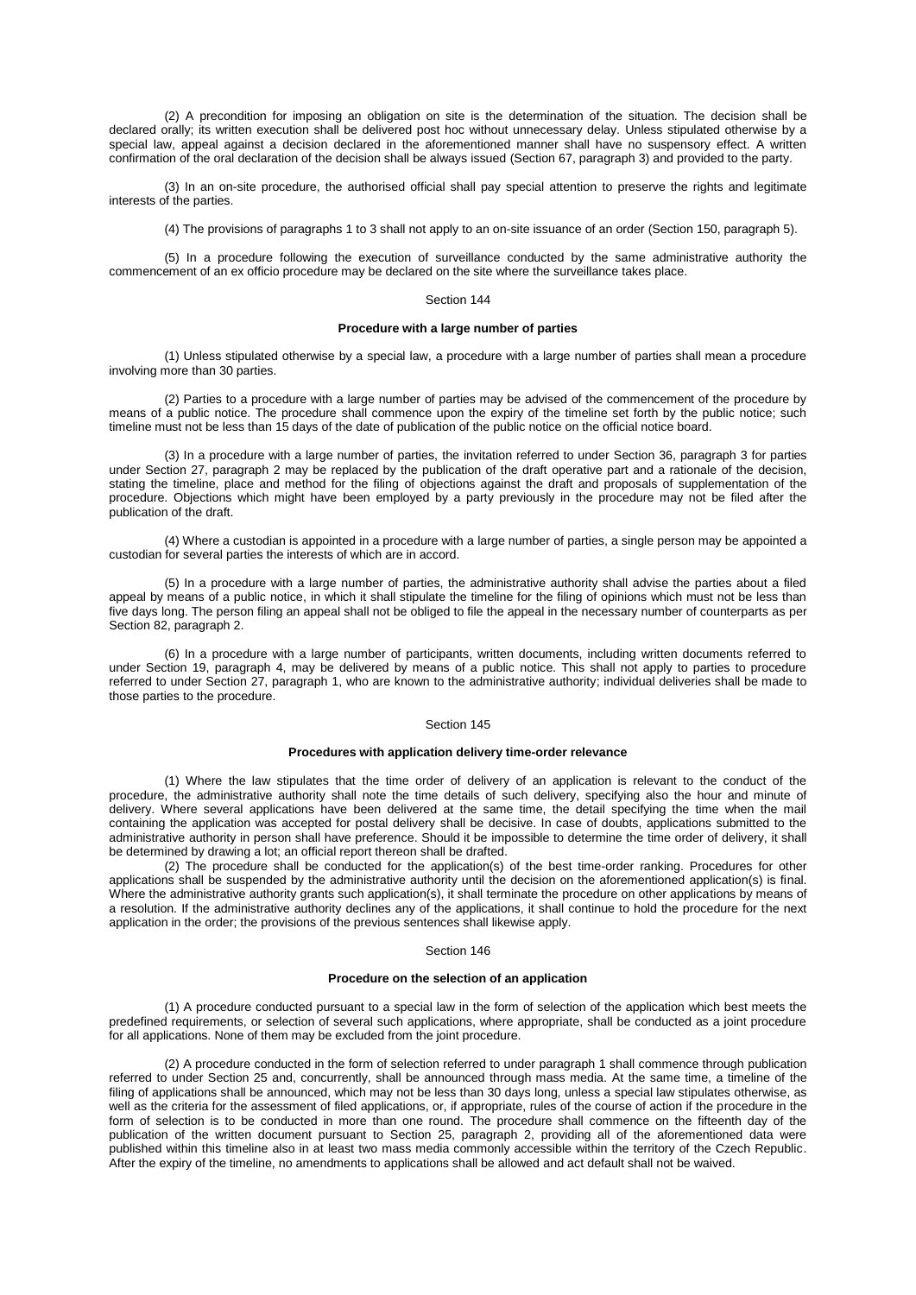(2) A precondition for imposing an obligation on site is the determination of the situation. The decision shall be declared orally; its written execution shall be delivered post hoc without unnecessary delay. Unless stipulated otherwise by a special law, appeal against a decision declared in the aforementioned manner shall have no suspensory effect. A written confirmation of the oral declaration of the decision shall be always issued (Section [67, paragraph](aspi://module=) 3) and provided to the party.

(3) In an on-site procedure, the authorised official shall pay special attention to preserve the rights and legitimate interests of the parties.

(4) The provisions of [paragraphs 1](aspi://module=) to 3 shall not apply to an on-site issuance of an order (Section [150, paragraph](aspi://module=) 5).

(5) In a procedure following the execution of surveillance conducted by the same administrative authority the commencement of an ex officio procedure may be declared on the site where the surveillance takes place.

# Section 144

# **Procedure with a large number of parties**

(1) Unless stipulated otherwise by a special law, a procedure with a large number of parties shall mean a procedure involving more than 30 parties.

(2) Parties to a procedure with a large number of parties may be advised of the commencement of the procedure by means of a public notice. The procedure shall commence upon the expiry of the timeline set forth by the public notice; such timeline must not be less than 15 days of the date of publication of the public notice on the official notice board.

(3) In a procedure with a large number of parties, the invitation referred to under Section [36, paragraph](aspi://module=) 3 for parties under Section [27, paragraph](aspi://module=) 2 may be replaced by the publication of the draft operative part and a rationale of the decision, stating the timeline, place and method for the filing of objections against the draft and proposals of supplementation of the procedure. Objections which might have been employed by a party previously in the procedure may not be filed after the publication of the draft.

(4) Where a custodian is appointed in a procedure with a large number of parties, a single person may be appointed a custodian for several parties the interests of which are in accord.

(5) In a procedure with a large number of parties, the administrative authority shall advise the parties about a filed appeal by means of a public notice, in which it shall stipulate the timeline for the filing of opinions which must not be less than five days long. The person filing an appeal shall not be obliged to file the appeal in the necessary number of counterparts as per Section [82, paragraph](aspi://module=) 2.

(6) In a procedure with a large number of participants, written documents, including written documents referred to under Section [19, paragraph](aspi://module=) 4, may be delivered by means of a public notice. This shall not apply to parties to procedure referred to under Section [27, paragraph](aspi://module=) 1, who are known to the administrative authority; individual deliveries shall be made to those parties to the procedure.

#### Section 145

# **Procedures with application delivery time-order relevance**

(1) Where the law stipulates that the time order of delivery of an application is relevant to the conduct of the procedure, the administrative authority shall note the time details of such delivery, specifying also the hour and minute of delivery. Where several applications have been delivered at the same time, the detail specifying the time when the mail containing the application was accepted for postal delivery shall be decisive. In case of doubts, applications submitted to the administrative authority in person shall have preference. Should it be impossible to determine the time order of delivery, it shall be determined by drawing a lot; an official report thereon shall be drafted.

(2) The procedure shall be conducted for the application(s) of the best time-order ranking. Procedures for other applications shall be suspended by the administrative authority until the decision on the aforementioned application(s) is final. Where the administrative authority grants such application(s), it shall terminate the procedure on other applications by means of a resolution. If the administrative authority declines any of the applications, it shall continue to hold the procedure for the next application in the order; the provisions of the previous sentences shall likewise apply.

## Section 146

### **Procedure on the selection of an application**

(1) A procedure conducted pursuant to a special law in the form of selection of the application which best meets the predefined requirements, or selection of several such applications, where appropriate, shall be conducted as a joint procedure for all applications. None of them may be excluded from the joint procedure.

(2) A procedure conducted in the form of selection referred to unde[r paragraph 1](aspi://module=) shall commence through publication referred to under [Section](aspi://module=) 25 and, concurrently, shall be announced through mass media. At the same time, a timeline of the filing of applications shall be announced, which may not be less than 30 days long, unless a special law stipulates otherwise, as well as the criteria for the assessment of filed applications, or, if appropriate, rules of the course of action if the procedure in the form of selection is to be conducted in more than one round. The procedure shall commence on the fifteenth day of the publication of the written document pursuant to Section [25, paragraph](aspi://module=) 2, providing all of the aforementioned data were published within this timeline also in at least two mass media commonly accessible within the territory of the Czech Republic. After the expiry of the timeline, no amendments to applications shall be allowed and act default shall not be waived.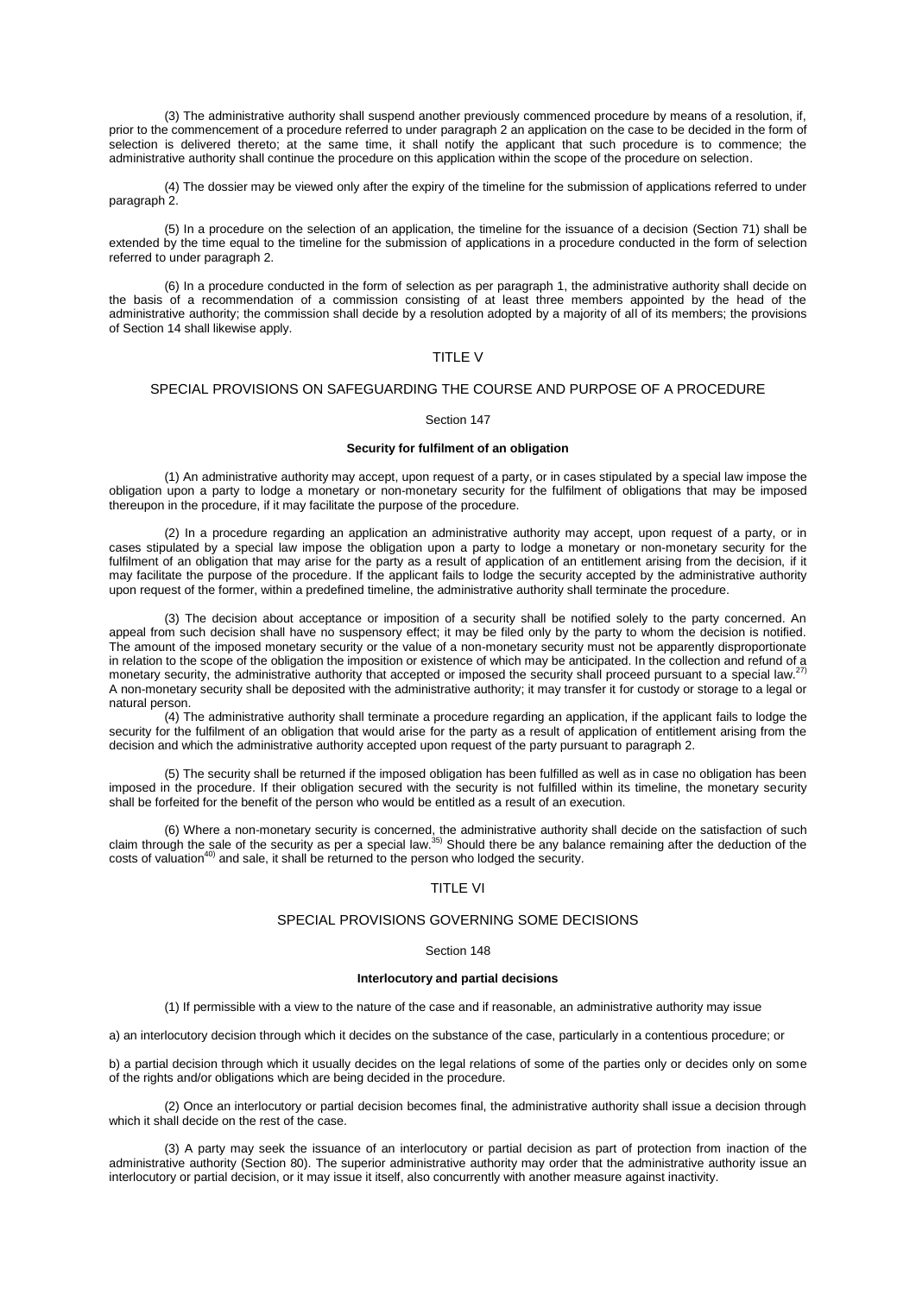(3) The administrative authority shall suspend another previously commenced procedure by means of a resolution, if, prior to the commencement of a procedure referred to under [paragraph 2](aspi://module=) an application on the case to be decided in the form of selection is delivered thereto; at the same time, it shall notify the applicant that such procedure is to commence; the administrative authority shall continue the procedure on this application within the scope of the procedure on selection.

(4) The dossier may be viewed only after the expiry of the timeline for the submission of applications referred to under [paragraph 2.](aspi://module=)

(5) In a procedure on the selection of an application, the timeline for the issuance of a decision [\(Section](aspi://module=) 71) shall be extended by the time equal to the timeline for the submission of applications in a procedure conducted in the form of selection referred to under [paragraph 2.](aspi://module=)

(6) In a procedure conducted in the form of selection as per [paragraph 1,](aspi://module=) the administrative authority shall decide on the basis of a recommendation of a commission consisting of at least three members appointed by the head of the administrative authority; the commission shall decide by a resolution adopted by a majority of all of its members; the provisions of [Section](aspi://module=) 14 shall likewise apply.

# TITLE V

# SPECIAL PROVISIONS ON SAFEGUARDING THE COURSE AND PURPOSE OF A PROCEDURE

## Section 147

# **Security for fulfilment of an obligation**

(1) An administrative authority may accept, upon request of a party, or in cases stipulated by a special law impose the obligation upon a party to lodge a monetary or non-monetary security for the fulfilment of obligations that may be imposed thereupon in the procedure, if it may facilitate the purpose of the procedure.

(2) In a procedure regarding an application an administrative authority may accept, upon request of a party, or in cases stipulated by a special law impose the obligation upon a party to lodge a monetary or non-monetary security for the fulfilment of an obligation that may arise for the party as a result of application of an entitlement arising from the decision, if it may facilitate the purpose of the procedure. If the applicant fails to lodge the security accepted by the administrative authority upon request of the former, within a predefined timeline, the administrative authority shall terminate the procedure.

(3) The decision about acceptance or imposition of a security shall be notified solely to the party concerned. An appeal from such decision shall have no suspensory effect; it may be filed only by the party to whom the decision is notified. The amount of the imposed monetary security or the value of a non-monetary security must not be apparently disproportionate in relation to the scope of the obligation the imposition or existence of which may be anticipated. In the collection and refund of a monetary security, the administrative authority that accepted or imposed the security shall proceed pursuant to a special law.<sup>27)</sup> A non-monetary security shall be deposited with the administrative authority; it may transfer it for custody or storage to a legal or natural person.

(4) The administrative authority shall terminate a procedure regarding an application, if the applicant fails to lodge the security for the fulfilment of an obligation that would arise for the party as a result of application of entitlement arising from the decision and which the administrative authority accepted upon request of the party pursuant t[o paragraph 2.](aspi://module=)

(5) The security shall be returned if the imposed obligation has been fulfilled as well as in case no obligation has been imposed in the procedure. If their obligation secured with the security is not fulfilled within its timeline, the monetary security shall be forfeited for the benefit of the person who would be entitled as a result of an execution.

(6) Where a non-monetary security is concerned, the administrative authority shall decide on the satisfaction of such claim through the sale of the security as per a special law.<sup>35)</sup> Should there be any balance remaining after the deduction of the costs of valuation40) and sale, it shall be returned to the person who lodged the security.

# TITLE VI

# SPECIAL PROVISIONS GOVERNING SOME DECISIONS

## Section 148

### **Interlocutory and partial decisions**

(1) If permissible with a view to the nature of the case and if reasonable, an administrative authority may issue

a) an interlocutory decision through which it decides on the substance of the case, particularly in a contentious procedure; or

b) a partial decision through which it usually decides on the legal relations of some of the parties only or decides only on some of the rights and/or obligations which are being decided in the procedure.

(2) Once an interlocutory or partial decision becomes final, the administrative authority shall issue a decision through which it shall decide on the rest of the case.

(3) A party may seek the issuance of an interlocutory or partial decision as part of protection from inaction of the administrative authority [\(Section](aspi://module=) 80). The superior administrative authority may order that the administrative authority issue an interlocutory or partial decision, or it may issue it itself, also concurrently with another measure against inactivity.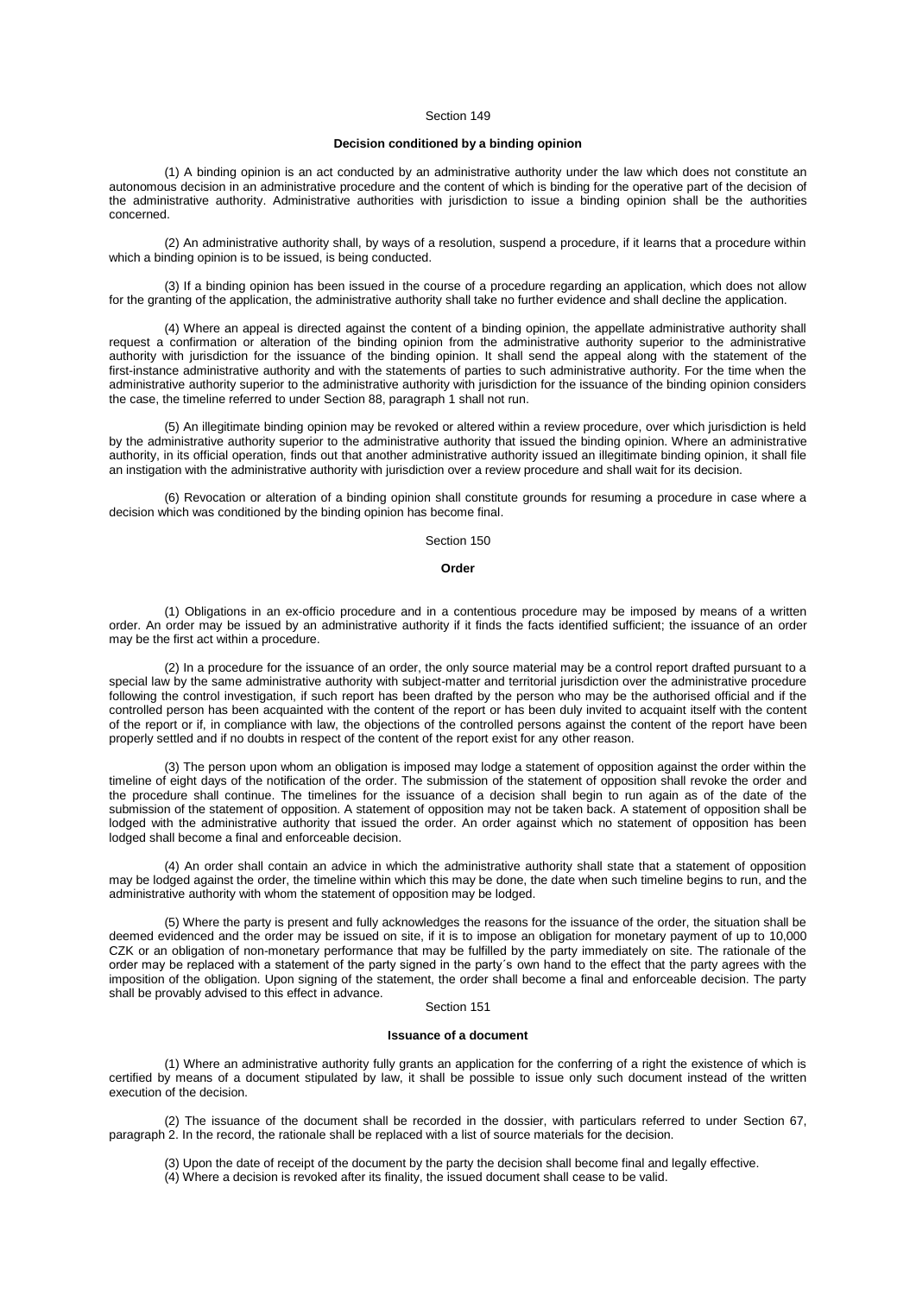# **Decision conditioned by a binding opinion**

(1) A binding opinion is an act conducted by an administrative authority under the law which does not constitute an autonomous decision in an administrative procedure and the content of which is binding for the operative part of the decision of the administrative authority. Administrative authorities with jurisdiction to issue a binding opinion shall be the authorities concerned.

(2) An administrative authority shall, by ways of a resolution, suspend a procedure, if it learns that a procedure within which a binding opinion is to be issued, is being conducted.

(3) If a binding opinion has been issued in the course of a procedure regarding an application, which does not allow for the granting of the application, the administrative authority shall take no further evidence and shall decline the application.

(4) Where an appeal is directed against the content of a binding opinion, the appellate administrative authority shall request a confirmation or alteration of the binding opinion from the administrative authority superior to the administrative authority with jurisdiction for the issuance of the binding opinion. It shall send the appeal along with the statement of the first-instance administrative authority and with the statements of parties to such administrative authority. For the time when the administrative authority superior to the administrative authority with jurisdiction for the issuance of the binding opinion considers the case, the timeline referred to under Section [88, paragraph](aspi://module=) 1 shall not run.

(5) An illegitimate binding opinion may be revoked or altered within a review procedure, over which jurisdiction is held by the administrative authority superior to the administrative authority that issued the binding opinion. Where an administrative authority, in its official operation, finds out that another administrative authority issued an illegitimate binding opinion, it shall file an instigation with the administrative authority with jurisdiction over a review procedure and shall wait for its decision.

(6) Revocation or alteration of a binding opinion shall constitute grounds for resuming a procedure in case where a decision which was conditioned by the binding opinion has become final.

Section 150

### **Order**

(1) Obligations in an ex-officio procedure and in a contentious procedure may be imposed by means of a written order. An order may be issued by an administrative authority if it finds the facts identified sufficient; the issuance of an order may be the first act within a procedure.

(2) In a procedure for the issuance of an order, the only source material may be a control report drafted pursuant to a special law by the same administrative authority with subject-matter and territorial jurisdiction over the administrative procedure following the control investigation, if such report has been drafted by the person who may be the authorised official and if the controlled person has been acquainted with the content of the report or has been duly invited to acquaint itself with the content of the report or if, in compliance with law, the objections of the controlled persons against the content of the report have been properly settled and if no doubts in respect of the content of the report exist for any other reason.

(3) The person upon whom an obligation is imposed may lodge a statement of opposition against the order within the timeline of eight days of the notification of the order. The submission of the statement of opposition shall revoke the order and the procedure shall continue. The timelines for the issuance of a decision shall begin to run again as of the date of the submission of the statement of opposition. A statement of opposition may not be taken back. A statement of opposition shall be lodged with the administrative authority that issued the order. An order against which no statement of opposition has been lodged shall become a final and enforceable decision.

(4) An order shall contain an advice in which the administrative authority shall state that a statement of opposition may be lodged against the order, the timeline within which this may be done, the date when such timeline begins to run, and the administrative authority with whom the statement of opposition may be lodged.

(5) Where the party is present and fully acknowledges the reasons for the issuance of the order, the situation shall be deemed evidenced and the order may be issued on site, if it is to impose an obligation for monetary payment of up to 10,000 CZK or an obligation of non-monetary performance that may be fulfilled by the party immediately on site. The rationale of the order may be replaced with a statement of the party signed in the party´s own hand to the effect that the party agrees with the imposition of the obligation. Upon signing of the statement, the order shall become a final and enforceable decision. The party shall be provably advised to this effect in advance.

# Section 151

### **Issuance of a document**

(1) Where an administrative authority fully grants an application for the conferring of a right the existence of which is certified by means of a document stipulated by law, it shall be possible to issue only such document instead of the written execution of the decision.

(2) The issuance of the document shall be recorded in the dossier, with particulars referred to under [Section](aspi://module=) 67, [paragraph](aspi://module=) 2. In the record, the rationale shall be replaced with a list of source materials for the decision.

(3) Upon the date of receipt of the document by the party the decision shall become final and legally effective.

(4) Where a decision is revoked after its finality, the issued document shall cease to be valid.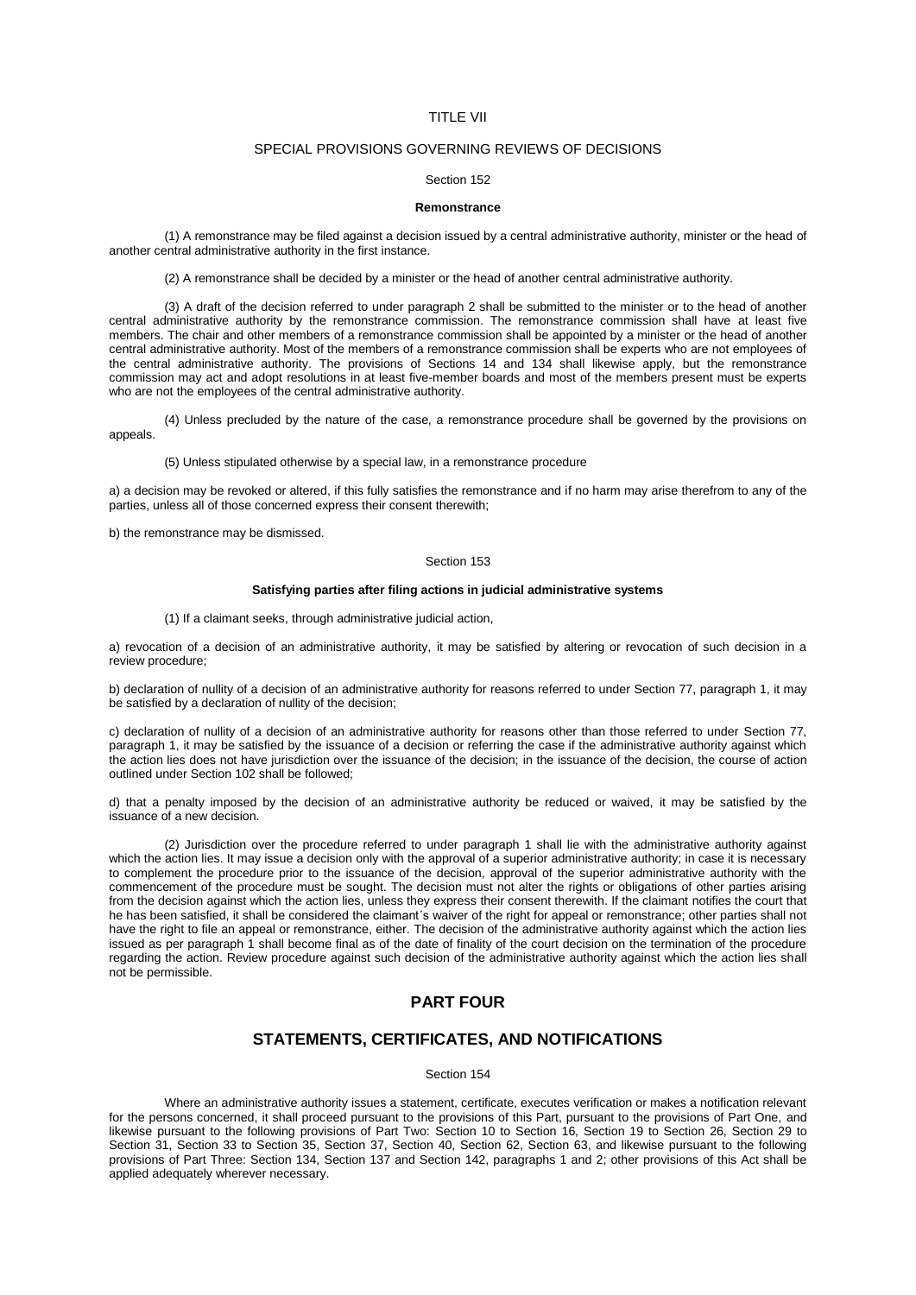# TITLE VII

# SPECIAL PROVISIONS GOVERNING REVIEWS OF DECISIONS

### Section 152

## **Remonstrance**

(1) A remonstrance may be filed against a decision issued by a central administrative authority, minister or the head of another central administrative authority in the first instance.

(2) A remonstrance shall be decided by a minister or the head of another central administrative authority.

(3) A draft of the decision referred to under [paragraph 2](aspi://module=) shall be submitted to the minister or to the head of another central administrative authority by the remonstrance commission. The remonstrance commission shall have at least five members. The chair and other members of a remonstrance commission shall be appointed by a minister or the head of another central administrative authority. Most of the members of a remonstrance commission shall be experts who are not employees of the central administrative authority. The provisions of [Sections](aspi://module=) 14 and [134](aspi://module=) shall likewise apply, but the remonstrance commission may act and adopt resolutions in at least five-member boards and most of the members present must be experts who are not the employees of the central administrative authority.

(4) Unless precluded by the nature of the case, a remonstrance procedure shall be governed by the provisions on appeals.

(5) Unless stipulated otherwise by a special law, in a remonstrance procedure

a) a decision may be revoked or altered, if this fully satisfies the remonstrance and if no harm may arise therefrom to any of the parties, unless all of those concerned express their consent therewith;

b) the remonstrance may be dismissed.

### Section 153

### **Satisfying parties after filing actions in judicial administrative systems**

(1) If a claimant seeks, through administrative judicial action,

a) revocation of a decision of an administrative authority, it may be satisfied by altering or revocation of such decision in a review procedure;

b) declaration of nullity of a decision of an administrative authority for reasons referred to under Section [77, paragraph](aspi://module=) 1, it may be satisfied by a declaration of nullity of the decision;

c) declaration of nullity of a decision of an administrative authority for reasons other than those referred to under [Section](aspi://module=) 77, [paragraph](aspi://module=) 1, it may be satisfied by the issuance of a decision or referring the case if the administrative authority against which the action lies does not have jurisdiction over the issuance of the decision; in the issuance of the decision, the course of action outlined under [Section](aspi://module=) 102 shall be followed;

d) that a penalty imposed by the decision of an administrative authority be reduced or waived, it may be satisfied by the issuance of a new decision.

(2) Jurisdiction over the procedure referred to under [paragraph 1](aspi://module=) shall lie with the administrative authority against which the action lies. It may issue a decision only with the approval of a superior administrative authority; in case it is necessary to complement the procedure prior to the issuance of the decision, approval of the superior administrative authority with the commencement of the procedure must be sought. The decision must not alter the rights or obligations of other parties arising from the decision against which the action lies, unless they express their consent therewith. If the claimant notifies the court that he has been satisfied, it shall be considered the claimant´s waiver of the right for appeal or remonstrance; other parties shall not have the right to file an appeal or remonstrance, either. The decision of the administrative authority against which the action lies issued as per [paragraph 1](aspi://module=) shall become final as of the date of finality of the court decision on the termination of the procedure regarding the action. Review procedure against such decision of the administrative authority against which the action lies shall not be permissible.

# **PART FOUR**

# **STATEMENTS, CERTIFICATES, AND NOTIFICATIONS**

# Section 154

Where an administrative authority issues a statement, certificate, executes verification or makes a notification relevant for the persons concerned, it shall proceed pursuant to the provisions of this Part, pursuant to the provisions of Part One, and likewise pursuant to the following provisions of Part Two: [Section](aspi://module=) 10 to [Section](aspi://module=) 16, [Section](aspi://module=) 19 to [Section](aspi://module=) 26, [Section](aspi://module=) 29 to [Section](aspi://module=) 31, [Section](aspi://module=) 33 to [Section](aspi://module=) 35, [Section](aspi://module=) 37, [Section](aspi://module=) 40, [Section](aspi://module=) 62, [Section](aspi://module=) 63, and likewise pursuant to the following provisions of Part Three: [Section](aspi://module=) 134, [Section](aspi://module=) 137 and Section [142, paragraphs](aspi://module=) 1 and [2;](aspi://module=) other provisions of this Act shall be applied adequately wherever necessary.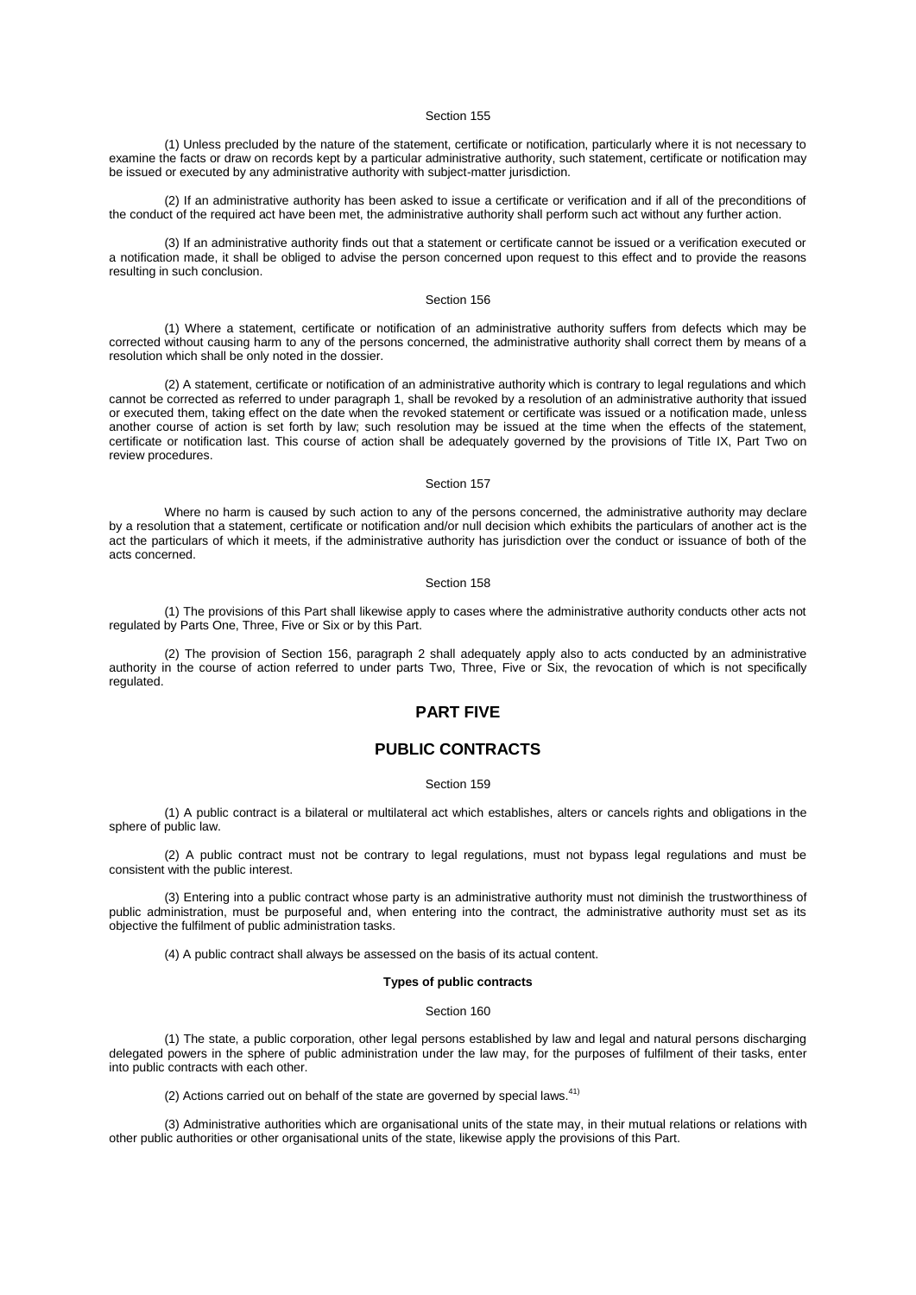(1) Unless precluded by the nature of the statement, certificate or notification, particularly where it is not necessary to examine the facts or draw on records kept by a particular administrative authority, such statement, certificate or notification may be issued or executed by any administrative authority with subject-matter jurisdiction.

(2) If an administrative authority has been asked to issue a certificate or verification and if all of the preconditions of the conduct of the required act have been met, the administrative authority shall perform such act without any further action.

(3) If an administrative authority finds out that a statement or certificate cannot be issued or a verification executed or a notification made, it shall be obliged to advise the person concerned upon request to this effect and to provide the reasons resulting in such conclusion.

# Section 156

(1) Where a statement, certificate or notification of an administrative authority suffers from defects which may be corrected without causing harm to any of the persons concerned, the administrative authority shall correct them by means of a resolution which shall be only noted in the dossier.

(2) A statement, certificate or notification of an administrative authority which is contrary to legal regulations and which cannot be corrected as referred to under [paragraph 1,](aspi://module=) shall be revoked by a resolution of an administrative authority that issued or executed them, taking effect on the date when the revoked statement or certificate was issued or a notification made, unless another course of action is set forth by law; such resolution may be issued at the time when the effects of the statement, certificate or notification last. This course of action shall be adequately governed by the provisions of Title IX, Part Two on review procedures.

Section 157

Where no harm is caused by such action to any of the persons concerned, the administrative authority may declare by a resolution that a statement, certificate or notification and/or null decision which exhibits the particulars of another act is the act the particulars of which it meets, if the administrative authority has jurisdiction over the conduct or issuance of both of the acts concerned.

Section 158

(1) The provisions of this Part shall likewise apply to cases where the administrative authority conducts other acts not regulated by Parts One, Three, Five or Six or by this Part.

(2) The provision of Section [156, paragraph](aspi://module=) 2 shall adequately apply also to acts conducted by an administrative authority in the course of action referred to under parts Two, Three, Five or Six, the revocation of which is not specifically regulated.

# **PART FIVE**

# **PUBLIC CONTRACTS**

### Section 159

(1) A public contract is a bilateral or multilateral act which establishes, alters or cancels rights and obligations in the sphere of public law.

(2) A public contract must not be contrary to legal regulations, must not bypass legal regulations and must be consistent with the public interest.

(3) Entering into a public contract whose party is an administrative authority must not diminish the trustworthiness of public administration, must be purposeful and, when entering into the contract, the administrative authority must set as its objective the fulfilment of public administration tasks.

(4) A public contract shall always be assessed on the basis of its actual content.

# **Types of public contracts**

# Section 160

(1) The state, a public corporation, other legal persons established by law and legal and natural persons discharging delegated powers in the sphere of public administration under the law may, for the purposes of fulfilment of their tasks, enter into public contracts with each other.

(2) Actions carried out on behalf of the state are governed by special laws.<sup>41)</sup>

(3) Administrative authorities which are organisational units of the state may, in their mutual relations or relations with other public authorities or other organisational units of the state, likewise apply the provisions of this Part.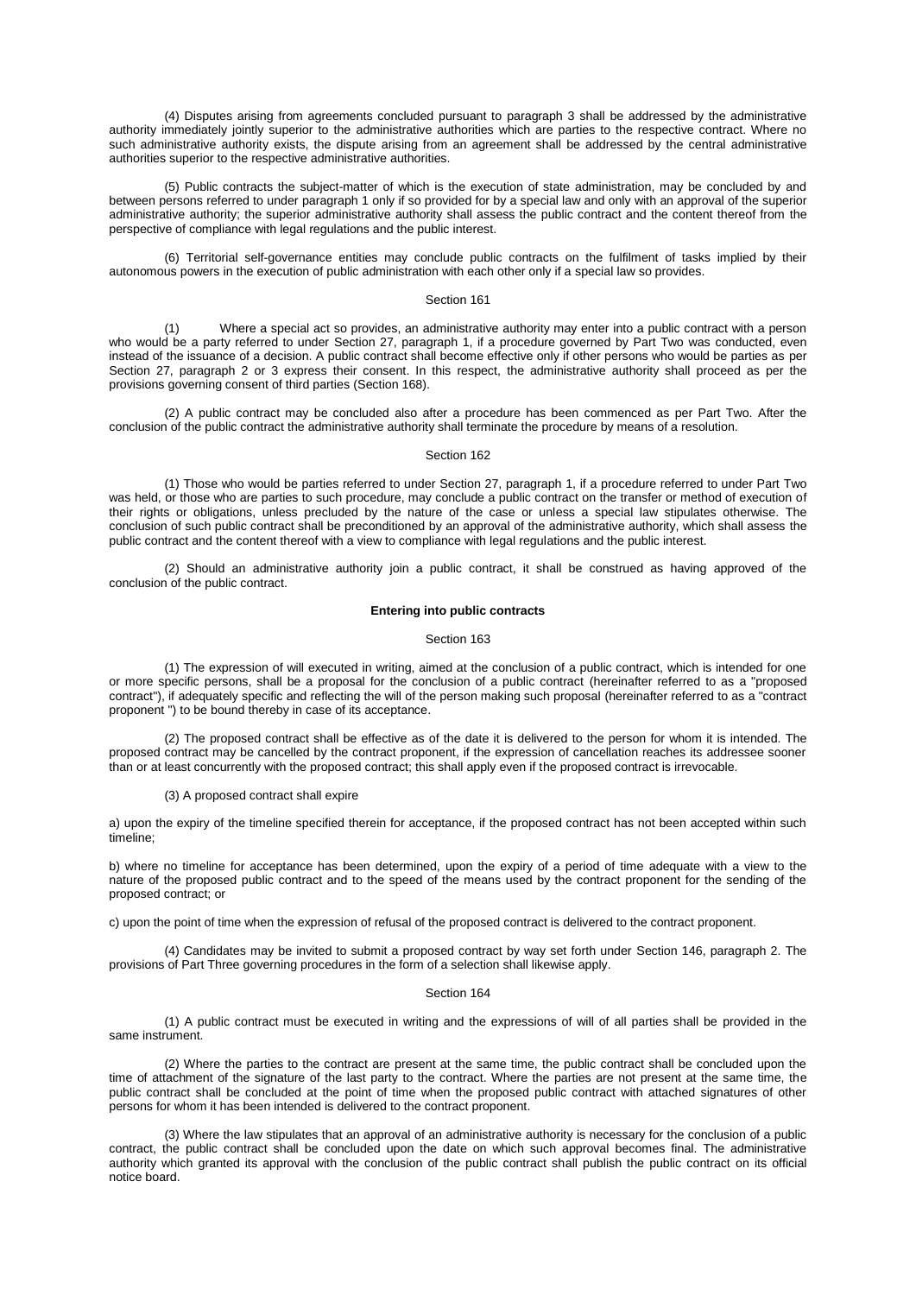(4) Disputes arising from agreements concluded pursuant to [paragraph 3](aspi://module=) shall be addressed by the administrative authority immediately jointly superior to the administrative authorities which are parties to the respective contract. Where no such administrative authority exists, the dispute arising from an agreement shall be addressed by the central administrative authorities superior to the respective administrative authorities.

(5) Public contracts the subject-matter of which is the execution of state administration, may be concluded by and between persons referred to under [paragraph 1](aspi://module=) only if so provided for by a special law and only with an approval of the superior administrative authority; the superior administrative authority shall assess the public contract and the content thereof from the perspective of compliance with legal regulations and the public interest.

(6) Territorial self-governance entities may conclude public contracts on the fulfilment of tasks implied by their autonomous powers in the execution of public administration with each other only if a special law so provides.

# Section 161

(1) Where a special act so provides, an administrative authority may enter into a public contract with a person who would be a party referred to under Section [27, paragraph](aspi://module=) 1, if a procedure governed by Part Two was conducted, even instead of the issuance of a decision. A public contract shall become effective only if other persons who would be parties as per Section [27, paragraph](aspi://module=) 2 or [3](aspi://module=) express their consent. In this respect, the administrative authority shall proceed as per the provisions governing consent of third parties [\(Section](aspi://module=) 168).

(2) A public contract may be concluded also after a procedure has been commenced as per Part Two. After the conclusion of the public contract the administrative authority shall terminate the procedure by means of a resolution.

### Section 162

(1) Those who would be parties referred to under Section [27, paragraph](aspi://module=) 1, if a procedure referred to under Part Two was held, or those who are parties to such procedure, may conclude a public contract on the transfer or method of execution of their rights or obligations, unless precluded by the nature of the case or unless a special law stipulates otherwise. The conclusion of such public contract shall be preconditioned by an approval of the administrative authority, which shall assess the public contract and the content thereof with a view to compliance with legal regulations and the public interest.

(2) Should an administrative authority join a public contract, it shall be construed as having approved of the conclusion of the public contract.

### **Entering into public contracts**

# Section 163

(1) The expression of will executed in writing, aimed at the conclusion of a public contract, which is intended for one or more specific persons, shall be a proposal for the conclusion of a public contract (hereinafter referred to as a "proposed contract"), if adequately specific and reflecting the will of the person making such proposal (hereinafter referred to as a "contract proponent ") to be bound thereby in case of its acceptance.

(2) The proposed contract shall be effective as of the date it is delivered to the person for whom it is intended. The proposed contract may be cancelled by the contract proponent, if the expression of cancellation reaches its addressee sooner than or at least concurrently with the proposed contract; this shall apply even if the proposed contract is irrevocable.

### (3) A proposed contract shall expire

a) upon the expiry of the timeline specified therein for acceptance, if the proposed contract has not been accepted within such timeline;

b) where no timeline for acceptance has been determined, upon the expiry of a period of time adequate with a view to the nature of the proposed public contract and to the speed of the means used by the contract proponent for the sending of the proposed contract; or

c) upon the point of time when the expression of refusal of the proposed contract is delivered to the contract proponent.

(4) Candidates may be invited to submit a proposed contract by way set forth under Section [146, paragraph](aspi://module=) 2. The provisions of Part Three governing procedures in the form of a selection shall likewise apply.

#### Section 164

(1) A public contract must be executed in writing and the expressions of will of all parties shall be provided in the same instrument.

(2) Where the parties to the contract are present at the same time, the public contract shall be concluded upon the time of attachment of the signature of the last party to the contract. Where the parties are not present at the same time, the public contract shall be concluded at the point of time when the proposed public contract with attached signatures of other persons for whom it has been intended is delivered to the contract proponent.

(3) Where the law stipulates that an approval of an administrative authority is necessary for the conclusion of a public contract, the public contract shall be concluded upon the date on which such approval becomes final. The administrative authority which granted its approval with the conclusion of the public contract shall publish the public contract on its official notice board.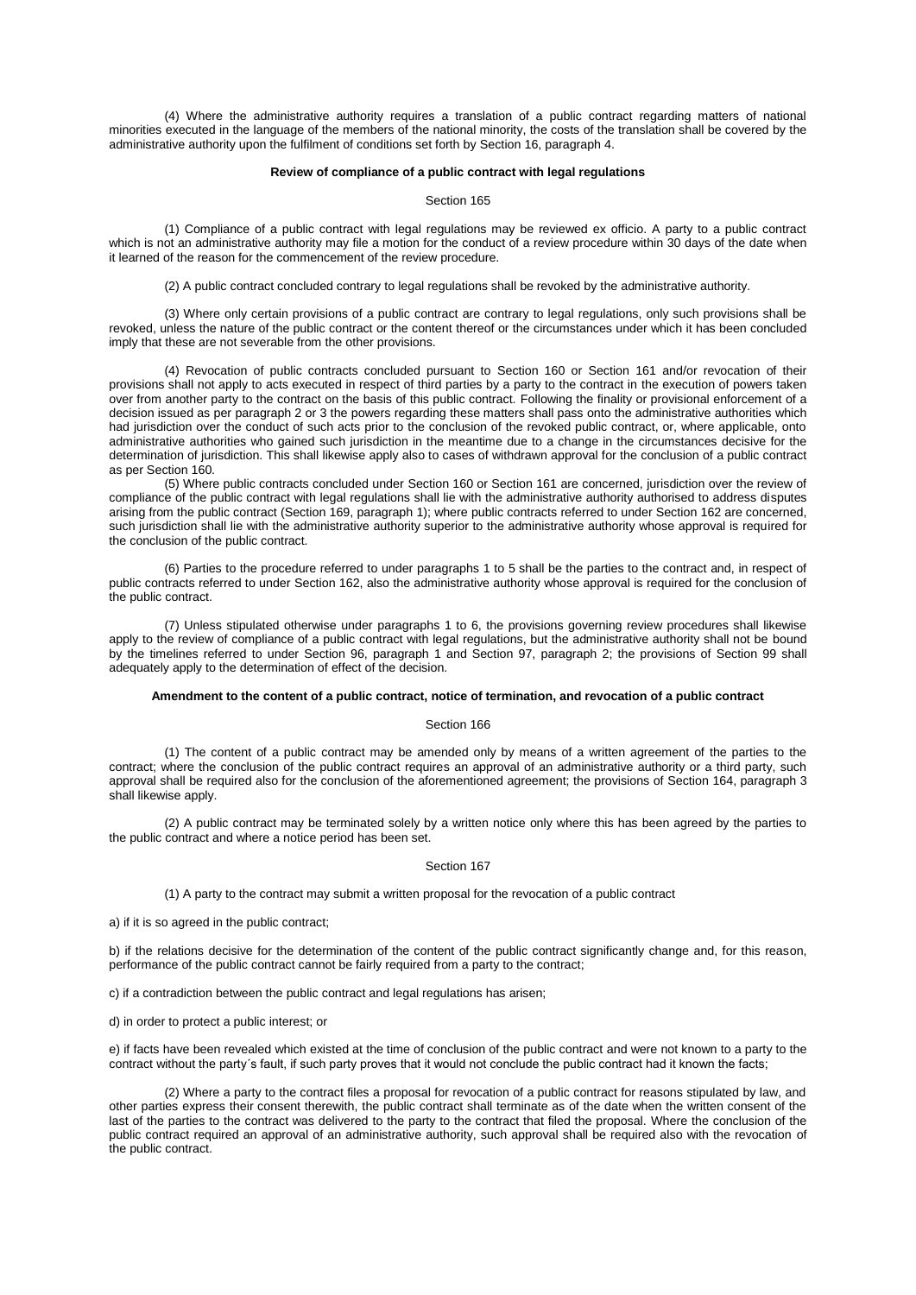(4) Where the administrative authority requires a translation of a public contract regarding matters of national minorities executed in the language of the members of the national minority, the costs of the translation shall be covered by the administrative authority upon the fulfilment of conditions set forth by Section [16, paragraph](aspi://module=) 4.

### **Review of compliance of a public contract with legal regulations**

### Section 165

(1) Compliance of a public contract with legal regulations may be reviewed ex officio. A party to a public contract which is not an administrative authority may file a motion for the conduct of a review procedure within 30 days of the date when it learned of the reason for the commencement of the review procedure.

(2) A public contract concluded contrary to legal regulations shall be revoked by the administrative authority.

(3) Where only certain provisions of a public contract are contrary to legal regulations, only such provisions shall be revoked, unless the nature of the public contract or the content thereof or the circumstances under which it has been concluded imply that these are not severable from the other provisions.

(4) Revocation of public contracts concluded pursuant to [Section](aspi://module=) 160 or [Section](aspi://module=) 161 and/or revocation of their provisions shall not apply to acts executed in respect of third parties by a party to the contract in the execution of powers taken over from another party to the contract on the basis of this public contract. Following the finality or provisional enforcement of a decision issued as per [paragraph 2](aspi://module=) or [3](aspi://module=) the powers regarding these matters shall pass onto the administrative authorities which had jurisdiction over the conduct of such acts prior to the conclusion of the revoked public contract, or, where applicable, onto administrative authorities who gained such jurisdiction in the meantime due to a change in the circumstances decisive for the determination of jurisdiction. This shall likewise apply also to cases of withdrawn approval for the conclusion of a public contract as pe[r Section](aspi://module=) 160.

(5) Where public contracts concluded under [Section](aspi://module=) 160 or [Section](aspi://module=) 161 are concerned, jurisdiction over the review of compliance of the public contract with legal regulations shall lie with the administrative authority authorised to address disputes arising from the public contract (Section [169, paragraph](aspi://module=) 1); where public contracts referred to unde[r Section](aspi://module=) 162 are concerned, such jurisdiction shall lie with the administrative authority superior to the administrative authority whose approval is required for the conclusion of the public contract.

(6) Parties to the procedure referred to under [paragraphs 1 to 5](aspi://module=) shall be the parties to the contract and, in respect of public contracts referred to under [Section](aspi://module=) 162, also the administrative authority whose approval is required for the conclusion of the public contract.

(7) Unless stipulated otherwise under [paragraphs 1 to 6,](aspi://module=) the provisions governing review procedures shall likewise apply to the review of compliance of a public contract with legal regulations, but the administrative authority shall not be bound by the timelines referred to under Section [96, paragraph](aspi://module=) 1 and Section [97, paragraph](aspi://module=) 2; the provisions of [Section 99](aspi://module=) shall adequately apply to the determination of effect of the decision.

## **Amendment to the content of a public contract, notice of termination, and revocation of a public contract**

### Section 166

(1) The content of a public contract may be amended only by means of a written agreement of the parties to the contract; where the conclusion of the public contract requires an approval of an administrative authority or a third party, such approval shall be required also for the conclusion of the aforementioned agreement; the provisions of Section [164, paragraph](aspi://module=) 3 shall likewise apply.

(2) A public contract may be terminated solely by a written notice only where this has been agreed by the parties to the public contract and where a notice period has been set.

## Section 167

(1) A party to the contract may submit a written proposal for the revocation of a public contract

a) if it is so agreed in the public contract;

b) if the relations decisive for the determination of the content of the public contract significantly change and, for this reason, performance of the public contract cannot be fairly required from a party to the contract;

c) if a contradiction between the public contract and legal regulations has arisen;

d) in order to protect a public interest; or

e) if facts have been revealed which existed at the time of conclusion of the public contract and were not known to a party to the contract without the party´s fault, if such party proves that it would not conclude the public contract had it known the facts;

(2) Where a party to the contract files a proposal for revocation of a public contract for reasons stipulated by law, and other parties express their consent therewith, the public contract shall terminate as of the date when the written consent of the last of the parties to the contract was delivered to the party to the contract that filed the proposal. Where the conclusion of the public contract required an approval of an administrative authority, such approval shall be required also with the revocation of the public contract.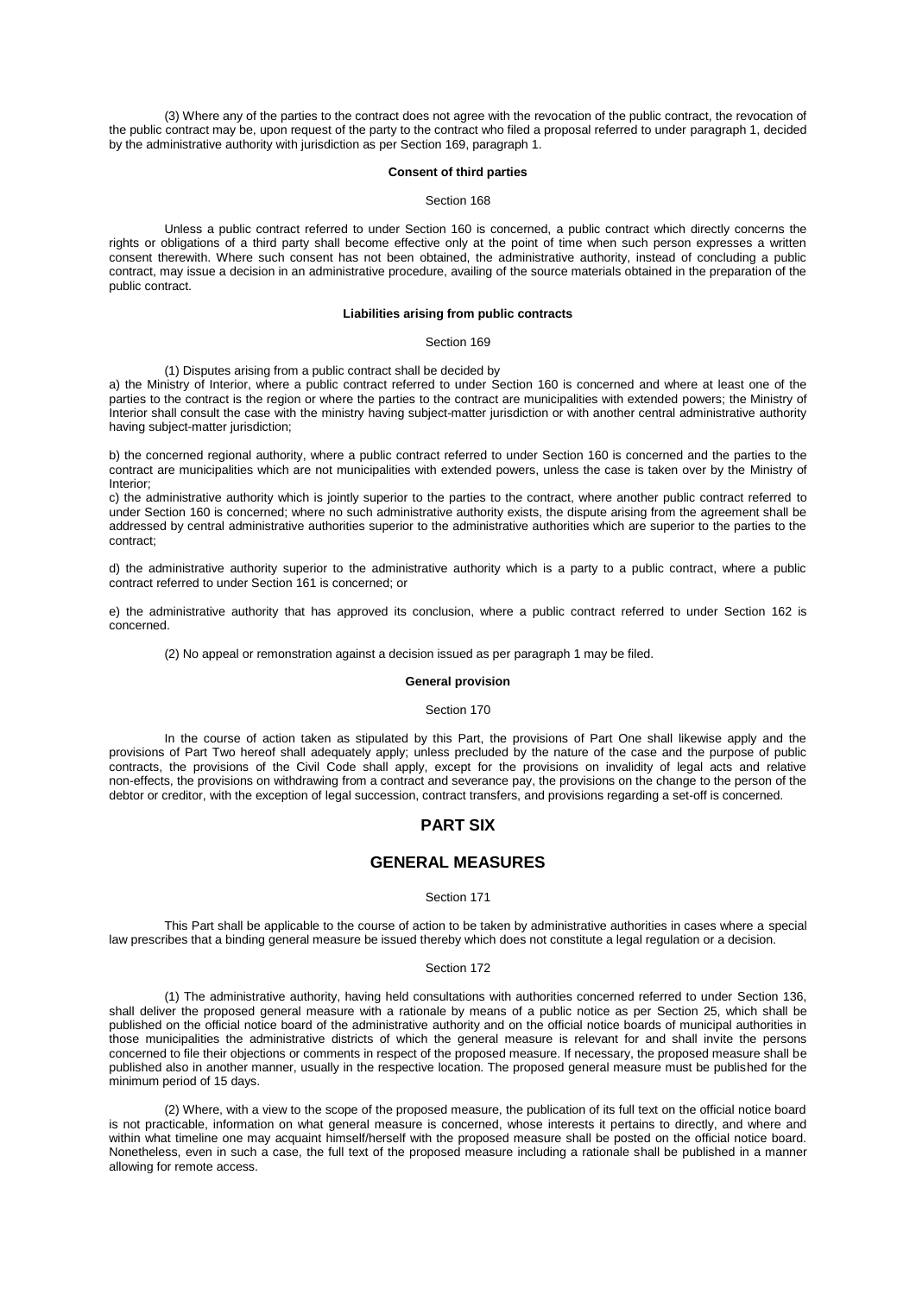(3) Where any of the parties to the contract does not agree with the revocation of the public contract, the revocation of the public contract may be, upon request of the party to the contract who filed a proposal referred to under [paragraph 1,](aspi://module=) decided by the administrative authority with jurisdiction as pe[r Section 169, paragraph 1.](aspi://module=)

### **Consent of third parties**

### Section 168

Unless a public contract referred to under [Section 160](aspi://module=) is concerned, a public contract which directly concerns the rights or obligations of a third party shall become effective only at the point of time when such person expresses a written consent therewith. Where such consent has not been obtained, the administrative authority, instead of concluding a public contract, may issue a decision in an administrative procedure, availing of the source materials obtained in the preparation of the public contract.

# **Liabilities arising from public contracts**

## Section 169

### (1) Disputes arising from a public contract shall be decided by

a) the Ministry of Interior, where a public contract referred to under [Section](aspi://module=) 160 is concerned and where at least one of the parties to the contract is the region or where the parties to the contract are municipalities with extended powers; the Ministry of Interior shall consult the case with the ministry having subject-matter jurisdiction or with another central administrative authority having subject-matter jurisdiction;

b) the concerned regional authority, where a public contract referred to under [Section](aspi://module=) 160 is concerned and the parties to the contract are municipalities which are not municipalities with extended powers, unless the case is taken over by the Ministry of Interior;

c) the administrative authority which is jointly superior to the parties to the contract, where another public contract referred to under [Section](aspi://module=) 160 is concerned; where no such administrative authority exists, the dispute arising from the agreement shall be addressed by central administrative authorities superior to the administrative authorities which are superior to the parties to the contract;

d) the administrative authority superior to the administrative authority which is a party to a public contract, where a public contract referred to unde[r Section](aspi://module=) 161 is concerned; or

e) the administrative authority that has approved its conclusion, where a public contract referred to under [Section](aspi://module=) 162 is concerned.

(2) No appeal or remonstration against a decision issued as per [paragraph 1](aspi://module=) may be filed.

# **General provision**

#### Section 170

In the course of action taken as stipulated by this Part, the provisions of Part One shall likewise apply and the provisions of Part Two hereof shall adequately apply; unless precluded by the nature of the case and the purpose of public contracts, the provisions of the Civil Code shall apply, except for the provisions on invalidity of legal acts and relative non-effects, the provisions on withdrawing from a contract and severance pay, the provisions on the change to the person of the debtor or creditor, with the exception of legal succession, contract transfers, and provisions regarding a set-off is concerned.

# **PART SIX**

# **GENERAL MEASURES**

# Section 171

This Part shall be applicable to the course of action to be taken by administrative authorities in cases where a special law prescribes that a binding general measure be issued thereby which does not constitute a legal regulation or a decision.

#### Section 172

(1) The administrative authority, having held consultations with authorities concerned referred to under [Section 136,](aspi://module=) shall deliver the proposed general measure with a rationale by means of a public notice as per [Section](aspi://module=) 25, which shall be published on the official notice board of the administrative authority and on the official notice boards of municipal authorities in those municipalities the administrative districts of which the general measure is relevant for and shall invite the persons concerned to file their objections or comments in respect of the proposed measure. If necessary, the proposed measure shall be published also in another manner, usually in the respective location. The proposed general measure must be published for the minimum period of 15 days.

(2) Where, with a view to the scope of the proposed measure, the publication of its full text on the official notice board is not practicable, information on what general measure is concerned, whose interests it pertains to directly, and where and within what timeline one may acquaint himself/herself with the proposed measure shall be posted on the official notice board. Nonetheless, even in such a case, the full text of the proposed measure including a rationale shall be published in a manner allowing for remote access.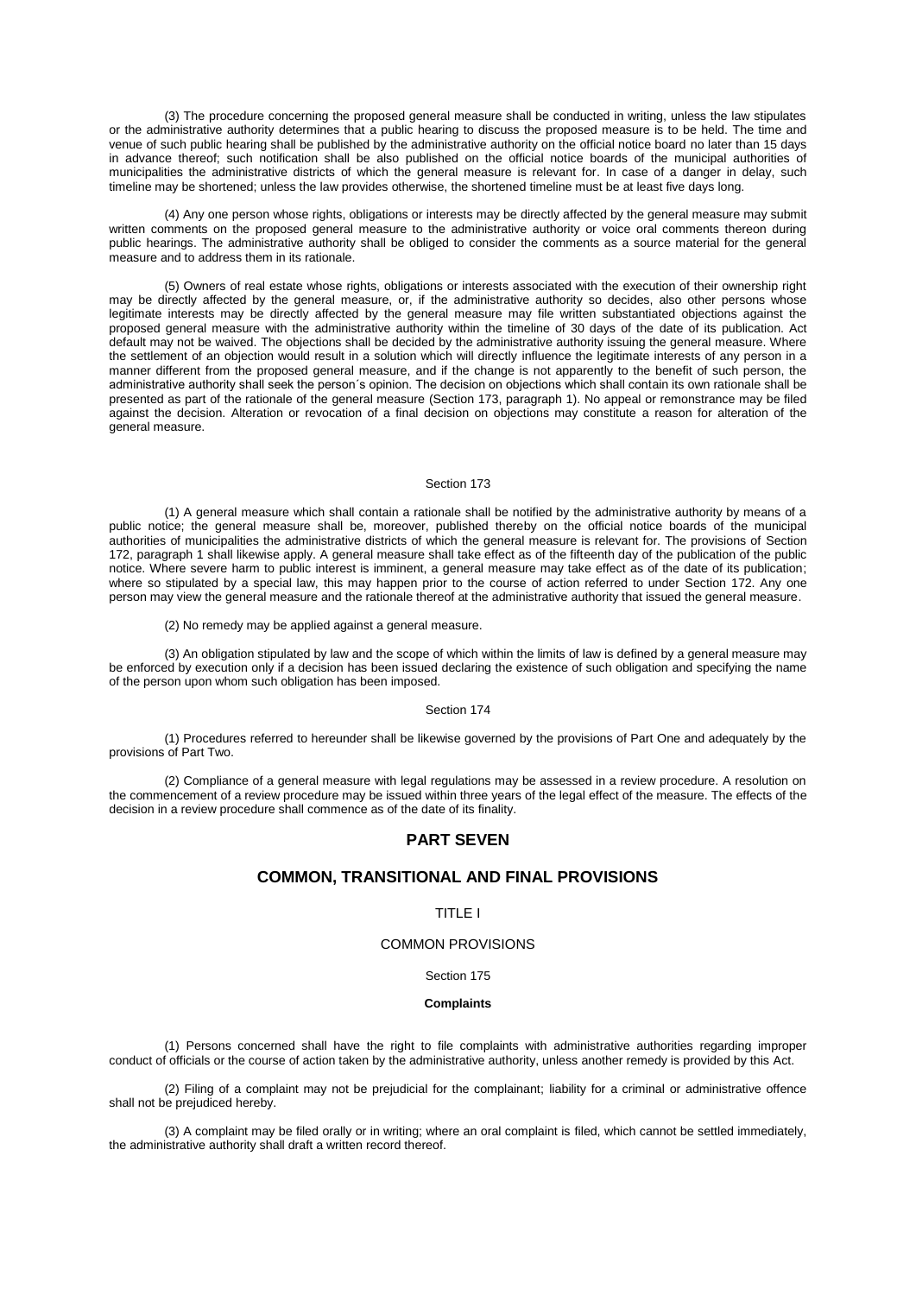(3) The procedure concerning the proposed general measure shall be conducted in writing, unless the law stipulates or the administrative authority determines that a public hearing to discuss the proposed measure is to be held. The time and venue of such public hearing shall be published by the administrative authority on the official notice board no later than 15 days in advance thereof; such notification shall be also published on the official notice boards of the municipal authorities of municipalities the administrative districts of which the general measure is relevant for. In case of a danger in delay, such timeline may be shortened; unless the law provides otherwise, the shortened timeline must be at least five days long.

(4) Any one person whose rights, obligations or interests may be directly affected by the general measure may submit written comments on the proposed general measure to the administrative authority or voice oral comments thereon during public hearings. The administrative authority shall be obliged to consider the comments as a source material for the general measure and to address them in its rationale.

(5) Owners of real estate whose rights, obligations or interests associated with the execution of their ownership right may be directly affected by the general measure, or, if the administrative authority so decides, also other persons whose legitimate interests may be directly affected by the general measure may file written substantiated objections against the proposed general measure with the administrative authority within the timeline of 30 days of the date of its publication. Act default may not be waived. The objections shall be decided by the administrative authority issuing the general measure. Where the settlement of an objection would result in a solution which will directly influence the legitimate interests of any person in a manner different from the proposed general measure, and if the change is not apparently to the benefit of such person, the administrative authority shall seek the person´s opinion. The decision on objections which shall contain its own rationale shall be presented as part of the rationale of the general measure (Section [173, paragraph](aspi://module=) 1). No appeal or remonstrance may be filed against the decision. Alteration or revocation of a final decision on objections may constitute a reason for alteration of the general measure.

## Section 173

(1) A general measure which shall contain a rationale shall be notified by the administrative authority by means of a public notice; the general measure shall be, moreover, published thereby on the official notice boards of the municipal authorities of municipalities the administrative districts of which the general measure is relevant for. The provisions of [Section](aspi://module=) [172, paragraph](aspi://module=) 1 shall likewise apply. A general measure shall take effect as of the fifteenth day of the publication of the public notice. Where severe harm to public interest is imminent, a general measure may take effect as of the date of its publication; where so stipulated by a special law, this may happen prior to the course of action referred to under [Section](aspi://module=) 172. Any one person may view the general measure and the rationale thereof at the administrative authority that issued the general measure.

(2) No remedy may be applied against a general measure.

(3) An obligation stipulated by law and the scope of which within the limits of law is defined by a general measure may be enforced by execution only if a decision has been issued declaring the existence of such obligation and specifying the name of the person upon whom such obligation has been imposed.

#### Section 174

(1) Procedures referred to hereunder shall be likewise governed by the provisions of Part One and adequately by the provisions of Part Two.

(2) Compliance of a general measure with legal regulations may be assessed in a review procedure. A resolution on the commencement of a review procedure may be issued within three years of the legal effect of the measure. The effects of the decision in a review procedure shall commence as of the date of its finality.

# **PART SEVEN**

# **COMMON, TRANSITIONAL AND FINAL PROVISIONS**

# TITLE I

# COMMON PROVISIONS

# Section 175

### **Complaints**

(1) Persons concerned shall have the right to file complaints with administrative authorities regarding improper conduct of officials or the course of action taken by the administrative authority, unless another remedy is provided by this Act.

(2) Filing of a complaint may not be prejudicial for the complainant; liability for a criminal or administrative offence shall not be prejudiced hereby.

(3) A complaint may be filed orally or in writing; where an oral complaint is filed, which cannot be settled immediately, the administrative authority shall draft a written record thereof.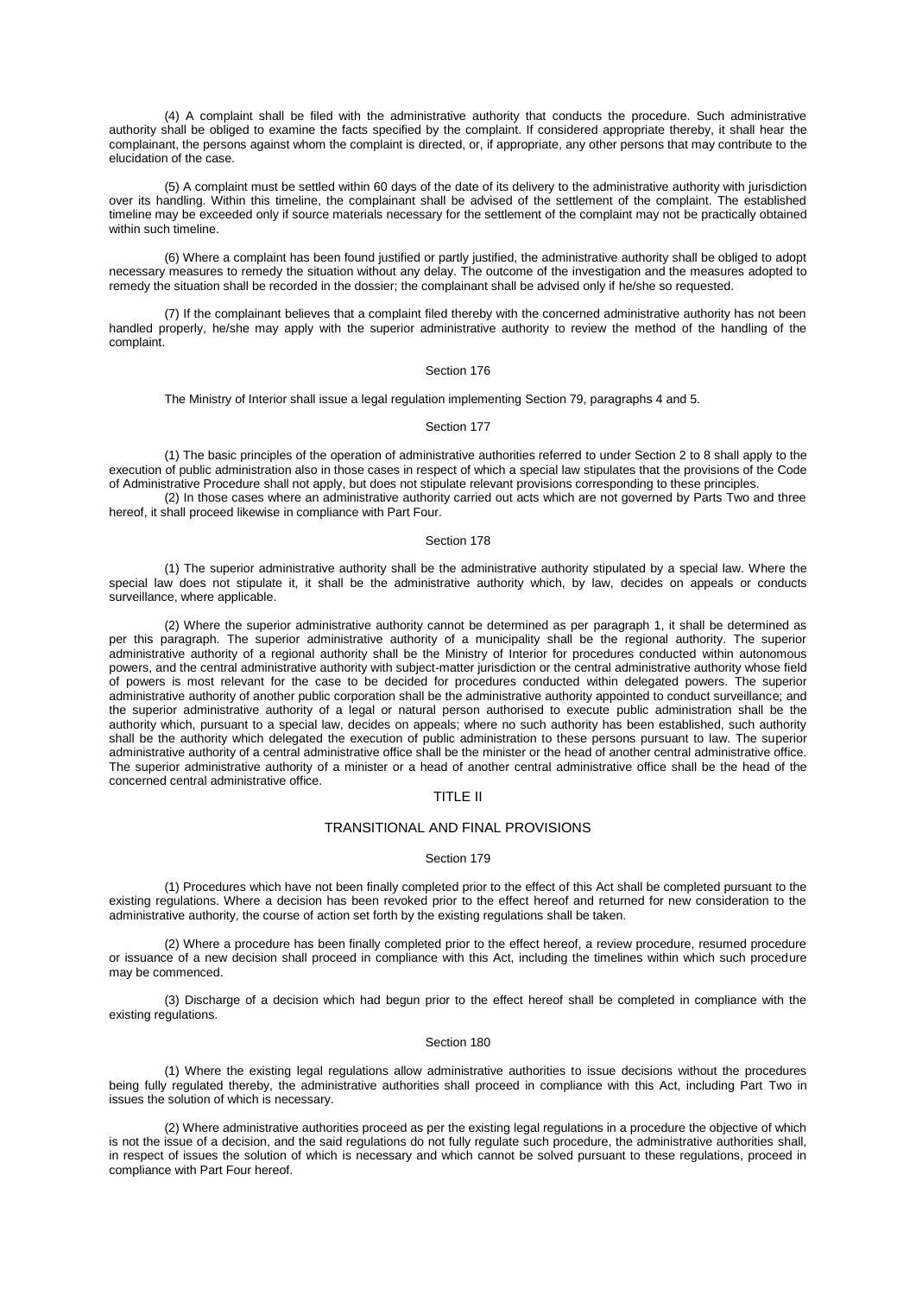(4) A complaint shall be filed with the administrative authority that conducts the procedure. Such administrative authority shall be obliged to examine the facts specified by the complaint. If considered appropriate thereby, it shall hear the complainant, the persons against whom the complaint is directed, or, if appropriate, any other persons that may contribute to the elucidation of the case.

(5) A complaint must be settled within 60 days of the date of its delivery to the administrative authority with jurisdiction over its handling. Within this timeline, the complainant shall be advised of the settlement of the complaint. The established timeline may be exceeded only if source materials necessary for the settlement of the complaint may not be practically obtained within such timeline.

(6) Where a complaint has been found justified or partly justified, the administrative authority shall be obliged to adopt necessary measures to remedy the situation without any delay. The outcome of the investigation and the measures adopted to remedy the situation shall be recorded in the dossier; the complainant shall be advised only if he/she so requested.

(7) If the complainant believes that a complaint filed thereby with the concerned administrative authority has not been handled properly, he/she may apply with the superior administrative authority to review the method of the handling of the complaint.

#### Section 176

The Ministry of Interior shall issue a legal regulation implementing Section [79, paragraphs](aspi://module=) 4 and [5.](aspi://module=)

# Section 177

(1) The basic principles of the operation of administrative authorities referred to unde[r Section](aspi://module=) 2 to 8 shall apply to the execution of public administration also in those cases in respect of which a special law stipulates that the provisions of the Code of Administrative Procedure shall not apply, but does not stipulate relevant provisions corresponding to these principles.

(2) In those cases where an administrative authority carried out acts which are not governed by Parts Two and three hereof, it shall proceed likewise in compliance with Part Four.

### Section 178

(1) The superior administrative authority shall be the administrative authority stipulated by a special law. Where the special law does not stipulate it, it shall be the administrative authority which, by law, decides on appeals or conducts surveillance, where applicable.

(2) Where the superior administrative authority cannot be determined as per [paragraph 1,](aspi://module=) it shall be determined as per this paragraph. The superior administrative authority of a municipality shall be the regional authority. The superior administrative authority of a regional authority shall be the Ministry of Interior for procedures conducted within autonomous powers, and the central administrative authority with subject-matter jurisdiction or the central administrative authority whose field of powers is most relevant for the case to be decided for procedures conducted within delegated powers. The superior administrative authority of another public corporation shall be the administrative authority appointed to conduct surveillance; and the superior administrative authority of a legal or natural person authorised to execute public administration shall be the authority which, pursuant to a special law, decides on appeals; where no such authority has been established, such authority shall be the authority which delegated the execution of public administration to these persons pursuant to law. The superior administrative authority of a central administrative office shall be the minister or the head of another central administrative office. The superior administrative authority of a minister or a head of another central administrative office shall be the head of the concerned central administrative office.

# TITLE II

# TRANSITIONAL AND FINAL PROVISIONS

### Section 179

(1) Procedures which have not been finally completed prior to the effect of this Act shall be completed pursuant to the existing regulations. Where a decision has been revoked prior to the effect hereof and returned for new consideration to the administrative authority, the course of action set forth by the existing regulations shall be taken.

(2) Where a procedure has been finally completed prior to the effect hereof, a review procedure, resumed procedure or issuance of a new decision shall proceed in compliance with this Act, including the timelines within which such procedure may be commenced.

(3) Discharge of a decision which had begun prior to the effect hereof shall be completed in compliance with the existing regulations.

### Section 180

(1) Where the existing legal regulations allow administrative authorities to issue decisions without the procedures being fully regulated thereby, the administrative authorities shall proceed in compliance with this Act, including Part Two in issues the solution of which is necessary.

(2) Where administrative authorities proceed as per the existing legal regulations in a procedure the objective of which is not the issue of a decision, and the said regulations do not fully regulate such procedure, the administrative authorities shall, in respect of issues the solution of which is necessary and which cannot be solved pursuant to these regulations, proceed in compliance with Part Four hereof.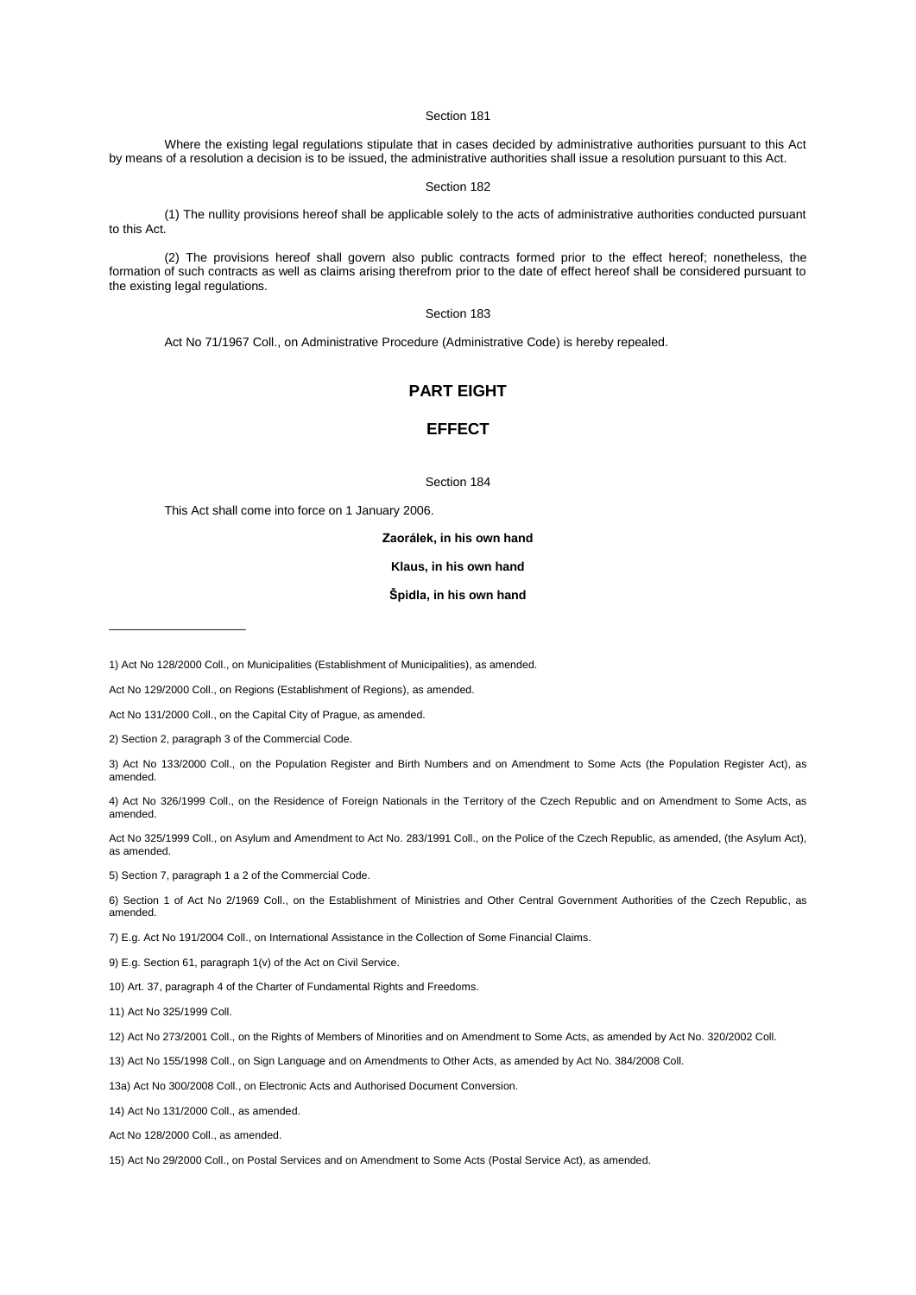Where the existing legal regulations stipulate that in cases decided by administrative authorities pursuant to this Act by means of a resolution a decision is to be issued, the administrative authorities shall issue a resolution pursuant to this Act.

# Section 182

(1) The nullity provisions hereof shall be applicable solely to the acts of administrative authorities conducted pursuant to this Act.

(2) The provisions hereof shall govern also public contracts formed prior to the effect hereof; nonetheless, the formation of such contracts as well as claims arising therefrom prior to the date of effect hereof shall be considered pursuant to the existing legal regulations.

# Section 183

Act No [71/1967 Coll.,](aspi://module=) on Administrative Procedure (Administrative Code) is hereby repealed.

# **PART EIGHT**

# **EFFECT**

Section 184

This Act shall come into force on 1 January 2006.

## **Zaorálek, in his own hand**

# **Klaus, in his own hand**

# **Špidla, in his own hand**

\_\_\_\_\_\_\_\_\_\_\_\_\_\_\_\_\_\_\_\_

- 3) Act No [133/2000 Coll.,](aspi://module=) on the Population Register and Birth Numbers and on Amendment to Some Acts (the Population Register Act), as amended.
- 4) Act No [326/1999 Coll.,](aspi://module=) on the Residence of Foreign Nationals in the Territory of the Czech Republic and on Amendment to Some Acts, as amended.
- Act No [325/1999 Coll.,](aspi://module=) on Asylum and Amendment to Act No. [283/1991 Coll.,](aspi://module=) on the Police of the Czech Republic, as amended, (the Asylum Act), as amended.

5) Section [7, paragraph](aspi://module=) 1 a 2 of the Commercial Code.

6) Section 1 of Act No [2/1969 Coll.,](aspi://module=) on the Establishment of Ministries and Other Central Government Authorities of the Czech Republic, as amended.

7) E.g. Act N[o 191/2004 Coll.,](aspi://module=) on International Assistance in the Collection of Some Financial Claims.

9) E.g. Section [61, paragraph](aspi://module=) 1(v) of the Act on Civil Service.

10) [Art. 37, paragraph](aspi://module=) 4 of the Charter of Fundamental Rights and Freedoms.

11) Act No [325/1999 Coll.](aspi://module=)

12) Act No [273/2001 Coll.,](aspi://module=) on the Rights of Members of Minorities and on Amendment to Some Acts, as amended by Act No. [320/2002 Coll.](aspi://module=)

13) Act No [155/1998 Coll.,](aspi://module=) on Sign Language and on Amendments to Other Acts, as amended by Act No. [384/2008 Coll.](aspi://module=)

13a) Act No [300/2008 Coll.,](aspi://module=) on Electronic Acts and Authorised Document Conversion.

14) Act No [131/2000 Coll.,](aspi://module=) as amended.

Act No [128/2000 Coll.,](aspi://module=) as amended.

15) Act No [29/2000 Coll.,](aspi://module=) on Postal Services and on Amendment to Some Acts (Postal Service Act), as amended.

<sup>1)</sup> Act No [128/2000 Coll.,](aspi://module=) on Municipalities (Establishment of Municipalities), as amended.

Act No [129/2000 Coll.,](aspi://module=) on Regions (Establishment of Regions), as amended.

Act No [131/2000 Coll.,](aspi://module=) on the Capital City of Prague, as amended.

<sup>2)</sup> Section [2, paragraph](aspi://module=) 3 of the Commercial Code.